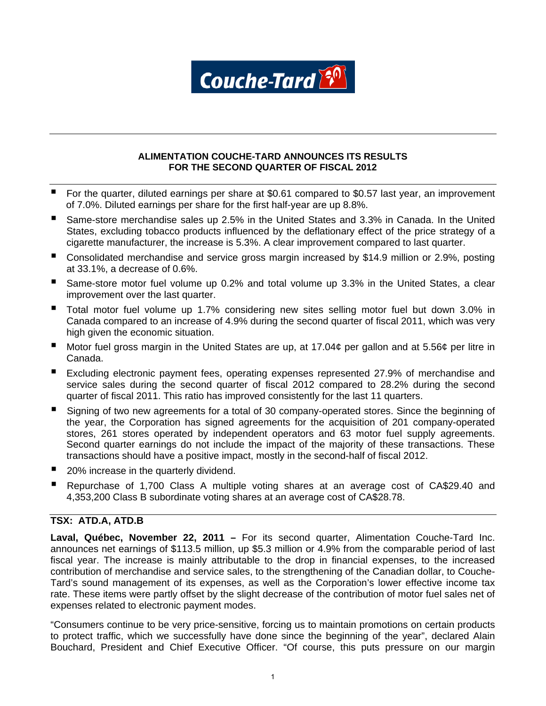

## **ALIMENTATION COUCHE-TARD ANNOUNCES ITS RESULTS FOR THE SECOND QUARTER OF FISCAL 2012**

- For the quarter, diluted earnings per share at \$0.61 compared to \$0.57 last year, an improvement of 7.0%. Diluted earnings per share for the first half-year are up 8.8%.
- Same-store merchandise sales up 2.5% in the United States and 3.3% in Canada. In the United States, excluding tobacco products influenced by the deflationary effect of the price strategy of a cigarette manufacturer, the increase is 5.3%. A clear improvement compared to last quarter.
- Consolidated merchandise and service gross margin increased by \$14.9 million or 2.9%, posting at 33.1%, a decrease of 0.6%.
- Same-store motor fuel volume up 0.2% and total volume up 3.3% in the United States, a clear improvement over the last quarter.
- Total motor fuel volume up 1.7% considering new sites selling motor fuel but down 3.0% in Canada compared to an increase of 4.9% during the second quarter of fiscal 2011, which was very high given the economic situation.
- Motor fuel gross margin in the United States are up, at 17.04¢ per gallon and at 5.56¢ per litre in Canada.
- Excluding electronic payment fees, operating expenses represented 27.9% of merchandise and service sales during the second quarter of fiscal 2012 compared to 28.2% during the second quarter of fiscal 2011. This ratio has improved consistently for the last 11 quarters.
- Signing of two new agreements for a total of 30 company-operated stores. Since the beginning of the year, the Corporation has signed agreements for the acquisition of 201 company-operated stores, 261 stores operated by independent operators and 63 motor fuel supply agreements. Second quarter earnings do not include the impact of the majority of these transactions. These transactions should have a positive impact, mostly in the second-half of fiscal 2012.
- 20% increase in the quarterly dividend.
- Repurchase of 1,700 Class A multiple voting shares at an average cost of CA\$29.40 and 4,353,200 Class B subordinate voting shares at an average cost of CA\$28.78.

# **TSX: ATD.A, ATD.B**

**Laval, Québec, November 22, 2011 –** For its second quarter, Alimentation Couche-Tard Inc. announces net earnings of \$113.5 million, up \$5.3 million or 4.9% from the comparable period of last fiscal year. The increase is mainly attributable to the drop in financial expenses, to the increased contribution of merchandise and service sales, to the strengthening of the Canadian dollar, to Couche-Tard's sound management of its expenses, as well as the Corporation's lower effective income tax rate. These items were partly offset by the slight decrease of the contribution of motor fuel sales net of expenses related to electronic payment modes.

"Consumers continue to be very price-sensitive, forcing us to maintain promotions on certain products to protect traffic, which we successfully have done since the beginning of the year", declared Alain Bouchard, President and Chief Executive Officer. "Of course, this puts pressure on our margin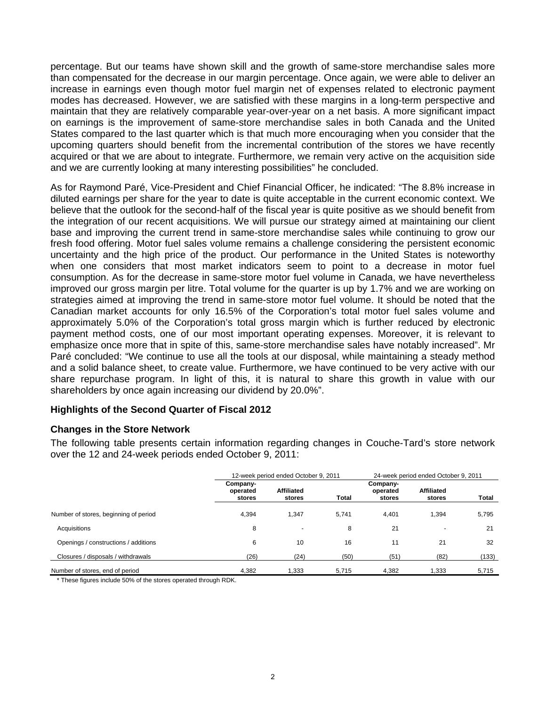percentage. But our teams have shown skill and the growth of same-store merchandise sales more than compensated for the decrease in our margin percentage. Once again, we were able to deliver an increase in earnings even though motor fuel margin net of expenses related to electronic payment modes has decreased. However, we are satisfied with these margins in a long-term perspective and maintain that they are relatively comparable year-over-year on a net basis. A more significant impact on earnings is the improvement of same-store merchandise sales in both Canada and the United States compared to the last quarter which is that much more encouraging when you consider that the upcoming quarters should benefit from the incremental contribution of the stores we have recently acquired or that we are about to integrate. Furthermore, we remain very active on the acquisition side and we are currently looking at many interesting possibilities" he concluded.

As for Raymond Paré, Vice-President and Chief Financial Officer, he indicated: "The 8.8% increase in diluted earnings per share for the year to date is quite acceptable in the current economic context. We believe that the outlook for the second-half of the fiscal year is quite positive as we should benefit from the integration of our recent acquisitions. We will pursue our strategy aimed at maintaining our client base and improving the current trend in same-store merchandise sales while continuing to grow our fresh food offering. Motor fuel sales volume remains a challenge considering the persistent economic uncertainty and the high price of the product. Our performance in the United States is noteworthy when one considers that most market indicators seem to point to a decrease in motor fuel consumption. As for the decrease in same-store motor fuel volume in Canada, we have nevertheless improved our gross margin per litre. Total volume for the quarter is up by 1.7% and we are working on strategies aimed at improving the trend in same-store motor fuel volume. It should be noted that the Canadian market accounts for only 16.5% of the Corporation's total motor fuel sales volume and approximately 5.0% of the Corporation's total gross margin which is further reduced by electronic payment method costs, one of our most important operating expenses. Moreover, it is relevant to emphasize once more that in spite of this, same-store merchandise sales have notably increased". Mr Paré concluded: "We continue to use all the tools at our disposal, while maintaining a steady method and a solid balance sheet, to create value. Furthermore, we have continued to be very active with our share repurchase program. In light of this, it is natural to share this growth in value with our shareholders by once again increasing our dividend by 20.0%".

## **Highlights of the Second Quarter of Fiscal 2012**

## **Changes in the Store Network**

The following table presents certain information regarding changes in Couche-Tard's store network over the 12 and 24-week periods ended October 9, 2011:

|                                       |                                | 12-week period ended October 9, 2011 |              |                                | 24-week period ended October 9, 2011 |       |  |
|---------------------------------------|--------------------------------|--------------------------------------|--------------|--------------------------------|--------------------------------------|-------|--|
|                                       | Company-<br>operated<br>stores | <b>Affiliated</b><br>stores          | <b>Total</b> | Company-<br>operated<br>stores | <b>Affiliated</b><br>stores          | Total |  |
| Number of stores, beginning of period | 4,394                          | 1,347                                | 5.741        | 4,401                          | 1.394                                | 5,795 |  |
| Acquisitions                          | 8                              | $\overline{\phantom{0}}$             | 8            | 21                             | $\overline{\phantom{0}}$             | 21    |  |
| Openings / constructions / additions  | 6                              | 10                                   | 16           | 11                             | 21                                   | 32    |  |
| Closures / disposals / withdrawals    | (26)                           | (24)                                 | (50)         | (51)                           | (82)                                 | (133) |  |
| Number of stores, end of period       | 4,382                          | 1,333                                | 5,715        | 4,382                          | 1,333                                | 5,715 |  |

\* These figures include 50% of the stores operated through RDK.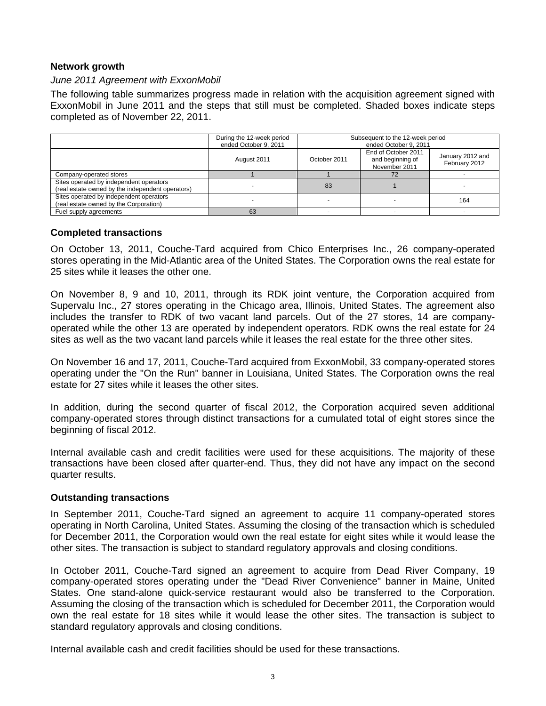# **Network growth**

## *June 2011 Agreement with ExxonMobil*

The following table summarizes progress made in relation with the acquisition agreement signed with ExxonMobil in June 2011 and the steps that still must be completed. Shaded boxes indicate steps completed as of November 22, 2011.

|                                                                                             | During the 12-week period<br>ended October 9, 2011 | Subsequent to the 12-week period<br>ended October 9, 2011 |                                                          |                                   |  |
|---------------------------------------------------------------------------------------------|----------------------------------------------------|-----------------------------------------------------------|----------------------------------------------------------|-----------------------------------|--|
|                                                                                             | August 2011                                        | October 2011                                              | End of October 2011<br>and beginning of<br>November 2011 | January 2012 and<br>February 2012 |  |
| Company-operated stores                                                                     |                                                    |                                                           |                                                          |                                   |  |
| Sites operated by independent operators<br>(real estate owned by the independent operators) |                                                    | 83                                                        |                                                          |                                   |  |
| Sites operated by independent operators<br>(real estate owned by the Corporation)           |                                                    |                                                           |                                                          | 164                               |  |
| Fuel supply agreements                                                                      | 63                                                 |                                                           |                                                          |                                   |  |

## **Completed transactions**

On October 13, 2011, Couche-Tard acquired from Chico Enterprises Inc., 26 company-operated stores operating in the Mid-Atlantic area of the United States. The Corporation owns the real estate for 25 sites while it leases the other one.

On November 8, 9 and 10, 2011, through its RDK joint venture, the Corporation acquired from Supervalu Inc., 27 stores operating in the Chicago area, Illinois, United States. The agreement also includes the transfer to RDK of two vacant land parcels. Out of the 27 stores, 14 are companyoperated while the other 13 are operated by independent operators. RDK owns the real estate for 24 sites as well as the two vacant land parcels while it leases the real estate for the three other sites.

On November 16 and 17, 2011, Couche-Tard acquired from ExxonMobil, 33 company-operated stores operating under the "On the Run" banner in Louisiana, United States. The Corporation owns the real estate for 27 sites while it leases the other sites.

In addition, during the second quarter of fiscal 2012, the Corporation acquired seven additional company-operated stores through distinct transactions for a cumulated total of eight stores since the beginning of fiscal 2012.

Internal available cash and credit facilities were used for these acquisitions. The majority of these transactions have been closed after quarter-end. Thus, they did not have any impact on the second quarter results.

## **Outstanding transactions**

In September 2011, Couche-Tard signed an agreement to acquire 11 company-operated stores operating in North Carolina, United States. Assuming the closing of the transaction which is scheduled for December 2011, the Corporation would own the real estate for eight sites while it would lease the other sites. The transaction is subject to standard regulatory approvals and closing conditions.

In October 2011, Couche-Tard signed an agreement to acquire from Dead River Company, 19 company-operated stores operating under the "Dead River Convenience" banner in Maine, United States. One stand-alone quick-service restaurant would also be transferred to the Corporation. Assuming the closing of the transaction which is scheduled for December 2011, the Corporation would own the real estate for 18 sites while it would lease the other sites. The transaction is subject to standard regulatory approvals and closing conditions.

Internal available cash and credit facilities should be used for these transactions.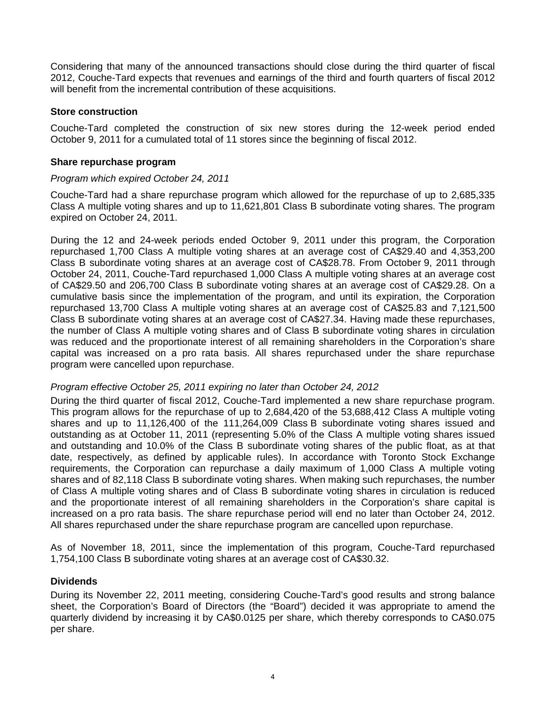Considering that many of the announced transactions should close during the third quarter of fiscal 2012, Couche-Tard expects that revenues and earnings of the third and fourth quarters of fiscal 2012 will benefit from the incremental contribution of these acquisitions.

## **Store construction**

Couche-Tard completed the construction of six new stores during the 12-week period ended October 9, 2011 for a cumulated total of 11 stores since the beginning of fiscal 2012.

## **Share repurchase program**

## *Program which expired October 24, 2011*

Couche-Tard had a share repurchase program which allowed for the repurchase of up to 2,685,335 Class A multiple voting shares and up to 11,621,801 Class B subordinate voting shares. The program expired on October 24, 2011.

During the 12 and 24-week periods ended October 9, 2011 under this program, the Corporation repurchased 1,700 Class A multiple voting shares at an average cost of CA\$29.40 and 4,353,200 Class B subordinate voting shares at an average cost of CA\$28.78. From October 9, 2011 through October 24, 2011, Couche-Tard repurchased 1,000 Class A multiple voting shares at an average cost of CA\$29.50 and 206,700 Class B subordinate voting shares at an average cost of CA\$29.28. On a cumulative basis since the implementation of the program, and until its expiration, the Corporation repurchased 13,700 Class A multiple voting shares at an average cost of CA\$25.83 and 7,121,500 Class B subordinate voting shares at an average cost of CA\$27.34. Having made these repurchases, the number of Class A multiple voting shares and of Class B subordinate voting shares in circulation was reduced and the proportionate interest of all remaining shareholders in the Corporation's share capital was increased on a pro rata basis. All shares repurchased under the share repurchase program were cancelled upon repurchase.

## *Program effective October 25, 2011 expiring no later than October 24, 2012*

During the third quarter of fiscal 2012, Couche-Tard implemented a new share repurchase program. This program allows for the repurchase of up to 2,684,420 of the 53,688,412 Class A multiple voting shares and up to 11,126,400 of the 111,264,009 Class B subordinate voting shares issued and outstanding as at October 11, 2011 (representing 5.0% of the Class A multiple voting shares issued and outstanding and 10.0% of the Class B subordinate voting shares of the public float, as at that date, respectively, as defined by applicable rules). In accordance with Toronto Stock Exchange requirements, the Corporation can repurchase a daily maximum of 1,000 Class A multiple voting shares and of 82,118 Class B subordinate voting shares. When making such repurchases, the number of Class A multiple voting shares and of Class B subordinate voting shares in circulation is reduced and the proportionate interest of all remaining shareholders in the Corporation's share capital is increased on a pro rata basis. The share repurchase period will end no later than October 24, 2012. All shares repurchased under the share repurchase program are cancelled upon repurchase.

As of November 18, 2011, since the implementation of this program, Couche-Tard repurchased 1,754,100 Class B subordinate voting shares at an average cost of CA\$30.32.

## **Dividends**

During its November 22, 2011 meeting, considering Couche-Tard's good results and strong balance sheet, the Corporation's Board of Directors (the "Board") decided it was appropriate to amend the quarterly dividend by increasing it by CA\$0.0125 per share, which thereby corresponds to CA\$0.075 per share.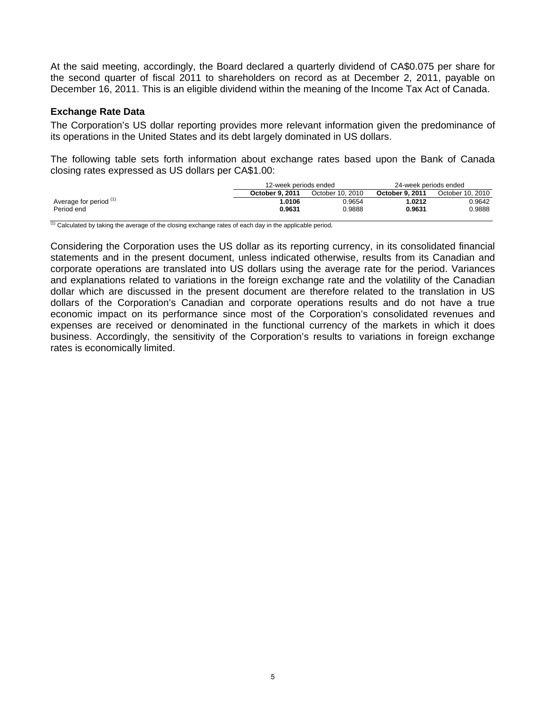At the said meeting, accordingly, the Board declared a quarterly dividend of CA\$0.075 per share for the second quarter of fiscal 2011 to shareholders on record as at December 2, 2011, payable on December 16, 2011. This is an eligible dividend within the meaning of the Income Tax Act of Canada.

## **Exchange Rate Data**

The Corporation's US dollar reporting provides more relevant information given the predominance of its operations in the United States and its debt largely dominated in US dollars.

The following table sets forth information about exchange rates based upon the Bank of Canada closing rates expressed as US dollars per CA\$1.00:

|                        | 12-week periods ended |                  | 24-week periods ended  |                  |  |
|------------------------|-----------------------|------------------|------------------------|------------------|--|
|                        | October 9, 2011       | October 10, 2010 | <b>October 9, 2011</b> | October 10, 2010 |  |
| Average for period (1) | .0106                 | 0.9654           | 1.0212                 | 0.9642           |  |
| Period end             | 0.9631                | 0.9888           | 0.9631                 | 0.9888           |  |

 $\overline{^{(1)}}$  Calculated by taking the average of the closing exchange rates of each day in the applicable period.

Considering the Corporation uses the US dollar as its reporting currency, in its consolidated financial statements and in the present document, unless indicated otherwise, results from its Canadian and corporate operations are translated into US dollars using the average rate for the period. Variances and explanations related to variations in the foreign exchange rate and the volatility of the Canadian dollar which are discussed in the present document are therefore related to the translation in US dollars of the Corporation's Canadian and corporate operations results and do not have a true economic impact on its performance since most of the Corporation's consolidated revenues and expenses are received or denominated in the functional currency of the markets in which it does business. Accordingly, the sensitivity of the Corporation's results to variations in foreign exchange rates is economically limited.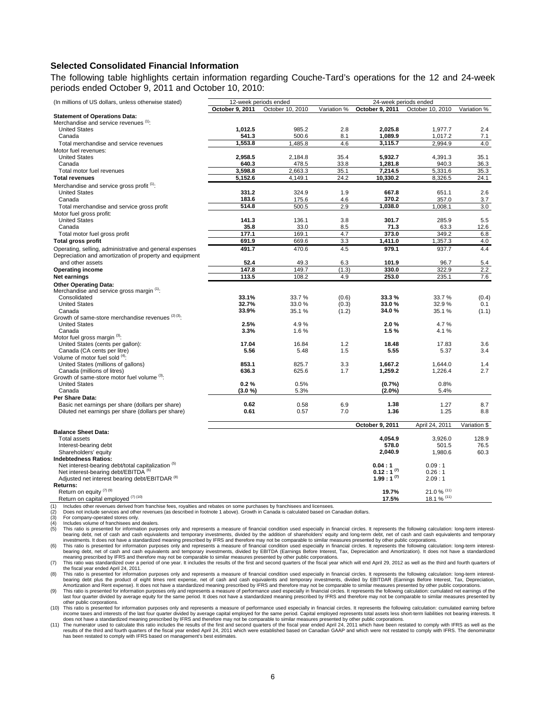### **Selected Consolidated Financial Information**

The following table highlights certain information regarding Couche-Tard's operations for the 12 and 24-week periods ended October 9, 2011 and October 10, 2010:

| (In millions of US dollars, unless otherwise stated)          |                 | 12-week periods ended<br>24-week periods ended |             |                 |                  |              |
|---------------------------------------------------------------|-----------------|------------------------------------------------|-------------|-----------------|------------------|--------------|
|                                                               | October 9, 2011 | October 10, 2010                               | Variation % | October 9, 2011 | October 10, 2010 | Variation %  |
| <b>Statement of Operations Data:</b>                          |                 |                                                |             |                 |                  |              |
| Merchandise and service revenues (1):                         |                 |                                                |             |                 |                  |              |
| <b>United States</b>                                          | 1,012.5         | 985.2                                          | 2.8         | 2,025.8         | 1,977.7          | 2.4          |
| Canada                                                        | 541.3           | 500.6                                          | 8.1         | 1,089.9         | 1,017.2          | 7.1          |
| Total merchandise and service revenues                        | 1.553.8         | 1,485.8                                        | 4.6         | 3,115.7         | 2,994.9          | 4.0          |
| Motor fuel revenues:                                          |                 |                                                |             |                 |                  |              |
| <b>United States</b>                                          | 2,958.5         | 2,184.8                                        | 35.4        | 5,932.7         | 4,391.3          | 35.1         |
| Canada                                                        | 640.3           | 478.5                                          | 33.8        | 1,281.8         | 940.3            | 36.3         |
|                                                               | 3,598.8         | 2,663.3                                        | 35.1        | 7,214.5         |                  |              |
| Total motor fuel revenues                                     |                 |                                                |             |                 | 5,331.6          | 35.3         |
| <b>Total revenues</b>                                         | 5,152.6         | 4,149.1                                        | 24.2        | 10,330.2        | 8,326.5          | 24.1         |
| Merchandise and service gross profit <sup>(1)</sup> :         |                 |                                                |             |                 |                  |              |
| <b>United States</b>                                          | 331.2           | 324.9                                          | 1.9         | 667.8           | 651.1            | 2.6          |
| Canada                                                        | 183.6           | 175.6                                          | 4.6         | 370.2           | 357.0            | 3.7          |
| Total merchandise and service gross profit                    | 514.8           | 500.5                                          | 2.9         | 1,038.0         | 1,008.1          | 3.0          |
| Motor fuel gross profit:                                      |                 |                                                |             |                 |                  |              |
| <b>United States</b>                                          | 141.3           | 136.1                                          | 3.8         | 301.7           | 285.9            | 5.5          |
| Canada                                                        | 35.8            | 33.0                                           | 8.5         | 71.3            | 63.3             | 12.6         |
| Total motor fuel gross profit                                 | 177.1           | 169.1                                          | 4.7         | 373.0           | 349.2            | 6.8          |
| <b>Total gross profit</b>                                     | 691.9           | 669.6                                          | 3.3         | 1,411.0         | 1,357.3          | 4.0          |
| Operating, selling, administrative and general expenses       | 491.7           | 470.6                                          | 4.5         | 979.1           | 937.7            | 4.4          |
| Depreciation and amortization of property and equipment       |                 |                                                |             |                 |                  |              |
| and other assets                                              | 52.4            | 49.3                                           | 6.3         | 101.9           | 96.7             | 5.4          |
|                                                               |                 |                                                |             |                 |                  |              |
| <b>Operating income</b>                                       | 147.8           | 149.7                                          | (1.3)       | 330.0           | 322.9            | 2.2          |
| Net earnings                                                  | 113.5           | 108.2                                          | 4.9         | 253.0           | 235.1            | 7.6          |
| <b>Other Operating Data:</b>                                  |                 |                                                |             |                 |                  |              |
| Merchandise and service gross margin (1):                     |                 |                                                |             |                 |                  |              |
| Consolidated                                                  | 33.1%           | 33.7%                                          | (0.6)       | 33.3%           | 33.7%            | (0.4)        |
| <b>United States</b>                                          | 32.7%           | 33.0%                                          | (0.3)       | 33.0%           | 32.9%            | 0.1          |
| Canada                                                        | 33.9%           | 35.1 %                                         | (1.2)       | 34.0%           | 35.1%            | (1.1)        |
| Growth of same-store merchandise revenues (2) (3):            |                 |                                                |             |                 |                  |              |
| <b>United States</b>                                          | 2.5%            | 4.9%                                           |             | 2.0%            | 4.7%             |              |
| Canada                                                        | 3.3%            | 1.6%                                           |             | 1.5%            | 4.1%             |              |
| Motor fuel gross margin (3):                                  |                 |                                                |             |                 |                  |              |
| United States (cents per gallon):                             | 17.04           | 16.84                                          | 1.2         | 18.48           | 17.83            | 3.6          |
| Canada (CA cents per litre)                                   | 5.56            | 5.48                                           | 1.5         | 5.55            | 5.37             | 3.4          |
| Volume of motor fuel sold (4):                                |                 |                                                |             |                 |                  |              |
| United States (millions of gallons)                           | 853.1           | 825.7                                          | 3.3         | 1,667.2         | 1,644.0          | 1.4          |
| Canada (millions of litres)                                   | 636.3           | 625.6                                          | 1.7         | 1,259.2         | 1,226.4          | 2.7          |
| Growth of same-store motor fuel volume (3):                   |                 |                                                |             |                 |                  |              |
| <b>United States</b>                                          | 0.2%            | 0.5%                                           |             | (0.7%           | 0.8%             |              |
| Canada                                                        | $(3.0\%)$       | 5.3%                                           |             | $(2.0\%)$       | 5.4%             |              |
| Per Share Data:                                               |                 |                                                |             |                 |                  |              |
| Basic net earnings per share (dollars per share)              | 0.62            | 0.58                                           | 6.9         | 1.38            | 1.27             | 8.7          |
| Diluted net earnings per share (dollars per share)            | 0.61            | 0.57                                           | 7.0         | 1.36            | 1.25             | 8.8          |
|                                                               |                 |                                                |             |                 |                  |              |
|                                                               |                 |                                                |             | October 9, 2011 | April 24, 2011   | Variation \$ |
| <b>Balance Sheet Data:</b>                                    |                 |                                                |             |                 |                  |              |
| <b>Total assets</b>                                           |                 |                                                |             | 4,054.9         | 3,926.0          | 128.9        |
| Interest-bearing debt                                         |                 |                                                |             | 578.0           | 501.5            | 76.5         |
| Shareholders' equity                                          |                 |                                                |             | 2,040.9         | 1,980.6          | 60.3         |
| <b>Indebtedness Ratios:</b>                                   |                 |                                                |             |                 |                  |              |
| Net interest-bearing debt/total capitalization <sup>(b)</sup> |                 |                                                |             | 0.04:1          | 0.09:1           |              |
| Net interest-bearing debt/EBITDA <sup>(6)</sup>               |                 |                                                |             | $0.12:1^{(7)}$  | 0.26:1           |              |
| Adjusted net interest bearing debt/EBITDAR <sup>(8)</sup>     |                 |                                                |             | $1.99:1^{(7)}$  | 2.09:1           |              |
| Returns:                                                      |                 |                                                |             |                 |                  |              |
| Return on equity $(7)$ (9)                                    |                 |                                                |             | 19.7%           | $21.0%$ (11)     |              |
| Return on capital employed (7) (10)                           |                 |                                                |             | 17.5%           | 18.1 % (11)      |              |
|                                                               |                 |                                                |             |                 |                  |              |

(1) Includes other revenues derived from franchise fees, royalties and rebates on some purchases by franchisees and licensees<br>(2) Does not include services and other revenues (as described in footnote 1 above). Growth in C Does not include services and other revenues (as described in footnote 1 above). Growth in Canada is calculated based on Canadian dollars.

(3) For company-operated stores only.<br>
(4) Includes volume of franchisees and

(4) Includes volume of franchisees and dealers.<br>(5) This ratio is presented for information purp (5) This ratio is presented for information purposes only and represents a measure of financial condition used especially in financial circles. It represents the following calculation: long-term interest-<br>bearing debt, net investments. It does not have a standardized meaning prescribed by IFRS and therefore may not be comparable to similar measures presented by other public corporations.<br>(6) This ratio is presented for information purposes o

bearing debt, net of cash and cash equivalents and temporary investments, divided by EBITDA (Earnings Before Interest, Tax, Depreciation and Amortization). It does not have a standardized<br>meaning prescribed by IFRS and the

the fiscal year ended April 24, 2011.<br>(8) This ratio is presented for information purposes only and represents a measure of financial condition used especially in financial circles. It represents the following calculation:

bearing debt plus the product of eight times rent expense, net of cash and cash equivalents and temporary investments, divided by EBITDAR (Earnings Before Interest, Tax, Depreciation,<br>Amortization and Rent expense). It doe

last four quarter divided by average equity for the same period. It does not have a standardized meaning prescribed by IFRS and therefore may not be comparable to similar measures presented by other public corporations.

(10) This ratio is presented for information purposes only and represents a measure of performance used especially in financial circles. It represents the following calculation: cumulated earning before income taxes and interests of the last four quarter divided by average capital employed for the same period. Capital employed represents total assets less short-term liabilities not bearing interests. It<br>does not have a st

results of the third and fourth quarters of the fiscal year ended April 24, 2011 which were established based on Canadian GAAP and which were not restated to comply with IFRS. The denominator<br>has been restated to comply wi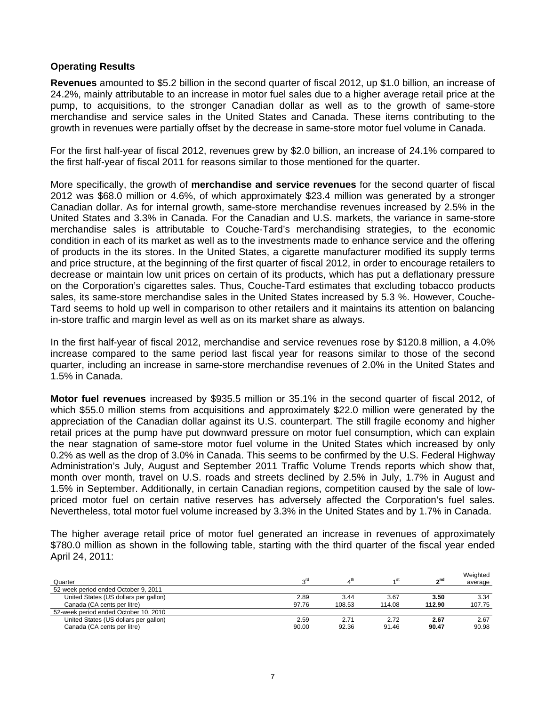# **Operating Results**

**Revenues** amounted to \$5.2 billion in the second quarter of fiscal 2012, up \$1.0 billion, an increase of 24.2%, mainly attributable to an increase in motor fuel sales due to a higher average retail price at the pump, to acquisitions, to the stronger Canadian dollar as well as to the growth of same-store merchandise and service sales in the United States and Canada. These items contributing to the growth in revenues were partially offset by the decrease in same-store motor fuel volume in Canada.

For the first half-year of fiscal 2012, revenues grew by \$2.0 billion, an increase of 24.1% compared to the first half-year of fiscal 2011 for reasons similar to those mentioned for the quarter.

More specifically, the growth of **merchandise and service revenues** for the second quarter of fiscal 2012 was \$68.0 million or 4.6%, of which approximately \$23.4 million was generated by a stronger Canadian dollar. As for internal growth, same-store merchandise revenues increased by 2.5% in the United States and 3.3% in Canada. For the Canadian and U.S. markets, the variance in same-store merchandise sales is attributable to Couche-Tard's merchandising strategies, to the economic condition in each of its market as well as to the investments made to enhance service and the offering of products in the its stores. In the United States, a cigarette manufacturer modified its supply terms and price structure, at the beginning of the first quarter of fiscal 2012, in order to encourage retailers to decrease or maintain low unit prices on certain of its products, which has put a deflationary pressure on the Corporation's cigarettes sales. Thus, Couche-Tard estimates that excluding tobacco products sales, its same-store merchandise sales in the United States increased by 5.3 %. However, Couche-Tard seems to hold up well in comparison to other retailers and it maintains its attention on balancing in-store traffic and margin level as well as on its market share as always.

In the first half-year of fiscal 2012, merchandise and service revenues rose by \$120.8 million, a 4.0% increase compared to the same period last fiscal year for reasons similar to those of the second quarter, including an increase in same-store merchandise revenues of 2.0% in the United States and 1.5% in Canada.

**Motor fuel revenues** increased by \$935.5 million or 35.1% in the second quarter of fiscal 2012, of which \$55.0 million stems from acquisitions and approximately \$22.0 million were generated by the appreciation of the Canadian dollar against its U.S. counterpart. The still fragile economy and higher retail prices at the pump have put downward pressure on motor fuel consumption, which can explain the near stagnation of same-store motor fuel volume in the United States which increased by only 0.2% as well as the drop of 3.0% in Canada. This seems to be confirmed by the U.S. Federal Highway Administration's July, August and September 2011 Traffic Volume Trends reports which show that, month over month, travel on U.S. roads and streets declined by 2.5% in July, 1.7% in August and 1.5% in September. Additionally, in certain Canadian regions, competition caused by the sale of lowpriced motor fuel on certain native reserves has adversely affected the Corporation's fuel sales. Nevertheless, total motor fuel volume increased by 3.3% in the United States and by 1.7% in Canada.

The higher average retail price of motor fuel generated an increase in revenues of approximately \$780.0 million as shown in the following table, starting with the third quarter of the fiscal year ended April 24, 2011:

| Quarter                               | סזבי  | $4^{\text{th}}$ | 4 <sup>St</sup> | "ე nd  | Weighted<br>average |
|---------------------------------------|-------|-----------------|-----------------|--------|---------------------|
| 52-week period ended October 9, 2011  |       |                 |                 |        |                     |
| United States (US dollars per gallon) | 2.89  | 3.44            | 3.67            | 3.50   | 3.34                |
| Canada (CA cents per litre)           | 97.76 | 108.53          | 114.08          | 112.90 | 107.75              |
| 52-week period ended October 10, 2010 |       |                 |                 |        |                     |
| United States (US dollars per gallon) | 2.59  | 2.71            | 2.72            | 2.67   | 2.67                |
| Canada (CA cents per litre)           | 90.00 | 92.36           | 91.46           | 90.47  | 90.98               |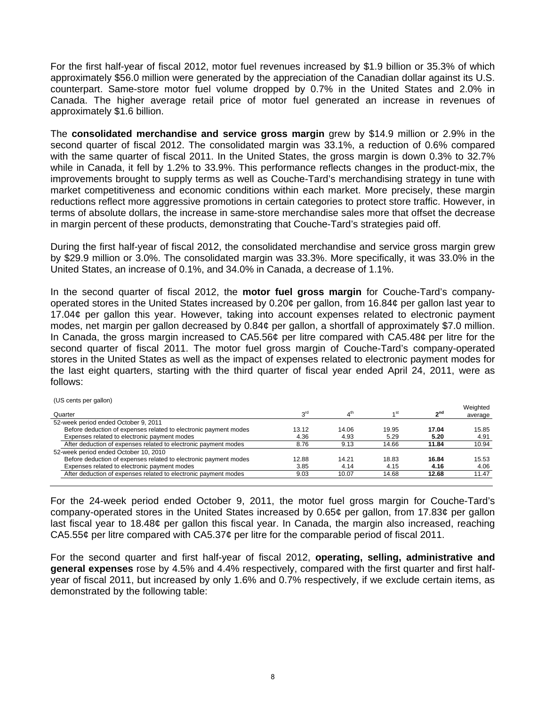For the first half-year of fiscal 2012, motor fuel revenues increased by \$1.9 billion or 35.3% of which approximately \$56.0 million were generated by the appreciation of the Canadian dollar against its U.S. counterpart. Same-store motor fuel volume dropped by 0.7% in the United States and 2.0% in Canada. The higher average retail price of motor fuel generated an increase in revenues of approximately \$1.6 billion.

The **consolidated merchandise and service gross margin** grew by \$14.9 million or 2.9% in the second quarter of fiscal 2012. The consolidated margin was 33.1%, a reduction of 0.6% compared with the same quarter of fiscal 2011. In the United States, the gross margin is down 0.3% to 32.7% while in Canada, it fell by 1.2% to 33.9%. This performance reflects changes in the product-mix, the improvements brought to supply terms as well as Couche-Tard's merchandising strategy in tune with market competitiveness and economic conditions within each market. More precisely, these margin reductions reflect more aggressive promotions in certain categories to protect store traffic. However, in terms of absolute dollars, the increase in same-store merchandise sales more that offset the decrease in margin percent of these products, demonstrating that Couche-Tard's strategies paid off.

During the first half-year of fiscal 2012, the consolidated merchandise and service gross margin grew by \$29.9 million or 3.0%. The consolidated margin was 33.3%. More specifically, it was 33.0% in the United States, an increase of 0.1%, and 34.0% in Canada, a decrease of 1.1%.

In the second quarter of fiscal 2012, the **motor fuel gross margin** for Couche-Tard's companyoperated stores in the United States increased by 0.20¢ per gallon, from 16.84¢ per gallon last year to 17.04¢ per gallon this year. However, taking into account expenses related to electronic payment modes, net margin per gallon decreased by 0.84¢ per gallon, a shortfall of approximately \$7.0 million. In Canada, the gross margin increased to CA5.56¢ per litre compared with CA5.48¢ per litre for the second quarter of fiscal 2011. The motor fuel gross margin of Couche-Tard's company-operated stores in the United States as well as the impact of expenses related to electronic payment modes for the last eight quarters, starting with the third quarter of fiscal year ended April 24, 2011, were as follows:

| ו טיס הפוווט מפווטוון<br>Quarter                                 | rdی   | 4 <sup>th</sup> | ⊿ st  | <sub>n</sub> nd | Weighted<br>average |
|------------------------------------------------------------------|-------|-----------------|-------|-----------------|---------------------|
| 52-week period ended October 9, 2011                             |       |                 |       |                 |                     |
| Before deduction of expenses related to electronic payment modes | 13.12 | 14.06           | 19.95 | 17.04           | 15.85               |
| Expenses related to electronic payment modes                     | 4.36  | 4.93            | 5.29  | 5.20            | 4.91                |
| After deduction of expenses related to electronic payment modes  | 8.76  | 9.13            | 14.66 | 11.84           | 10.94               |
| 52-week period ended October 10, 2010                            |       |                 |       |                 |                     |
| Before deduction of expenses related to electronic payment modes | 12.88 | 14.21           | 18.83 | 16.84           | 15.53               |
| Expenses related to electronic payment modes                     | 3.85  | 4.14            | 4.15  | 4.16            | 4.06                |
| After deduction of expenses related to electronic payment modes  | 9.03  | 10.07           | 14.68 | 12.68           | 11.47               |
|                                                                  |       |                 |       |                 |                     |

 $(118 \text{ conte nor gallon})$ 

For the 24-week period ended October 9, 2011, the motor fuel gross margin for Couche-Tard's company-operated stores in the United States increased by 0.65¢ per gallon, from 17.83¢ per gallon last fiscal year to 18.48¢ per gallon this fiscal year. In Canada, the margin also increased, reaching CA5.55¢ per litre compared with CA5.37¢ per litre for the comparable period of fiscal 2011.

For the second quarter and first half-year of fiscal 2012, **operating, selling, administrative and general expenses** rose by 4.5% and 4.4% respectively, compared with the first quarter and first halfyear of fiscal 2011, but increased by only 1.6% and 0.7% respectively, if we exclude certain items, as demonstrated by the following table: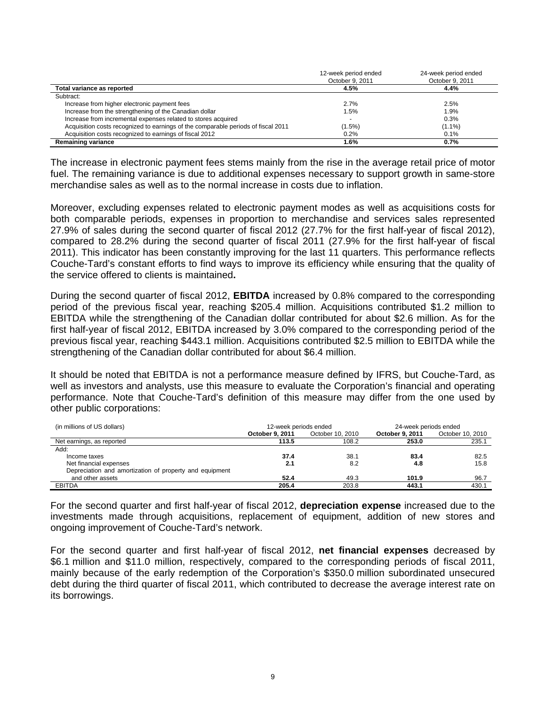|                                                                                   | 12-week period ended<br>October 9, 2011 | 24-week period ended<br>October 9, 2011 |
|-----------------------------------------------------------------------------------|-----------------------------------------|-----------------------------------------|
| Total variance as reported                                                        | 4.5%                                    | 4.4%                                    |
| Subtract:                                                                         |                                         |                                         |
| Increase from higher electronic payment fees                                      | 2.7%                                    | 2.5%                                    |
| Increase from the strengthening of the Canadian dollar                            | 1.5%                                    | 1.9%                                    |
| Increase from incremental expenses related to stores acquired                     |                                         | 0.3%                                    |
| Acquisition costs recognized to earnings of the comparable periods of fiscal 2011 | $(1.5\%)$                               | $(1.1\%)$                               |
| Acquisition costs recognized to earnings of fiscal 2012                           | 0.2%                                    | 0.1%                                    |
| <b>Remaining variance</b>                                                         | 1.6%                                    | 0.7%                                    |

The increase in electronic payment fees stems mainly from the rise in the average retail price of motor fuel. The remaining variance is due to additional expenses necessary to support growth in same-store merchandise sales as well as to the normal increase in costs due to inflation.

Moreover, excluding expenses related to electronic payment modes as well as acquisitions costs for both comparable periods, expenses in proportion to merchandise and services sales represented 27.9% of sales during the second quarter of fiscal 2012 (27.7% for the first half-year of fiscal 2012), compared to 28.2% during the second quarter of fiscal 2011 (27.9% for the first half-year of fiscal 2011). This indicator has been constantly improving for the last 11 quarters. This performance reflects Couche-Tard's constant efforts to find ways to improve its efficiency while ensuring that the quality of the service offered to clients is maintained**.** 

During the second quarter of fiscal 2012, **EBITDA** increased by 0.8% compared to the corresponding period of the previous fiscal year, reaching \$205.4 million. Acquisitions contributed \$1.2 million to EBITDA while the strengthening of the Canadian dollar contributed for about \$2.6 million. As for the first half-year of fiscal 2012, EBITDA increased by 3.0% compared to the corresponding period of the previous fiscal year, reaching \$443.1 million. Acquisitions contributed \$2.5 million to EBITDA while the strengthening of the Canadian dollar contributed for about \$6.4 million.

It should be noted that EBITDA is not a performance measure defined by IFRS, but Couche-Tard, as well as investors and analysts, use this measure to evaluate the Corporation's financial and operating performance. Note that Couche-Tard's definition of this measure may differ from the one used by other public corporations:

| (in millions of US dollars)                             | 12-week periods ended |                  | 24-week periods ended |                  |  |
|---------------------------------------------------------|-----------------------|------------------|-----------------------|------------------|--|
|                                                         | October 9, 2011       | October 10, 2010 | October 9, 2011       | October 10, 2010 |  |
| Net earnings, as reported                               | 113.5                 | 108.2            | 253.0                 | 235.1            |  |
| Add:                                                    |                       |                  |                       |                  |  |
| Income taxes                                            | 37.4                  | 38.1             | 83.4                  | 82.5             |  |
| Net financial expenses                                  | 2.1                   | 8.2              | 4.8                   | 15.8             |  |
| Depreciation and amortization of property and equipment |                       |                  |                       |                  |  |
| and other assets                                        | 52.4                  | 49.3             | 101.9                 | 96.7             |  |
| EBITDA                                                  | 205.4                 | 203.8            | 443.1                 | 430.1            |  |

For the second quarter and first half-year of fiscal 2012, **depreciation expense** increased due to the investments made through acquisitions, replacement of equipment, addition of new stores and ongoing improvement of Couche-Tard's network.

For the second quarter and first half-year of fiscal 2012, **net financial expenses** decreased by \$6.1 million and \$11.0 million, respectively, compared to the corresponding periods of fiscal 2011, mainly because of the early redemption of the Corporation's \$350.0 million subordinated unsecured debt during the third quarter of fiscal 2011, which contributed to decrease the average interest rate on its borrowings.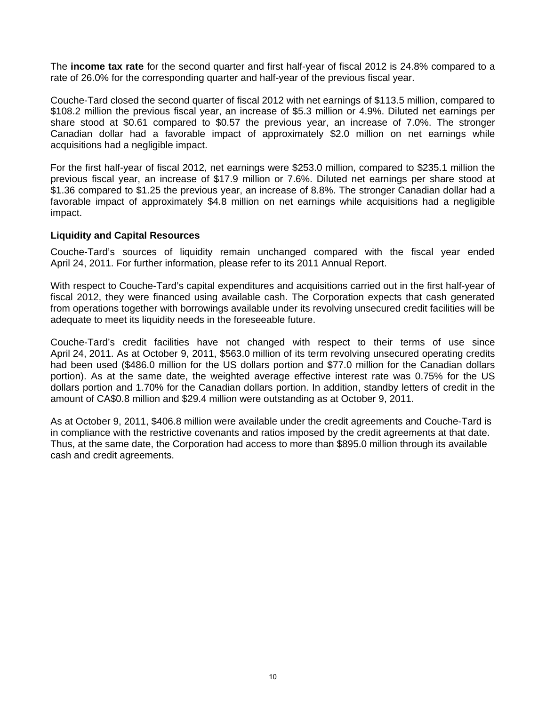The **income tax rate** for the second quarter and first half-year of fiscal 2012 is 24.8% compared to a rate of 26.0% for the corresponding quarter and half-year of the previous fiscal year.

Couche-Tard closed the second quarter of fiscal 2012 with net earnings of \$113.5 million, compared to \$108.2 million the previous fiscal year, an increase of \$5.3 million or 4.9%. Diluted net earnings per share stood at \$0.61 compared to \$0.57 the previous year, an increase of 7.0%. The stronger Canadian dollar had a favorable impact of approximately \$2.0 million on net earnings while acquisitions had a negligible impact.

For the first half-year of fiscal 2012, net earnings were \$253.0 million, compared to \$235.1 million the previous fiscal year, an increase of \$17.9 million or 7.6%. Diluted net earnings per share stood at \$1.36 compared to \$1.25 the previous year, an increase of 8.8%. The stronger Canadian dollar had a favorable impact of approximately \$4.8 million on net earnings while acquisitions had a negligible impact.

## **Liquidity and Capital Resources**

Couche-Tard's sources of liquidity remain unchanged compared with the fiscal year ended April 24, 2011. For further information, please refer to its 2011 Annual Report.

With respect to Couche-Tard's capital expenditures and acquisitions carried out in the first half-year of fiscal 2012, they were financed using available cash. The Corporation expects that cash generated from operations together with borrowings available under its revolving unsecured credit facilities will be adequate to meet its liquidity needs in the foreseeable future.

Couche-Tard's credit facilities have not changed with respect to their terms of use since April 24, 2011. As at October 9, 2011, \$563.0 million of its term revolving unsecured operating credits had been used (\$486.0 million for the US dollars portion and \$77.0 million for the Canadian dollars portion). As at the same date, the weighted average effective interest rate was 0.75% for the US dollars portion and 1.70% for the Canadian dollars portion. In addition, standby letters of credit in the amount of CA\$0.8 million and \$29.4 million were outstanding as at October 9, 2011.

As at October 9, 2011, \$406.8 million were available under the credit agreements and Couche-Tard is in compliance with the restrictive covenants and ratios imposed by the credit agreements at that date. Thus, at the same date, the Corporation had access to more than \$895.0 million through its available cash and credit agreements.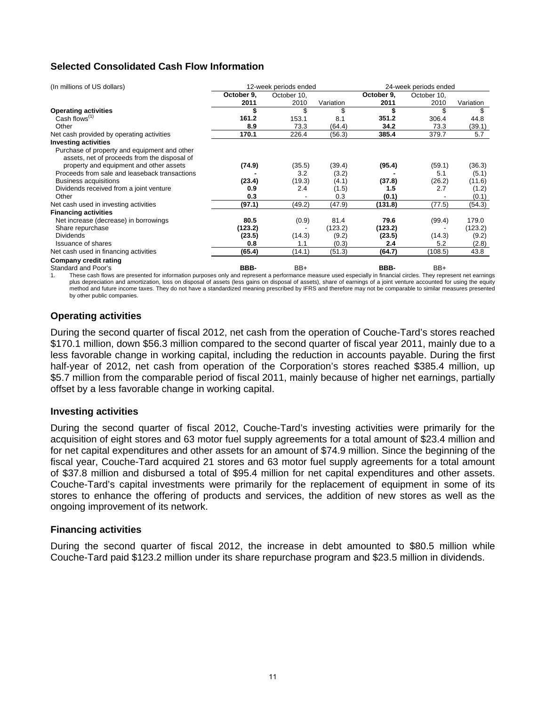# **Selected Consolidated Cash Flow Information**

| (In millions of US dollars)                   |            | 12-week periods ended |           |            | 24-week periods ended |           |  |  |
|-----------------------------------------------|------------|-----------------------|-----------|------------|-----------------------|-----------|--|--|
|                                               | October 9, | October 10,           |           | October 9. | October 10,           |           |  |  |
|                                               | 2011       | 2010                  | Variation | 2011       | 2010                  | Variation |  |  |
| <b>Operating activities</b>                   |            |                       | \$        | \$         |                       | \$        |  |  |
| Cash flows <sup>(1)</sup>                     | 161.2      | 153.1                 | 8.1       | 351.2      | 306.4                 | 44.8      |  |  |
| Other                                         | 8.9        | 73.3                  | (64.4)    | 34.2       | 73.3                  | (39.1)    |  |  |
| Net cash provided by operating activities     | 170.1      | 226.4                 | (56.3)    | 385.4      | 379.7                 | 5.7       |  |  |
| <b>Investing activities</b>                   |            |                       |           |            |                       |           |  |  |
| Purchase of property and equipment and other  |            |                       |           |            |                       |           |  |  |
| assets, net of proceeds from the disposal of  |            |                       |           |            |                       |           |  |  |
| property and equipment and other assets       | (74.9)     | (35.5)                | (39.4)    | (95.4)     | (59.1)                | (36.3)    |  |  |
| Proceeds from sale and leaseback transactions |            | 3.2                   | (3.2)     |            | 5.1                   | (5.1)     |  |  |
| Business acquisitions                         | (23.4)     | (19.3)                | (4.1)     | (37.8)     | (26.2)                | (11.6)    |  |  |
| Dividends received from a joint venture       | 0.9        | 2.4                   | (1.5)     | 1.5        | 2.7                   | (1.2)     |  |  |
| Other                                         | 0.3        |                       | 0.3       | (0.1)      |                       | (0.1)     |  |  |
| Net cash used in investing activities         | (97.1)     | (49.2)                | (47.9)    | (131.8)    | (77.5)                | (54.3)    |  |  |
| <b>Financing activities</b>                   |            |                       |           |            |                       |           |  |  |
| Net increase (decrease) in borrowings         | 80.5       | (0.9)                 | 81.4      | 79.6       | (99.4)                | 179.0     |  |  |
| Share repurchase                              | (123.2)    |                       | (123.2)   | (123.2)    |                       | (123.2)   |  |  |
| <b>Dividends</b>                              | (23.5)     | (14.3)                | (9.2)     | (23.5)     | (14.3)                | (9.2)     |  |  |
| <b>Issuance of shares</b>                     | 0.8        | 1.1                   | (0.3)     | 2.4        | 5.2                   | (2.8)     |  |  |
| Net cash used in financing activities         | (65.4)     | (14.1)                | (51.3)    | (64.7)     | (108.5)               | 43.8      |  |  |
| Company credit rating                         |            |                       |           |            |                       |           |  |  |
| Standard and Poor's                           | BBB-       | BB+                   |           | BBB-       | BB+                   |           |  |  |

These cash flows are presented for information purposes only and represent a performance measure used especially in financial circles. They represent net earnings plus depreciation and amortization, loss on disposal of assets (less gains on disposal of assets), share of earnings of a joint venture accounted for using the equity method and future income taxes. They do not have a standardized meaning prescribed by IFRS and therefore may not be comparable to similar measures presented by other public companies.

# **Operating activities**

During the second quarter of fiscal 2012, net cash from the operation of Couche-Tard's stores reached \$170.1 million, down \$56.3 million compared to the second quarter of fiscal year 2011, mainly due to a less favorable change in working capital, including the reduction in accounts payable. During the first half-year of 2012, net cash from operation of the Corporation's stores reached \$385.4 million, up \$5.7 million from the comparable period of fiscal 2011, mainly because of higher net earnings, partially offset by a less favorable change in working capital.

## **Investing activities**

During the second quarter of fiscal 2012, Couche-Tard's investing activities were primarily for the acquisition of eight stores and 63 motor fuel supply agreements for a total amount of \$23.4 million and for net capital expenditures and other assets for an amount of \$74.9 million. Since the beginning of the fiscal year, Couche-Tard acquired 21 stores and 63 motor fuel supply agreements for a total amount of \$37.8 million and disbursed a total of \$95.4 million for net capital expenditures and other assets. Couche-Tard's capital investments were primarily for the replacement of equipment in some of its stores to enhance the offering of products and services, the addition of new stores as well as the ongoing improvement of its network.

## **Financing activities**

During the second quarter of fiscal 2012, the increase in debt amounted to \$80.5 million while Couche-Tard paid \$123.2 million under its share repurchase program and \$23.5 million in dividends.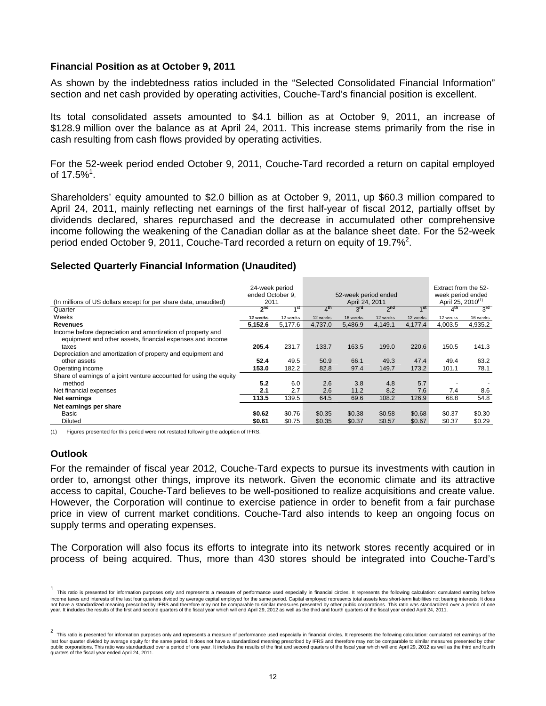## **Financial Position as at October 9, 2011**

As shown by the indebtedness ratios included in the "Selected Consolidated Financial Information" section and net cash provided by operating activities, Couche-Tard's financial position is excellent.

Its total consolidated assets amounted to \$4.1 billion as at October 9, 2011, an increase of \$128.9 million over the balance as at April 24, 2011. This increase stems primarily from the rise in cash resulting from cash flows provided by operating activities.

For the 52-week period ended October 9, 2011, Couche-Tard recorded a return on capital employed of 17.5% $^1$ .

Shareholders' equity amounted to \$2.0 billion as at October 9, 2011, up \$60.3 million compared to April 24, 2011, mainly reflecting net earnings of the first half-year of fiscal 2012, partially offset by dividends declared, shares repurchased and the decrease in accumulated other comprehensive income following the weakening of the Canadian dollar as at the balance sheet date. For the 52-week period ended October 9, 2011, Couche-Tard recorded a return on equity of 19.7%<sup>2</sup>.

## **Selected Quarterly Financial Information (Unaudited)**

| (In millions of US dollars except for per share data, unaudited)    | 24-week period<br>ended October 9.<br>2011 |          | 52-week period ended<br>April 24, 2011 |                 |                 | Extract from the 52-<br>week period ended<br>April 25, 2010 <sup>(1)</sup> |                 |          |
|---------------------------------------------------------------------|--------------------------------------------|----------|----------------------------------------|-----------------|-----------------|----------------------------------------------------------------------------|-----------------|----------|
| Quarter                                                             | 2 <sup>nd</sup>                            | $A$ St   | 4 <sup>th</sup>                        | 3 <sup>rd</sup> | 2 <sup>nd</sup> | $4$ st                                                                     | 4 <sup>th</sup> | $3^{rd}$ |
| Weeks                                                               | 12 weeks                                   | 12 weeks | 12 weeks                               | 16 weeks        | 12 weeks        | 12 weeks                                                                   | 12 weeks        | 16 weeks |
| <b>Revenues</b>                                                     | 5,152.6                                    | 5,177.6  | 4,737.0                                | 5,486.9         | 4,149.1         | 4.177.4                                                                    | 4,003.5         | 4,935.2  |
| Income before depreciation and amortization of property and         |                                            |          |                                        |                 |                 |                                                                            |                 |          |
| equipment and other assets, financial expenses and income           |                                            |          |                                        |                 |                 |                                                                            |                 |          |
| taxes                                                               | 205.4                                      | 231.7    | 133.7                                  | 163.5           | 199.0           | 220.6                                                                      | 150.5           | 141.3    |
| Depreciation and amortization of property and equipment and         |                                            |          |                                        |                 |                 |                                                                            |                 |          |
| other assets                                                        | 52.4                                       | 49.5     | 50.9                                   | 66.1            | 49.3            | 47.4                                                                       | 49.4            | 63.2     |
| Operating income                                                    | 153.0                                      | 182.2    | 82.8                                   | 97.4            | 149.7           | 173.2                                                                      | 101.1           | 78.1     |
| Share of earnings of a joint venture accounted for using the equity |                                            |          |                                        |                 |                 |                                                                            |                 |          |
| method                                                              | 5.2                                        | 6.0      | 2.6                                    | 3.8             | 4.8             | 5.7                                                                        |                 |          |
| Net financial expenses                                              | 2.1                                        | 2.7      | 2.6                                    | 11.2            | 8.2             | 7.6                                                                        | 7.4             | 8.6      |
| Net earnings                                                        | 113.5                                      | 139.5    | 64.5                                   | 69.6            | 108.2           | 126.9                                                                      | 68.8            | 54.8     |
| Net earnings per share                                              |                                            |          |                                        |                 |                 |                                                                            |                 |          |
| Basic                                                               | \$0.62                                     | \$0.76   | \$0.35                                 | \$0.38          | \$0.58          | \$0.68                                                                     | \$0.37          | \$0.30   |
| Diluted                                                             | \$0.61                                     | \$0.75   | \$0.35                                 | \$0.37          | \$0.57          | \$0.67                                                                     | \$0.37          | \$0.29   |

(1) Figures presented for this period were not restated following the adoption of IFRS.

# **Outlook**

For the remainder of fiscal year 2012, Couche-Tard expects to pursue its investments with caution in order to, amongst other things, improve its network. Given the economic climate and its attractive access to capital, Couche-Tard believes to be well-positioned to realize acquisitions and create value. However, the Corporation will continue to exercise patience in order to benefit from a fair purchase price in view of current market conditions. Couche-Tard also intends to keep an ongoing focus on supply terms and operating expenses.

The Corporation will also focus its efforts to integrate into its network stores recently acquired or in process of being acquired. Thus, more than 430 stores should be integrated into Couche-Tard's

 $\mathbf{1}$ This ratio is presented for information purposes only and represents a measure of performance used especially in financial circles. It represents the following calculation: cumulated earning before income taxes and interests of the last four quarters divided by average capital employed for the same period. Capital employed represents total assets less short-term liabilities not bearing interests. It does not have a standardized meaning prescribed by IFRS and therefore may not be comparable to similar measures presented by other public corporations. This ratio was standardized over a period of one<br>year. It includes the resu

<sup>&</sup>lt;sup>2</sup> This ratio is presented for information purposes only and represents a measure of performance used especially in financial circles. It represents the following calculation: cumulated net earnings of the<br>This ratio is p last four quarter divided by average equity for the same period. It does not have a standardized meaning prescribed by IFRS and therefore may not be comparable to similar measures presented by other<br>public corporations. Th quarters of the fiscal year ended April 24, 2011.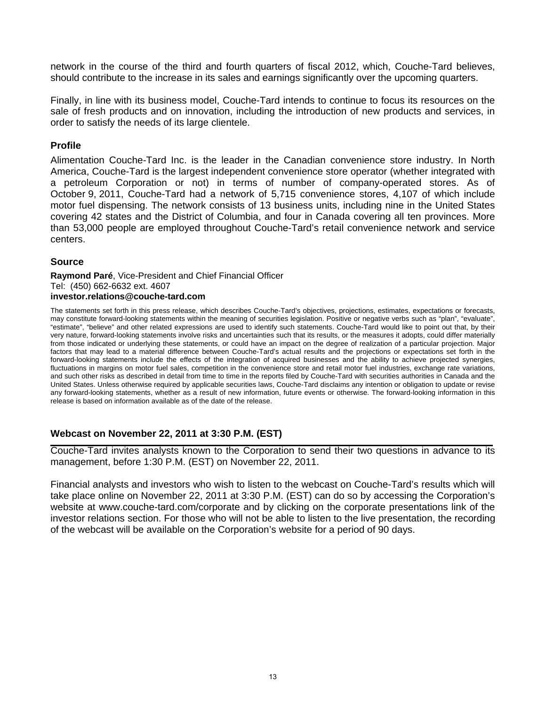network in the course of the third and fourth quarters of fiscal 2012, which, Couche-Tard believes, should contribute to the increase in its sales and earnings significantly over the upcoming quarters.

Finally, in line with its business model, Couche-Tard intends to continue to focus its resources on the sale of fresh products and on innovation, including the introduction of new products and services, in order to satisfy the needs of its large clientele.

# **Profile**

Alimentation Couche-Tard Inc. is the leader in the Canadian convenience store industry. In North America, Couche-Tard is the largest independent convenience store operator (whether integrated with a petroleum Corporation or not) in terms of number of company-operated stores. As of October 9, 2011, Couche-Tard had a network of 5,715 convenience stores, 4,107 of which include motor fuel dispensing. The network consists of 13 business units, including nine in the United States covering 42 states and the District of Columbia, and four in Canada covering all ten provinces. More than 53,000 people are employed throughout Couche-Tard's retail convenience network and service centers.

# **Source**

**Raymond Paré**, Vice-President and Chief Financial Officer Tel: (450) 662-6632 ext. 4607 **investor.relations@couche-tard.com** 

The statements set forth in this press release, which describes Couche-Tard's objectives, projections, estimates, expectations or forecasts, may constitute forward-looking statements within the meaning of securities legislation. Positive or negative verbs such as "plan", "evaluate", "estimate", "believe" and other related expressions are used to identify such statements. Couche-Tard would like to point out that, by their very nature, forward-looking statements involve risks and uncertainties such that its results, or the measures it adopts, could differ materially from those indicated or underlying these statements, or could have an impact on the degree of realization of a particular projection. Major factors that may lead to a material difference between Couche-Tard's actual results and the projections or expectations set forth in the forward-looking statements include the effects of the integration of acquired businesses and the ability to achieve projected synergies, fluctuations in margins on motor fuel sales, competition in the convenience store and retail motor fuel industries, exchange rate variations, and such other risks as described in detail from time to time in the reports filed by Couche-Tard with securities authorities in Canada and the United States. Unless otherwise required by applicable securities laws, Couche-Tard disclaims any intention or obligation to update or revise any forward-looking statements, whether as a result of new information, future events or otherwise. The forward-looking information in this release is based on information available as of the date of the release.

# **Webcast on November 22, 2011 at 3:30 P.M. (EST)**

Couche-Tard invites analysts known to the Corporation to send their two questions in advance to its management, before 1:30 P.M. (EST) on November 22, 2011.

Financial analysts and investors who wish to listen to the webcast on Couche-Tard's results which will take place online on November 22, 2011 at 3:30 P.M. (EST) can do so by accessing the Corporation's website at www.couche-tard.com/corporate and by clicking on the corporate presentations link of the investor relations section. For those who will not be able to listen to the live presentation, the recording of the webcast will be available on the Corporation's website for a period of 90 days.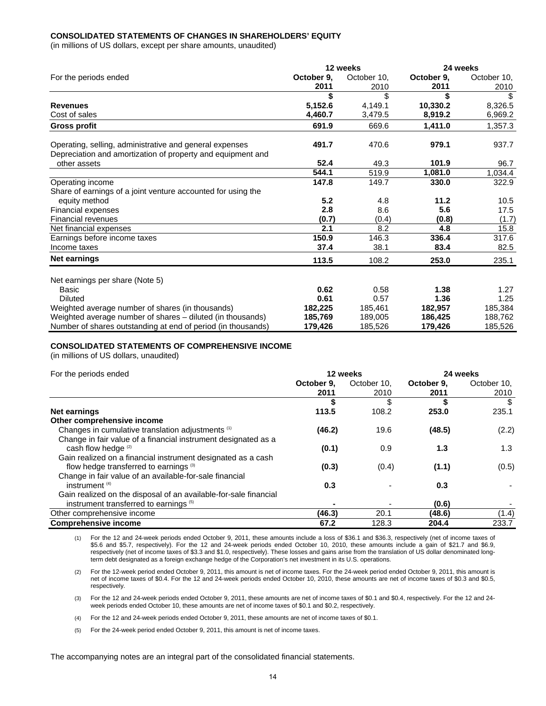### **CONSOLIDATED STATEMENTS OF CHANGES IN SHAREHOLDERS' EQUITY**

(in millions of US dollars, except per share amounts, unaudited)

|                                                              |            | 12 weeks    | 24 weeks   |             |  |
|--------------------------------------------------------------|------------|-------------|------------|-------------|--|
| For the periods ended                                        | October 9. | October 10, | October 9. | October 10, |  |
|                                                              | 2011       | 2010        | 2011       | 2010        |  |
|                                                              | \$         | \$          | \$         |             |  |
| <b>Revenues</b>                                              | 5,152.6    | 4,149.1     | 10,330.2   | 8,326.5     |  |
| Cost of sales                                                | 4,460.7    | 3,479.5     | 8,919.2    | 6,969.2     |  |
| <b>Gross profit</b>                                          | 691.9      | 669.6       | 1,411.0    | 1,357.3     |  |
| Operating, selling, administrative and general expenses      | 491.7      | 470.6       | 979.1      | 937.7       |  |
| Depreciation and amortization of property and equipment and  |            |             |            |             |  |
| other assets                                                 | 52.4       | 49.3        | 101.9      | 96.7        |  |
|                                                              | 544.1      | 519.9       | 1,081.0    | 1,034.4     |  |
| Operating income                                             | 147.8      | 149.7       | 330.0      | 322.9       |  |
| Share of earnings of a joint venture accounted for using the |            |             |            |             |  |
| equity method                                                | 5.2        | 4.8         | 11.2       | 10.5        |  |
| <b>Financial expenses</b>                                    | 2.8        | 8.6         | 5.6        | 17.5        |  |
| <b>Financial revenues</b>                                    | (0.7)      | (0.4)       | (0.8)      | (1.7)       |  |
| Net financial expenses                                       | 2.1        | 8.2         | 4.8        | 15.8        |  |
| Earnings before income taxes                                 | 150.9      | 146.3       | 336.4      | 317.6       |  |
| Income taxes                                                 | 37.4       | 38.1        | 83.4       | 82.5        |  |
| Net earnings                                                 | 113.5      | 108.2       | 253.0      | 235.1       |  |
| Net earnings per share (Note 5)                              |            |             |            |             |  |
| Basic                                                        | 0.62       | 0.58        | 1.38       | 1.27        |  |
| <b>Diluted</b>                                               | 0.61       | 0.57        | 1.36       | 1.25        |  |
| Weighted average number of shares (in thousands)             | 182,225    | 185,461     | 182,957    | 185,384     |  |
| Weighted average number of shares - diluted (in thousands)   | 185,769    | 189,005     | 186,425    | 188,762     |  |
| Number of shares outstanding at end of period (in thousands) | 179,426    | 185,526     | 179,426    | 185,526     |  |

### **CONSOLIDATED STATEMENTS OF COMPREHENSIVE INCOME**

(in millions of US dollars, unaudited)

| For the periods ended                                            |            | 12 weeks    | 24 weeks   |             |  |
|------------------------------------------------------------------|------------|-------------|------------|-------------|--|
|                                                                  | October 9. | October 10. | October 9. | October 10, |  |
|                                                                  | 2011       | 2010        | 2011       | 2010        |  |
|                                                                  |            | \$          |            | S           |  |
| Net earnings                                                     | 113.5      | 108.2       | 253.0      | 235.1       |  |
| Other comprehensive income                                       |            |             |            |             |  |
| Changes in cumulative translation adjustments (1)                | (46.2)     | 19.6        | (48.5)     | (2.2)       |  |
| Change in fair value of a financial instrument designated as a   |            |             |            |             |  |
| cash flow hedge (2)                                              | (0.1)      | 0.9         | 1.3        | 1.3         |  |
| Gain realized on a financial instrument designated as a cash     |            |             |            |             |  |
| flow hedge transferred to earnings <sup>(3)</sup>                | (0.3)      | (0.4)       | (1.1)      | (0.5)       |  |
| Change in fair value of an available-for-sale financial          |            |             |            |             |  |
| instrument $(4)$                                                 | 0.3        |             | 0.3        |             |  |
| Gain realized on the disposal of an available-for-sale financial |            |             |            |             |  |
| instrument transferred to earnings (5)                           |            |             | (0.6)      |             |  |
| Other comprehensive income                                       | (46.3)     | 20.1        | (48.6)     | (1.4)       |  |
| <b>Comprehensive income</b>                                      | 67.2       | 128.3       | 204.4      | 233.7       |  |

(1) For the 12 and 24-week periods ended October 9, 2011, these amounts include a loss of \$36.1 and \$36.3, respectively (net of income taxes of \$5.6 and \$5.7, respectively). For the 12 and 24-week periods ended October 10, 2010, these amounts include a gain of \$21.7 and \$6.9, respectively (net of income taxes of \$3.3 and \$1.0, respectively). These losses and gains arise from the translation of US dollar denominated longterm debt designated as a foreign exchange hedge of the Corporation's net investment in its U.S. operations.

(2) For the 12-week period ended October 9, 2011, this amount is net of income taxes. For the 24-week period ended October 9, 2011, this amount is net of income taxes of \$0.4. For the 12 and 24-week periods ended October 10, 2010, these amounts are net of income taxes of \$0.3 and \$0.5, respectively.

(3) For the 12 and 24-week periods ended October 9, 2011, these amounts are net of income taxes of \$0.1 and \$0.4, respectively. For the 12 and 24 week periods ended October 10, these amounts are net of income taxes of \$0.1 and \$0.2, respectively.

(4) For the 12 and 24-week periods ended October 9, 2011, these amounts are net of income taxes of \$0.1.

(5) For the 24-week period ended October 9, 2011, this amount is net of income taxes.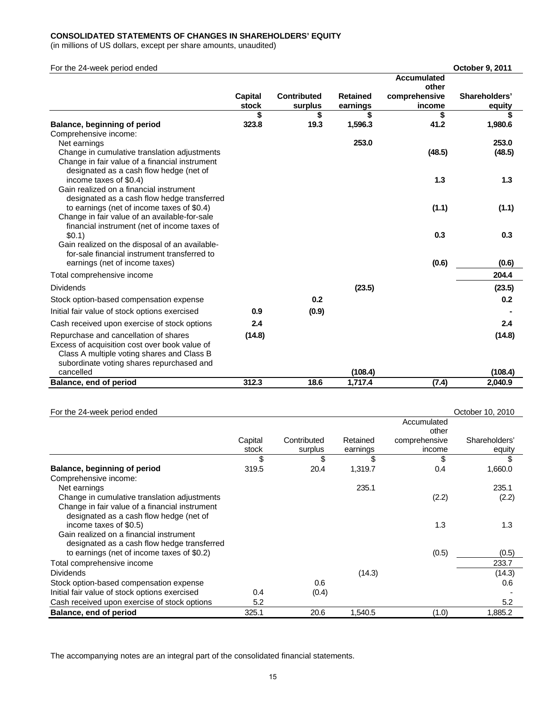## **CONSOLIDATED STATEMENTS OF CHANGES IN SHAREHOLDERS' EQUITY**

(in millions of US dollars, except per share amounts, unaudited)

| For the 24-week period ended                                                                  |             |                    |                 |                    | October 9, 2011 |
|-----------------------------------------------------------------------------------------------|-------------|--------------------|-----------------|--------------------|-----------------|
|                                                                                               |             |                    |                 | <b>Accumulated</b> |                 |
|                                                                                               |             |                    |                 | other              |                 |
|                                                                                               | Capital     | <b>Contributed</b> | <b>Retained</b> | comprehensive      | Shareholders'   |
|                                                                                               | stock       | surplus            | earnings        | income             | equity          |
| Balance, beginning of period                                                                  | \$<br>323.8 | \$<br>19.3         | \$<br>1,596.3   | \$<br>41.2         | S<br>1,980.6    |
| Comprehensive income:                                                                         |             |                    |                 |                    |                 |
| Net earnings                                                                                  |             |                    | 253.0           |                    | 253.0           |
| Change in cumulative translation adjustments                                                  |             |                    |                 | (48.5)             | (48.5)          |
| Change in fair value of a financial instrument                                                |             |                    |                 |                    |                 |
| designated as a cash flow hedge (net of                                                       |             |                    |                 |                    |                 |
| income taxes of \$0.4)                                                                        |             |                    |                 | 1.3                | 1.3             |
| Gain realized on a financial instrument                                                       |             |                    |                 |                    |                 |
| designated as a cash flow hedge transferred                                                   |             |                    |                 |                    |                 |
| to earnings (net of income taxes of \$0.4)                                                    |             |                    |                 | (1.1)              | (1.1)           |
| Change in fair value of an available-for-sale<br>financial instrument (net of income taxes of |             |                    |                 |                    |                 |
| \$0.1)                                                                                        |             |                    |                 | 0.3                | 0.3             |
| Gain realized on the disposal of an available-                                                |             |                    |                 |                    |                 |
| for-sale financial instrument transferred to                                                  |             |                    |                 |                    |                 |
| earnings (net of income taxes)                                                                |             |                    |                 | (0.6)              | (0.6)           |
| Total comprehensive income                                                                    |             |                    |                 |                    | 204.4           |
| <b>Dividends</b>                                                                              |             |                    | (23.5)          |                    | (23.5)          |
| Stock option-based compensation expense                                                       |             | 0.2                |                 |                    | 0.2             |
| Initial fair value of stock options exercised                                                 | 0.9         | (0.9)              |                 |                    |                 |
| Cash received upon exercise of stock options                                                  | 2.4         |                    |                 |                    | 2.4             |
| Repurchase and cancellation of shares                                                         | (14.8)      |                    |                 |                    | (14.8)          |
| Excess of acquisition cost over book value of                                                 |             |                    |                 |                    |                 |
| Class A multiple voting shares and Class B                                                    |             |                    |                 |                    |                 |
| subordinate voting shares repurchased and                                                     |             |                    |                 |                    |                 |
| cancelled                                                                                     |             |                    | (108.4)         |                    | (108.4)         |
| Balance, end of period                                                                        | 312.3       | 18.6               | 1,717.4         | (7.4)              | 2.040.9         |

| For the 24-week period ended                   |         |             |          |               | October 10, 2010 |
|------------------------------------------------|---------|-------------|----------|---------------|------------------|
|                                                |         |             |          | Accumulated   |                  |
|                                                |         |             |          | other         |                  |
|                                                | Capital | Contributed | Retained | comprehensive | Shareholders'    |
|                                                | stock   | surplus     | earnings | income        | equity           |
|                                                | \$      | \$          | \$       | \$            | \$               |
| Balance, beginning of period                   | 319.5   | 20.4        | 1,319.7  | 0.4           | 1,660.0          |
| Comprehensive income:                          |         |             |          |               |                  |
| Net earnings                                   |         |             | 235.1    |               | 235.1            |
| Change in cumulative translation adjustments   |         |             |          | (2.2)         | (2.2)            |
| Change in fair value of a financial instrument |         |             |          |               |                  |
| designated as a cash flow hedge (net of        |         |             |          |               |                  |
| income taxes of \$0.5)                         |         |             |          | 1.3           | 1.3              |
| Gain realized on a financial instrument        |         |             |          |               |                  |
| designated as a cash flow hedge transferred    |         |             |          |               |                  |
| to earnings (net of income taxes of \$0.2)     |         |             |          | (0.5)         | (0.5)            |
| Total comprehensive income                     |         |             |          |               | 233.7            |
| <b>Dividends</b>                               |         |             | (14.3)   |               | (14.3)           |
| Stock option-based compensation expense        |         | 0.6         |          |               | 0.6              |
| Initial fair value of stock options exercised  | 0.4     | (0.4)       |          |               |                  |
| Cash received upon exercise of stock options   | 5.2     |             |          |               | 5.2              |
| Balance, end of period                         | 325.1   | 20.6        | 1,540.5  | (1.0)         | 1,885.2          |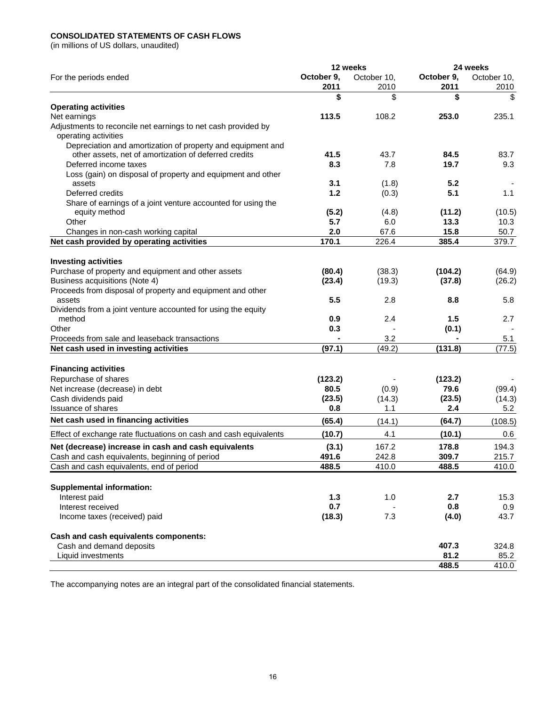## **CONSOLIDATED STATEMENTS OF CASH FLOWS**

(in millions of US dollars, unaudited)

| October 9.<br>October 9,<br>October 10,<br>October 10,<br>For the periods ended<br>2011<br>2011<br>2010<br>2010<br>\$<br>\$<br>\$<br>\$<br><b>Operating activities</b><br>113.5<br>253.0<br>108.2<br>235.1<br>Net earnings<br>Adjustments to reconcile net earnings to net cash provided by<br>operating activities<br>Depreciation and amortization of property and equipment and<br>other assets, net of amortization of deferred credits<br>41.5<br>43.7<br>84.5<br>83.7<br>19.7<br>Deferred income taxes<br>8.3<br>7.8<br>9.3<br>Loss (gain) on disposal of property and equipment and other<br>3.1<br>5.2<br>assets<br>(1.8)<br>Deferred credits<br>1.2<br>5.1<br>(0.3)<br>1.1<br>Share of earnings of a joint venture accounted for using the<br>(5.2)<br>(11.2)<br>equity method<br>(4.8)<br>13.3<br>Other<br>5.7<br>6.0<br>10.3<br>2.0<br>15.8<br>67.6<br>50.7<br>Changes in non-cash working capital<br>Net cash provided by operating activities<br>170.1<br>385.4<br>226.4<br>379.7<br><b>Investing activities</b><br>Purchase of property and equipment and other assets<br>(38.3)<br>(104.2)<br>(80.4)<br>Business acquisitions (Note 4)<br>(19.3)<br>(37.8)<br>(23.4)<br>Proceeds from disposal of property and equipment and other<br>5.5<br>8.8<br>assets<br>2.8<br>5.8<br>Dividends from a joint venture accounted for using the equity<br>0.9<br>2.4<br>1.5<br>2.7<br>method<br>Other<br>0.3<br>(0.1)<br>3.2<br>Proceeds from sale and leaseback transactions<br>5.1<br>Net cash used in investing activities<br>(97.1)<br>(131.8)<br>(49.2)<br><b>Financing activities</b><br>Repurchase of shares<br>(123.2)<br>(123.2)<br>Net increase (decrease) in debt<br>80.5<br>79.6<br>(0.9)<br>Cash dividends paid<br>(14.3)<br>(23.5)<br>(23.5)<br>Issuance of shares<br>0.8<br>1.1<br>2.4<br>5.2<br>Net cash used in financing activities<br>(65.4)<br>(14.1)<br>(64.7)<br>(108.5)<br>4.1<br>(10.1)<br>Effect of exchange rate fluctuations on cash and cash equivalents<br>(10.7)<br>0.6<br>Net (decrease) increase in cash and cash equivalents<br>167.2<br>178.8<br>194.3<br>(3.1)<br>Cash and cash equivalents, beginning of period<br>491.6<br>242.8<br>309.7<br>215.7<br>Cash and cash equivalents, end of period<br>488.5<br>410.0<br>488.5<br>410.0<br><b>Supplemental information:</b><br>Interest paid<br>1.3<br>1.0<br>2.7<br>15.3<br>0.7<br>Interest received<br>0.8<br>0.9<br>(18.3)<br>7.3<br>43.7<br>Income taxes (received) paid<br>(4.0)<br>Cash and cash equivalents components:<br>Cash and demand deposits<br>324.8<br>407.3<br>81.2<br>Liquid investments<br>85.2<br>488.5 |  | 12 weeks | 24 weeks |  |  |
|---------------------------------------------------------------------------------------------------------------------------------------------------------------------------------------------------------------------------------------------------------------------------------------------------------------------------------------------------------------------------------------------------------------------------------------------------------------------------------------------------------------------------------------------------------------------------------------------------------------------------------------------------------------------------------------------------------------------------------------------------------------------------------------------------------------------------------------------------------------------------------------------------------------------------------------------------------------------------------------------------------------------------------------------------------------------------------------------------------------------------------------------------------------------------------------------------------------------------------------------------------------------------------------------------------------------------------------------------------------------------------------------------------------------------------------------------------------------------------------------------------------------------------------------------------------------------------------------------------------------------------------------------------------------------------------------------------------------------------------------------------------------------------------------------------------------------------------------------------------------------------------------------------------------------------------------------------------------------------------------------------------------------------------------------------------------------------------------------------------------------------------------------------------------------------------------------------------------------------------------------------------------------------------------------------------------------------------------------------------------------------------------------------------------------------------------------------------------------------------------------------------------------------------------------------------------------------------------------------------|--|----------|----------|--|--|
|                                                                                                                                                                                                                                                                                                                                                                                                                                                                                                                                                                                                                                                                                                                                                                                                                                                                                                                                                                                                                                                                                                                                                                                                                                                                                                                                                                                                                                                                                                                                                                                                                                                                                                                                                                                                                                                                                                                                                                                                                                                                                                                                                                                                                                                                                                                                                                                                                                                                                                                                                                                                               |  |          |          |  |  |
|                                                                                                                                                                                                                                                                                                                                                                                                                                                                                                                                                                                                                                                                                                                                                                                                                                                                                                                                                                                                                                                                                                                                                                                                                                                                                                                                                                                                                                                                                                                                                                                                                                                                                                                                                                                                                                                                                                                                                                                                                                                                                                                                                                                                                                                                                                                                                                                                                                                                                                                                                                                                               |  |          |          |  |  |
|                                                                                                                                                                                                                                                                                                                                                                                                                                                                                                                                                                                                                                                                                                                                                                                                                                                                                                                                                                                                                                                                                                                                                                                                                                                                                                                                                                                                                                                                                                                                                                                                                                                                                                                                                                                                                                                                                                                                                                                                                                                                                                                                                                                                                                                                                                                                                                                                                                                                                                                                                                                                               |  |          |          |  |  |
|                                                                                                                                                                                                                                                                                                                                                                                                                                                                                                                                                                                                                                                                                                                                                                                                                                                                                                                                                                                                                                                                                                                                                                                                                                                                                                                                                                                                                                                                                                                                                                                                                                                                                                                                                                                                                                                                                                                                                                                                                                                                                                                                                                                                                                                                                                                                                                                                                                                                                                                                                                                                               |  |          |          |  |  |
|                                                                                                                                                                                                                                                                                                                                                                                                                                                                                                                                                                                                                                                                                                                                                                                                                                                                                                                                                                                                                                                                                                                                                                                                                                                                                                                                                                                                                                                                                                                                                                                                                                                                                                                                                                                                                                                                                                                                                                                                                                                                                                                                                                                                                                                                                                                                                                                                                                                                                                                                                                                                               |  |          |          |  |  |
|                                                                                                                                                                                                                                                                                                                                                                                                                                                                                                                                                                                                                                                                                                                                                                                                                                                                                                                                                                                                                                                                                                                                                                                                                                                                                                                                                                                                                                                                                                                                                                                                                                                                                                                                                                                                                                                                                                                                                                                                                                                                                                                                                                                                                                                                                                                                                                                                                                                                                                                                                                                                               |  |          |          |  |  |
| (10.5)                                                                                                                                                                                                                                                                                                                                                                                                                                                                                                                                                                                                                                                                                                                                                                                                                                                                                                                                                                                                                                                                                                                                                                                                                                                                                                                                                                                                                                                                                                                                                                                                                                                                                                                                                                                                                                                                                                                                                                                                                                                                                                                                                                                                                                                                                                                                                                                                                                                                                                                                                                                                        |  |          |          |  |  |
|                                                                                                                                                                                                                                                                                                                                                                                                                                                                                                                                                                                                                                                                                                                                                                                                                                                                                                                                                                                                                                                                                                                                                                                                                                                                                                                                                                                                                                                                                                                                                                                                                                                                                                                                                                                                                                                                                                                                                                                                                                                                                                                                                                                                                                                                                                                                                                                                                                                                                                                                                                                                               |  |          |          |  |  |
|                                                                                                                                                                                                                                                                                                                                                                                                                                                                                                                                                                                                                                                                                                                                                                                                                                                                                                                                                                                                                                                                                                                                                                                                                                                                                                                                                                                                                                                                                                                                                                                                                                                                                                                                                                                                                                                                                                                                                                                                                                                                                                                                                                                                                                                                                                                                                                                                                                                                                                                                                                                                               |  |          |          |  |  |
|                                                                                                                                                                                                                                                                                                                                                                                                                                                                                                                                                                                                                                                                                                                                                                                                                                                                                                                                                                                                                                                                                                                                                                                                                                                                                                                                                                                                                                                                                                                                                                                                                                                                                                                                                                                                                                                                                                                                                                                                                                                                                                                                                                                                                                                                                                                                                                                                                                                                                                                                                                                                               |  |          |          |  |  |
|                                                                                                                                                                                                                                                                                                                                                                                                                                                                                                                                                                                                                                                                                                                                                                                                                                                                                                                                                                                                                                                                                                                                                                                                                                                                                                                                                                                                                                                                                                                                                                                                                                                                                                                                                                                                                                                                                                                                                                                                                                                                                                                                                                                                                                                                                                                                                                                                                                                                                                                                                                                                               |  |          |          |  |  |
|                                                                                                                                                                                                                                                                                                                                                                                                                                                                                                                                                                                                                                                                                                                                                                                                                                                                                                                                                                                                                                                                                                                                                                                                                                                                                                                                                                                                                                                                                                                                                                                                                                                                                                                                                                                                                                                                                                                                                                                                                                                                                                                                                                                                                                                                                                                                                                                                                                                                                                                                                                                                               |  |          |          |  |  |
|                                                                                                                                                                                                                                                                                                                                                                                                                                                                                                                                                                                                                                                                                                                                                                                                                                                                                                                                                                                                                                                                                                                                                                                                                                                                                                                                                                                                                                                                                                                                                                                                                                                                                                                                                                                                                                                                                                                                                                                                                                                                                                                                                                                                                                                                                                                                                                                                                                                                                                                                                                                                               |  |          |          |  |  |
|                                                                                                                                                                                                                                                                                                                                                                                                                                                                                                                                                                                                                                                                                                                                                                                                                                                                                                                                                                                                                                                                                                                                                                                                                                                                                                                                                                                                                                                                                                                                                                                                                                                                                                                                                                                                                                                                                                                                                                                                                                                                                                                                                                                                                                                                                                                                                                                                                                                                                                                                                                                                               |  |          |          |  |  |
|                                                                                                                                                                                                                                                                                                                                                                                                                                                                                                                                                                                                                                                                                                                                                                                                                                                                                                                                                                                                                                                                                                                                                                                                                                                                                                                                                                                                                                                                                                                                                                                                                                                                                                                                                                                                                                                                                                                                                                                                                                                                                                                                                                                                                                                                                                                                                                                                                                                                                                                                                                                                               |  |          |          |  |  |
|                                                                                                                                                                                                                                                                                                                                                                                                                                                                                                                                                                                                                                                                                                                                                                                                                                                                                                                                                                                                                                                                                                                                                                                                                                                                                                                                                                                                                                                                                                                                                                                                                                                                                                                                                                                                                                                                                                                                                                                                                                                                                                                                                                                                                                                                                                                                                                                                                                                                                                                                                                                                               |  |          |          |  |  |
| (64.9)<br>(26.2)<br>(77.5)<br>(99.4)<br>(14.3)<br>410.0                                                                                                                                                                                                                                                                                                                                                                                                                                                                                                                                                                                                                                                                                                                                                                                                                                                                                                                                                                                                                                                                                                                                                                                                                                                                                                                                                                                                                                                                                                                                                                                                                                                                                                                                                                                                                                                                                                                                                                                                                                                                                                                                                                                                                                                                                                                                                                                                                                                                                                                                                       |  |          |          |  |  |
|                                                                                                                                                                                                                                                                                                                                                                                                                                                                                                                                                                                                                                                                                                                                                                                                                                                                                                                                                                                                                                                                                                                                                                                                                                                                                                                                                                                                                                                                                                                                                                                                                                                                                                                                                                                                                                                                                                                                                                                                                                                                                                                                                                                                                                                                                                                                                                                                                                                                                                                                                                                                               |  |          |          |  |  |
|                                                                                                                                                                                                                                                                                                                                                                                                                                                                                                                                                                                                                                                                                                                                                                                                                                                                                                                                                                                                                                                                                                                                                                                                                                                                                                                                                                                                                                                                                                                                                                                                                                                                                                                                                                                                                                                                                                                                                                                                                                                                                                                                                                                                                                                                                                                                                                                                                                                                                                                                                                                                               |  |          |          |  |  |
|                                                                                                                                                                                                                                                                                                                                                                                                                                                                                                                                                                                                                                                                                                                                                                                                                                                                                                                                                                                                                                                                                                                                                                                                                                                                                                                                                                                                                                                                                                                                                                                                                                                                                                                                                                                                                                                                                                                                                                                                                                                                                                                                                                                                                                                                                                                                                                                                                                                                                                                                                                                                               |  |          |          |  |  |
|                                                                                                                                                                                                                                                                                                                                                                                                                                                                                                                                                                                                                                                                                                                                                                                                                                                                                                                                                                                                                                                                                                                                                                                                                                                                                                                                                                                                                                                                                                                                                                                                                                                                                                                                                                                                                                                                                                                                                                                                                                                                                                                                                                                                                                                                                                                                                                                                                                                                                                                                                                                                               |  |          |          |  |  |
|                                                                                                                                                                                                                                                                                                                                                                                                                                                                                                                                                                                                                                                                                                                                                                                                                                                                                                                                                                                                                                                                                                                                                                                                                                                                                                                                                                                                                                                                                                                                                                                                                                                                                                                                                                                                                                                                                                                                                                                                                                                                                                                                                                                                                                                                                                                                                                                                                                                                                                                                                                                                               |  |          |          |  |  |
|                                                                                                                                                                                                                                                                                                                                                                                                                                                                                                                                                                                                                                                                                                                                                                                                                                                                                                                                                                                                                                                                                                                                                                                                                                                                                                                                                                                                                                                                                                                                                                                                                                                                                                                                                                                                                                                                                                                                                                                                                                                                                                                                                                                                                                                                                                                                                                                                                                                                                                                                                                                                               |  |          |          |  |  |
|                                                                                                                                                                                                                                                                                                                                                                                                                                                                                                                                                                                                                                                                                                                                                                                                                                                                                                                                                                                                                                                                                                                                                                                                                                                                                                                                                                                                                                                                                                                                                                                                                                                                                                                                                                                                                                                                                                                                                                                                                                                                                                                                                                                                                                                                                                                                                                                                                                                                                                                                                                                                               |  |          |          |  |  |
|                                                                                                                                                                                                                                                                                                                                                                                                                                                                                                                                                                                                                                                                                                                                                                                                                                                                                                                                                                                                                                                                                                                                                                                                                                                                                                                                                                                                                                                                                                                                                                                                                                                                                                                                                                                                                                                                                                                                                                                                                                                                                                                                                                                                                                                                                                                                                                                                                                                                                                                                                                                                               |  |          |          |  |  |
|                                                                                                                                                                                                                                                                                                                                                                                                                                                                                                                                                                                                                                                                                                                                                                                                                                                                                                                                                                                                                                                                                                                                                                                                                                                                                                                                                                                                                                                                                                                                                                                                                                                                                                                                                                                                                                                                                                                                                                                                                                                                                                                                                                                                                                                                                                                                                                                                                                                                                                                                                                                                               |  |          |          |  |  |
|                                                                                                                                                                                                                                                                                                                                                                                                                                                                                                                                                                                                                                                                                                                                                                                                                                                                                                                                                                                                                                                                                                                                                                                                                                                                                                                                                                                                                                                                                                                                                                                                                                                                                                                                                                                                                                                                                                                                                                                                                                                                                                                                                                                                                                                                                                                                                                                                                                                                                                                                                                                                               |  |          |          |  |  |
|                                                                                                                                                                                                                                                                                                                                                                                                                                                                                                                                                                                                                                                                                                                                                                                                                                                                                                                                                                                                                                                                                                                                                                                                                                                                                                                                                                                                                                                                                                                                                                                                                                                                                                                                                                                                                                                                                                                                                                                                                                                                                                                                                                                                                                                                                                                                                                                                                                                                                                                                                                                                               |  |          |          |  |  |
|                                                                                                                                                                                                                                                                                                                                                                                                                                                                                                                                                                                                                                                                                                                                                                                                                                                                                                                                                                                                                                                                                                                                                                                                                                                                                                                                                                                                                                                                                                                                                                                                                                                                                                                                                                                                                                                                                                                                                                                                                                                                                                                                                                                                                                                                                                                                                                                                                                                                                                                                                                                                               |  |          |          |  |  |
|                                                                                                                                                                                                                                                                                                                                                                                                                                                                                                                                                                                                                                                                                                                                                                                                                                                                                                                                                                                                                                                                                                                                                                                                                                                                                                                                                                                                                                                                                                                                                                                                                                                                                                                                                                                                                                                                                                                                                                                                                                                                                                                                                                                                                                                                                                                                                                                                                                                                                                                                                                                                               |  |          |          |  |  |
|                                                                                                                                                                                                                                                                                                                                                                                                                                                                                                                                                                                                                                                                                                                                                                                                                                                                                                                                                                                                                                                                                                                                                                                                                                                                                                                                                                                                                                                                                                                                                                                                                                                                                                                                                                                                                                                                                                                                                                                                                                                                                                                                                                                                                                                                                                                                                                                                                                                                                                                                                                                                               |  |          |          |  |  |
|                                                                                                                                                                                                                                                                                                                                                                                                                                                                                                                                                                                                                                                                                                                                                                                                                                                                                                                                                                                                                                                                                                                                                                                                                                                                                                                                                                                                                                                                                                                                                                                                                                                                                                                                                                                                                                                                                                                                                                                                                                                                                                                                                                                                                                                                                                                                                                                                                                                                                                                                                                                                               |  |          |          |  |  |
|                                                                                                                                                                                                                                                                                                                                                                                                                                                                                                                                                                                                                                                                                                                                                                                                                                                                                                                                                                                                                                                                                                                                                                                                                                                                                                                                                                                                                                                                                                                                                                                                                                                                                                                                                                                                                                                                                                                                                                                                                                                                                                                                                                                                                                                                                                                                                                                                                                                                                                                                                                                                               |  |          |          |  |  |
|                                                                                                                                                                                                                                                                                                                                                                                                                                                                                                                                                                                                                                                                                                                                                                                                                                                                                                                                                                                                                                                                                                                                                                                                                                                                                                                                                                                                                                                                                                                                                                                                                                                                                                                                                                                                                                                                                                                                                                                                                                                                                                                                                                                                                                                                                                                                                                                                                                                                                                                                                                                                               |  |          |          |  |  |
|                                                                                                                                                                                                                                                                                                                                                                                                                                                                                                                                                                                                                                                                                                                                                                                                                                                                                                                                                                                                                                                                                                                                                                                                                                                                                                                                                                                                                                                                                                                                                                                                                                                                                                                                                                                                                                                                                                                                                                                                                                                                                                                                                                                                                                                                                                                                                                                                                                                                                                                                                                                                               |  |          |          |  |  |
|                                                                                                                                                                                                                                                                                                                                                                                                                                                                                                                                                                                                                                                                                                                                                                                                                                                                                                                                                                                                                                                                                                                                                                                                                                                                                                                                                                                                                                                                                                                                                                                                                                                                                                                                                                                                                                                                                                                                                                                                                                                                                                                                                                                                                                                                                                                                                                                                                                                                                                                                                                                                               |  |          |          |  |  |
|                                                                                                                                                                                                                                                                                                                                                                                                                                                                                                                                                                                                                                                                                                                                                                                                                                                                                                                                                                                                                                                                                                                                                                                                                                                                                                                                                                                                                                                                                                                                                                                                                                                                                                                                                                                                                                                                                                                                                                                                                                                                                                                                                                                                                                                                                                                                                                                                                                                                                                                                                                                                               |  |          |          |  |  |
|                                                                                                                                                                                                                                                                                                                                                                                                                                                                                                                                                                                                                                                                                                                                                                                                                                                                                                                                                                                                                                                                                                                                                                                                                                                                                                                                                                                                                                                                                                                                                                                                                                                                                                                                                                                                                                                                                                                                                                                                                                                                                                                                                                                                                                                                                                                                                                                                                                                                                                                                                                                                               |  |          |          |  |  |
|                                                                                                                                                                                                                                                                                                                                                                                                                                                                                                                                                                                                                                                                                                                                                                                                                                                                                                                                                                                                                                                                                                                                                                                                                                                                                                                                                                                                                                                                                                                                                                                                                                                                                                                                                                                                                                                                                                                                                                                                                                                                                                                                                                                                                                                                                                                                                                                                                                                                                                                                                                                                               |  |          |          |  |  |
|                                                                                                                                                                                                                                                                                                                                                                                                                                                                                                                                                                                                                                                                                                                                                                                                                                                                                                                                                                                                                                                                                                                                                                                                                                                                                                                                                                                                                                                                                                                                                                                                                                                                                                                                                                                                                                                                                                                                                                                                                                                                                                                                                                                                                                                                                                                                                                                                                                                                                                                                                                                                               |  |          |          |  |  |
|                                                                                                                                                                                                                                                                                                                                                                                                                                                                                                                                                                                                                                                                                                                                                                                                                                                                                                                                                                                                                                                                                                                                                                                                                                                                                                                                                                                                                                                                                                                                                                                                                                                                                                                                                                                                                                                                                                                                                                                                                                                                                                                                                                                                                                                                                                                                                                                                                                                                                                                                                                                                               |  |          |          |  |  |
|                                                                                                                                                                                                                                                                                                                                                                                                                                                                                                                                                                                                                                                                                                                                                                                                                                                                                                                                                                                                                                                                                                                                                                                                                                                                                                                                                                                                                                                                                                                                                                                                                                                                                                                                                                                                                                                                                                                                                                                                                                                                                                                                                                                                                                                                                                                                                                                                                                                                                                                                                                                                               |  |          |          |  |  |
|                                                                                                                                                                                                                                                                                                                                                                                                                                                                                                                                                                                                                                                                                                                                                                                                                                                                                                                                                                                                                                                                                                                                                                                                                                                                                                                                                                                                                                                                                                                                                                                                                                                                                                                                                                                                                                                                                                                                                                                                                                                                                                                                                                                                                                                                                                                                                                                                                                                                                                                                                                                                               |  |          |          |  |  |
|                                                                                                                                                                                                                                                                                                                                                                                                                                                                                                                                                                                                                                                                                                                                                                                                                                                                                                                                                                                                                                                                                                                                                                                                                                                                                                                                                                                                                                                                                                                                                                                                                                                                                                                                                                                                                                                                                                                                                                                                                                                                                                                                                                                                                                                                                                                                                                                                                                                                                                                                                                                                               |  |          |          |  |  |
|                                                                                                                                                                                                                                                                                                                                                                                                                                                                                                                                                                                                                                                                                                                                                                                                                                                                                                                                                                                                                                                                                                                                                                                                                                                                                                                                                                                                                                                                                                                                                                                                                                                                                                                                                                                                                                                                                                                                                                                                                                                                                                                                                                                                                                                                                                                                                                                                                                                                                                                                                                                                               |  |          |          |  |  |
|                                                                                                                                                                                                                                                                                                                                                                                                                                                                                                                                                                                                                                                                                                                                                                                                                                                                                                                                                                                                                                                                                                                                                                                                                                                                                                                                                                                                                                                                                                                                                                                                                                                                                                                                                                                                                                                                                                                                                                                                                                                                                                                                                                                                                                                                                                                                                                                                                                                                                                                                                                                                               |  |          |          |  |  |
|                                                                                                                                                                                                                                                                                                                                                                                                                                                                                                                                                                                                                                                                                                                                                                                                                                                                                                                                                                                                                                                                                                                                                                                                                                                                                                                                                                                                                                                                                                                                                                                                                                                                                                                                                                                                                                                                                                                                                                                                                                                                                                                                                                                                                                                                                                                                                                                                                                                                                                                                                                                                               |  |          |          |  |  |
|                                                                                                                                                                                                                                                                                                                                                                                                                                                                                                                                                                                                                                                                                                                                                                                                                                                                                                                                                                                                                                                                                                                                                                                                                                                                                                                                                                                                                                                                                                                                                                                                                                                                                                                                                                                                                                                                                                                                                                                                                                                                                                                                                                                                                                                                                                                                                                                                                                                                                                                                                                                                               |  |          |          |  |  |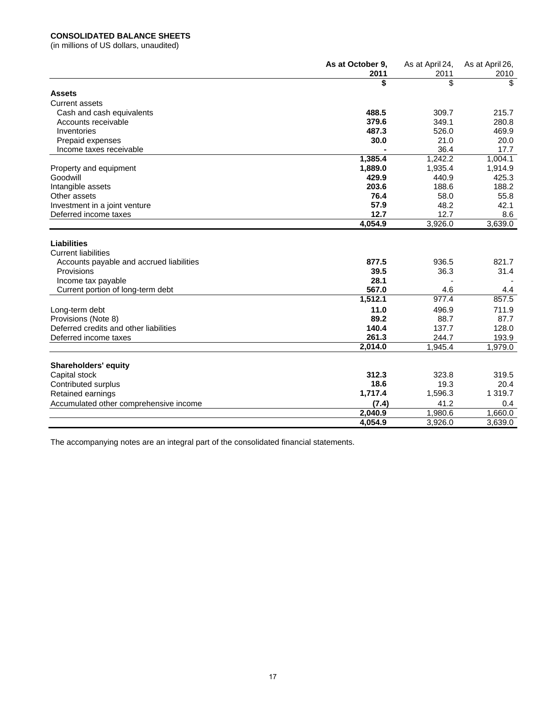## **CONSOLIDATED BALANCE SHEETS**

(in millions of US dollars, unaudited)

|                                                                                                            | As at October 9,<br>2011 | As at April 24,<br>2011 | As at April 26,<br>2010 |
|------------------------------------------------------------------------------------------------------------|--------------------------|-------------------------|-------------------------|
|                                                                                                            | \$                       | \$                      | \$.                     |
| Assets                                                                                                     |                          |                         |                         |
| <b>Current assets</b>                                                                                      |                          |                         |                         |
| Cash and cash equivalents                                                                                  | 488.5                    | 309.7                   | 215.7                   |
| Accounts receivable                                                                                        | 379.6                    | 349.1                   | 280.8                   |
| Inventories                                                                                                | 487.3                    | 526.0                   | 469.9                   |
| Prepaid expenses                                                                                           | 30.0                     | 21.0                    | 20.0                    |
| Income taxes receivable                                                                                    |                          | 36.4                    | 17.7                    |
|                                                                                                            | 1,385.4                  | 1,242.2                 | 1,004.1                 |
| Property and equipment                                                                                     | 1,889.0                  | 1,935.4                 | 1,914.9                 |
| Goodwill                                                                                                   | 429.9                    | 440.9                   | 425.3                   |
| Intangible assets                                                                                          | 203.6                    | 188.6                   | 188.2                   |
| Other assets                                                                                               | 76.4                     | 58.0                    | 55.8                    |
| Investment in a joint venture                                                                              | 57.9                     | 48.2                    | 42.1                    |
| Deferred income taxes                                                                                      | 12.7                     | 12.7                    | 8.6                     |
|                                                                                                            | 4,054.9                  | 3,926.0                 | 3,639.0                 |
| <b>Liabilities</b><br><b>Current liabilities</b><br>Accounts payable and accrued liabilities<br>Provisions | 877.5<br>39.5            | 936.5<br>36.3           | 821.7<br>31.4           |
| Income tax payable                                                                                         | 28.1                     |                         |                         |
| Current portion of long-term debt                                                                          | 567.0                    | 4.6                     | 4.4                     |
|                                                                                                            | 1,512.1                  | 977.4                   | 857.5                   |
| Long-term debt                                                                                             | 11.0                     | 496.9                   | 711.9                   |
| Provisions (Note 8)                                                                                        | 89.2                     | 88.7                    | 87.7                    |
| Deferred credits and other liabilities                                                                     | 140.4                    | 137.7                   | 128.0                   |
| Deferred income taxes                                                                                      | 261.3                    | 244.7                   | 193.9                   |
|                                                                                                            | 2,014.0                  | 1,945.4                 | 1,979.0                 |
|                                                                                                            |                          |                         |                         |
| <b>Shareholders' equity</b>                                                                                |                          |                         |                         |
| Capital stock                                                                                              | 312.3                    | 323.8                   | 319.5                   |
| Contributed surplus                                                                                        | 18.6                     | 19.3                    | 20.4                    |
| Retained earnings                                                                                          | 1,717.4                  | 1,596.3                 | 1 3 1 9.7               |
| Accumulated other comprehensive income                                                                     | (7.4)                    | 41.2                    | 0.4                     |
|                                                                                                            | 2,040.9                  | 1,980.6                 | 1,660.0                 |
|                                                                                                            | 4,054.9                  | 3,926.0                 | 3,639.0                 |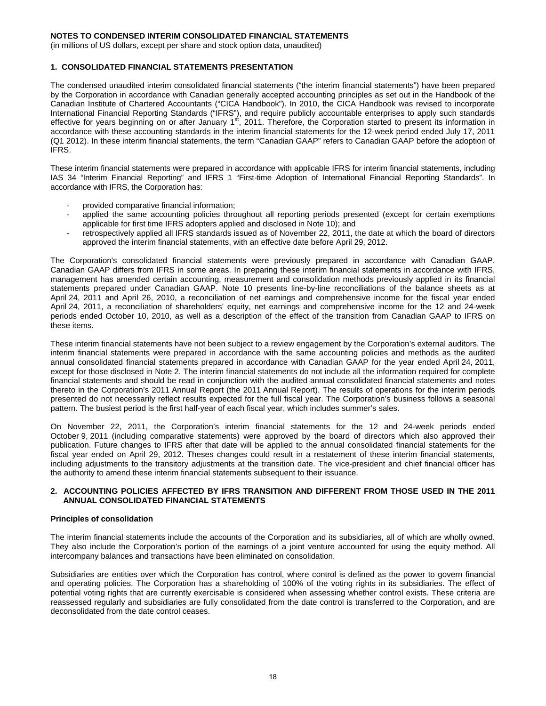(in millions of US dollars, except per share and stock option data, unaudited)

### **1. CONSOLIDATED FINANCIAL STATEMENTS PRESENTATION**

The condensed unaudited interim consolidated financial statements ("the interim financial statements") have been prepared by the Corporation in accordance with Canadian generally accepted accounting principles as set out in the Handbook of the Canadian Institute of Chartered Accountants ("CICA Handbook"). In 2010, the CICA Handbook was revised to incorporate International Financial Reporting Standards ("IFRS"), and require publicly accountable enterprises to apply such standards effective for years beginning on or after January 1st, 2011. Therefore, the Corporation started to present its information in accordance with these accounting standards in the interim financial statements for the 12-week period ended July 17, 2011 (Q1 2012). In these interim financial statements, the term "Canadian GAAP" refers to Canadian GAAP before the adoption of IFRS.

These interim financial statements were prepared in accordance with applicable IFRS for interim financial statements, including IAS 34 "Interim Financial Reporting" and IFRS 1 "First-time Adoption of International Financial Reporting Standards". In accordance with IFRS, the Corporation has:

- provided comparative financial information:
- applied the same accounting policies throughout all reporting periods presented (except for certain exemptions applicable for first time IFRS adopters applied and disclosed in Note 10); and
- retrospectively applied all IFRS standards issued as of November 22, 2011, the date at which the board of directors approved the interim financial statements, with an effective date before April 29, 2012.

The Corporation's consolidated financial statements were previously prepared in accordance with Canadian GAAP. Canadian GAAP differs from IFRS in some areas. In preparing these interim financial statements in accordance with IFRS, management has amended certain accounting, measurement and consolidation methods previously applied in its financial statements prepared under Canadian GAAP. Note 10 presents line-by-line reconciliations of the balance sheets as at April 24, 2011 and April 26, 2010, a reconciliation of net earnings and comprehensive income for the fiscal year ended April 24, 2011, a reconciliation of shareholders' equity, net earnings and comprehensive income for the 12 and 24-week periods ended October 10, 2010, as well as a description of the effect of the transition from Canadian GAAP to IFRS on these items.

These interim financial statements have not been subject to a review engagement by the Corporation's external auditors. The interim financial statements were prepared in accordance with the same accounting policies and methods as the audited annual consolidated financial statements prepared in accordance with Canadian GAAP for the year ended April 24, 2011, except for those disclosed in Note 2. The interim financial statements do not include all the information required for complete financial statements and should be read in conjunction with the audited annual consolidated financial statements and notes thereto in the Corporation's 2011 Annual Report (the 2011 Annual Report). The results of operations for the interim periods presented do not necessarily reflect results expected for the full fiscal year. The Corporation's business follows a seasonal pattern. The busiest period is the first half-year of each fiscal year, which includes summer's sales.

On November 22, 2011, the Corporation's interim financial statements for the 12 and 24-week periods ended October 9, 2011 (including comparative statements) were approved by the board of directors which also approved their publication. Future changes to IFRS after that date will be applied to the annual consolidated financial statements for the fiscal year ended on April 29, 2012. Theses changes could result in a restatement of these interim financial statements, including adjustments to the transitory adjustments at the transition date. The vice-president and chief financial officer has the authority to amend these interim financial statements subsequent to their issuance.

### **2. ACCOUNTING POLICIES AFFECTED BY IFRS TRANSITION AND DIFFERENT FROM THOSE USED IN THE 2011 ANNUAL CONSOLIDATED FINANCIAL STATEMENTS**

#### **Principles of consolidation**

The interim financial statements include the accounts of the Corporation and its subsidiaries, all of which are wholly owned. They also include the Corporation's portion of the earnings of a joint venture accounted for using the equity method. All intercompany balances and transactions have been eliminated on consolidation.

Subsidiaries are entities over which the Corporation has control, where control is defined as the power to govern financial and operating policies. The Corporation has a shareholding of 100% of the voting rights in its subsidiaries. The effect of potential voting rights that are currently exercisable is considered when assessing whether control exists. These criteria are reassessed regularly and subsidiaries are fully consolidated from the date control is transferred to the Corporation, and are deconsolidated from the date control ceases.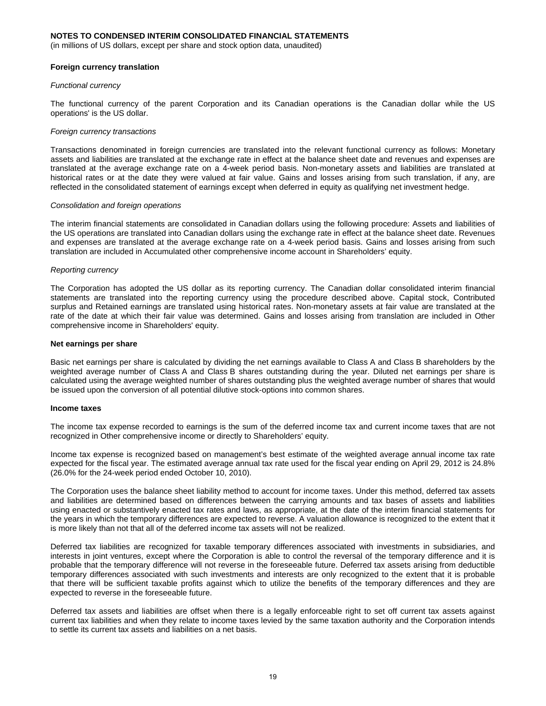(in millions of US dollars, except per share and stock option data, unaudited)

#### **Foreign currency translation**

#### *Functional currency*

The functional currency of the parent Corporation and its Canadian operations is the Canadian dollar while the US operations' is the US dollar.

#### *Foreign currency transactions*

Transactions denominated in foreign currencies are translated into the relevant functional currency as follows: Monetary assets and liabilities are translated at the exchange rate in effect at the balance sheet date and revenues and expenses are translated at the average exchange rate on a 4-week period basis. Non-monetary assets and liabilities are translated at historical rates or at the date they were valued at fair value. Gains and losses arising from such translation, if any, are reflected in the consolidated statement of earnings except when deferred in equity as qualifying net investment hedge.

#### *Consolidation and foreign operations*

The interim financial statements are consolidated in Canadian dollars using the following procedure: Assets and liabilities of the US operations are translated into Canadian dollars using the exchange rate in effect at the balance sheet date. Revenues and expenses are translated at the average exchange rate on a 4-week period basis. Gains and losses arising from such translation are included in Accumulated other comprehensive income account in Shareholders' equity.

#### *Reporting currency*

The Corporation has adopted the US dollar as its reporting currency. The Canadian dollar consolidated interim financial statements are translated into the reporting currency using the procedure described above. Capital stock, Contributed surplus and Retained earnings are translated using historical rates. Non-monetary assets at fair value are translated at the rate of the date at which their fair value was determined. Gains and losses arising from translation are included in Other comprehensive income in Shareholders' equity.

#### **Net earnings per share**

Basic net earnings per share is calculated by dividing the net earnings available to Class A and Class B shareholders by the weighted average number of Class A and Class B shares outstanding during the year. Diluted net earnings per share is calculated using the average weighted number of shares outstanding plus the weighted average number of shares that would be issued upon the conversion of all potential dilutive stock-options into common shares.

#### **Income taxes**

The income tax expense recorded to earnings is the sum of the deferred income tax and current income taxes that are not recognized in Other comprehensive income or directly to Shareholders' equity.

Income tax expense is recognized based on management's best estimate of the weighted average annual income tax rate expected for the fiscal year. The estimated average annual tax rate used for the fiscal year ending on April 29, 2012 is 24.8% (26.0% for the 24-week period ended October 10, 2010).

The Corporation uses the balance sheet liability method to account for income taxes. Under this method, deferred tax assets and liabilities are determined based on differences between the carrying amounts and tax bases of assets and liabilities using enacted or substantively enacted tax rates and laws, as appropriate, at the date of the interim financial statements for the years in which the temporary differences are expected to reverse. A valuation allowance is recognized to the extent that it is more likely than not that all of the deferred income tax assets will not be realized.

Deferred tax liabilities are recognized for taxable temporary differences associated with investments in subsidiaries, and interests in joint ventures, except where the Corporation is able to control the reversal of the temporary difference and it is probable that the temporary difference will not reverse in the foreseeable future. Deferred tax assets arising from deductible temporary differences associated with such investments and interests are only recognized to the extent that it is probable that there will be sufficient taxable profits against which to utilize the benefits of the temporary differences and they are expected to reverse in the foreseeable future.

Deferred tax assets and liabilities are offset when there is a legally enforceable right to set off current tax assets against current tax liabilities and when they relate to income taxes levied by the same taxation authority and the Corporation intends to settle its current tax assets and liabilities on a net basis.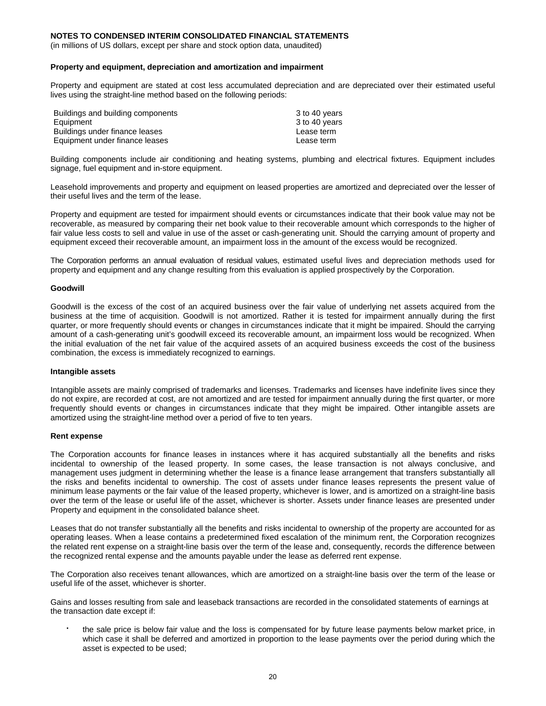(in millions of US dollars, except per share and stock option data, unaudited)

#### **Property and equipment, depreciation and amortization and impairment**

Property and equipment are stated at cost less accumulated depreciation and are depreciated over their estimated useful lives using the straight-line method based on the following periods:

| Buildings and building components | 3 to 40 years |
|-----------------------------------|---------------|
| Equipment                         | 3 to 40 years |
| Buildings under finance leases    | Lease term    |
| Equipment under finance leases    | Lease term    |

Building components include air conditioning and heating systems, plumbing and electrical fixtures. Equipment includes signage, fuel equipment and in-store equipment.

Leasehold improvements and property and equipment on leased properties are amortized and depreciated over the lesser of their useful lives and the term of the lease.

Property and equipment are tested for impairment should events or circumstances indicate that their book value may not be recoverable, as measured by comparing their net book value to their recoverable amount which corresponds to the higher of fair value less costs to sell and value in use of the asset or cash-generating unit. Should the carrying amount of property and equipment exceed their recoverable amount, an impairment loss in the amount of the excess would be recognized.

The Corporation performs an annual evaluation of residual values, estimated useful lives and depreciation methods used for property and equipment and any change resulting from this evaluation is applied prospectively by the Corporation.

#### **Goodwill**

Goodwill is the excess of the cost of an acquired business over the fair value of underlying net assets acquired from the business at the time of acquisition. Goodwill is not amortized. Rather it is tested for impairment annually during the first quarter, or more frequently should events or changes in circumstances indicate that it might be impaired. Should the carrying amount of a cash-generating unit's goodwill exceed its recoverable amount, an impairment loss would be recognized. When the initial evaluation of the net fair value of the acquired assets of an acquired business exceeds the cost of the business combination, the excess is immediately recognized to earnings.

#### **Intangible assets**

Intangible assets are mainly comprised of trademarks and licenses. Trademarks and licenses have indefinite lives since they do not expire, are recorded at cost, are not amortized and are tested for impairment annually during the first quarter, or more frequently should events or changes in circumstances indicate that they might be impaired. Other intangible assets are amortized using the straight-line method over a period of five to ten years.

#### **Rent expense**

The Corporation accounts for finance leases in instances where it has acquired substantially all the benefits and risks incidental to ownership of the leased property. In some cases, the lease transaction is not always conclusive, and management uses judgment in determining whether the lease is a finance lease arrangement that transfers substantially all the risks and benefits incidental to ownership. The cost of assets under finance leases represents the present value of minimum lease payments or the fair value of the leased property, whichever is lower, and is amortized on a straight-line basis over the term of the lease or useful life of the asset, whichever is shorter. Assets under finance leases are presented under Property and equipment in the consolidated balance sheet.

Leases that do not transfer substantially all the benefits and risks incidental to ownership of the property are accounted for as operating leases. When a lease contains a predetermined fixed escalation of the minimum rent, the Corporation recognizes the related rent expense on a straight-line basis over the term of the lease and, consequently, records the difference between the recognized rental expense and the amounts payable under the lease as deferred rent expense.

The Corporation also receives tenant allowances, which are amortized on a straight-line basis over the term of the lease or useful life of the asset, whichever is shorter.

Gains and losses resulting from sale and leaseback transactions are recorded in the consolidated statements of earnings at the transaction date except if:

 the sale price is below fair value and the loss is compensated for by future lease payments below market price, in which case it shall be deferred and amortized in proportion to the lease payments over the period during which the asset is expected to be used;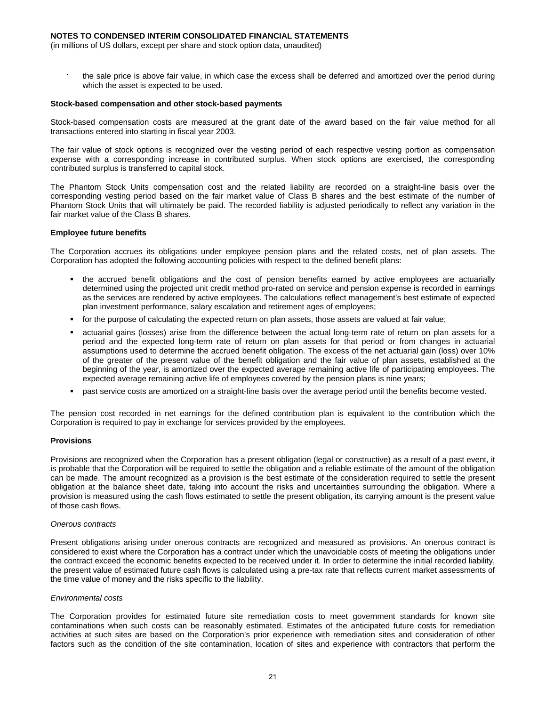(in millions of US dollars, except per share and stock option data, unaudited)

 the sale price is above fair value, in which case the excess shall be deferred and amortized over the period during which the asset is expected to be used.

#### **Stock-based compensation and other stock-based payments**

Stock-based compensation costs are measured at the grant date of the award based on the fair value method for all transactions entered into starting in fiscal year 2003.

The fair value of stock options is recognized over the vesting period of each respective vesting portion as compensation expense with a corresponding increase in contributed surplus. When stock options are exercised, the corresponding contributed surplus is transferred to capital stock.

The Phantom Stock Units compensation cost and the related liability are recorded on a straight-line basis over the corresponding vesting period based on the fair market value of Class B shares and the best estimate of the number of Phantom Stock Units that will ultimately be paid. The recorded liability is adjusted periodically to reflect any variation in the fair market value of the Class B shares.

#### **Employee future benefits**

The Corporation accrues its obligations under employee pension plans and the related costs, net of plan assets. The Corporation has adopted the following accounting policies with respect to the defined benefit plans:

- the accrued benefit obligations and the cost of pension benefits earned by active employees are actuarially determined using the projected unit credit method pro-rated on service and pension expense is recorded in earnings as the services are rendered by active employees. The calculations reflect management's best estimate of expected plan investment performance, salary escalation and retirement ages of employees;
- for the purpose of calculating the expected return on plan assets, those assets are valued at fair value;
- actuarial gains (losses) arise from the difference between the actual long-term rate of return on plan assets for a period and the expected long-term rate of return on plan assets for that period or from changes in actuarial assumptions used to determine the accrued benefit obligation. The excess of the net actuarial gain (loss) over 10% of the greater of the present value of the benefit obligation and the fair value of plan assets, established at the beginning of the year, is amortized over the expected average remaining active life of participating employees. The expected average remaining active life of employees covered by the pension plans is nine years;
- past service costs are amortized on a straight-line basis over the average period until the benefits become vested.

The pension cost recorded in net earnings for the defined contribution plan is equivalent to the contribution which the Corporation is required to pay in exchange for services provided by the employees.

### **Provisions**

Provisions are recognized when the Corporation has a present obligation (legal or constructive) as a result of a past event, it is probable that the Corporation will be required to settle the obligation and a reliable estimate of the amount of the obligation can be made. The amount recognized as a provision is the best estimate of the consideration required to settle the present obligation at the balance sheet date, taking into account the risks and uncertainties surrounding the obligation. Where a provision is measured using the cash flows estimated to settle the present obligation, its carrying amount is the present value of those cash flows.

#### *Onerous contracts*

Present obligations arising under onerous contracts are recognized and measured as provisions. An onerous contract is considered to exist where the Corporation has a contract under which the unavoidable costs of meeting the obligations under the contract exceed the economic benefits expected to be received under it. In order to determine the initial recorded liability, the present value of estimated future cash flows is calculated using a pre-tax rate that reflects current market assessments of the time value of money and the risks specific to the liability.

#### *Environmental costs*

The Corporation provides for estimated future site remediation costs to meet government standards for known site contaminations when such costs can be reasonably estimated. Estimates of the anticipated future costs for remediation activities at such sites are based on the Corporation's prior experience with remediation sites and consideration of other factors such as the condition of the site contamination, location of sites and experience with contractors that perform the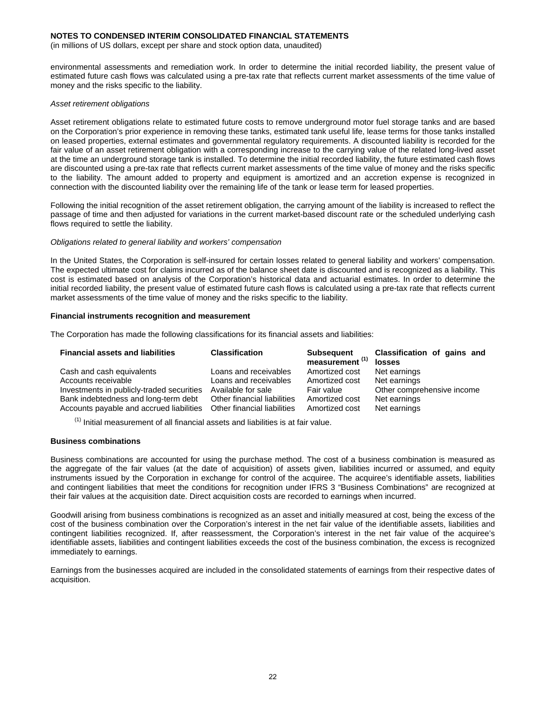(in millions of US dollars, except per share and stock option data, unaudited)

environmental assessments and remediation work. In order to determine the initial recorded liability, the present value of estimated future cash flows was calculated using a pre-tax rate that reflects current market assessments of the time value of money and the risks specific to the liability.

#### *Asset retirement obligations*

Asset retirement obligations relate to estimated future costs to remove underground motor fuel storage tanks and are based on the Corporation's prior experience in removing these tanks, estimated tank useful life, lease terms for those tanks installed on leased properties, external estimates and governmental regulatory requirements. A discounted liability is recorded for the fair value of an asset retirement obligation with a corresponding increase to the carrying value of the related long-lived asset at the time an underground storage tank is installed. To determine the initial recorded liability, the future estimated cash flows are discounted using a pre-tax rate that reflects current market assessments of the time value of money and the risks specific to the liability. The amount added to property and equipment is amortized and an accretion expense is recognized in connection with the discounted liability over the remaining life of the tank or lease term for leased properties.

Following the initial recognition of the asset retirement obligation, the carrying amount of the liability is increased to reflect the passage of time and then adjusted for variations in the current market-based discount rate or the scheduled underlying cash flows required to settle the liability.

#### *Obligations related to general liability and workers' compensation*

In the United States, the Corporation is self-insured for certain losses related to general liability and workers' compensation. The expected ultimate cost for claims incurred as of the balance sheet date is discounted and is recognized as a liability. This cost is estimated based on analysis of the Corporation's historical data and actuarial estimates. In order to determine the initial recorded liability, the present value of estimated future cash flows is calculated using a pre-tax rate that reflects current market assessments of the time value of money and the risks specific to the liability.

#### **Financial instruments recognition and measurement**

The Corporation has made the following classifications for its financial assets and liabilities:

| <b>Financial assets and liabilities</b>   | <b>Classification</b>       | <b>Subsequent</b><br>measurement <sup>(1)</sup> | Classification of gains and<br>losses |
|-------------------------------------------|-----------------------------|-------------------------------------------------|---------------------------------------|
| Cash and cash equivalents                 | Loans and receivables       | Amortized cost                                  | Net earnings                          |
| Accounts receivable                       | Loans and receivables       | Amortized cost                                  | Net earnings                          |
| Investments in publicly-traded securities | Available for sale          | Fair value                                      | Other comprehensive income            |
| Bank indebtedness and long-term debt      | Other financial liabilities | Amortized cost                                  | Net earnings                          |
| Accounts payable and accrued liabilities  | Other financial liabilities | Amortized cost                                  | Net earnings                          |

 $<sup>(1)</sup>$  Initial measurement of all financial assets and liabilities is at fair value.</sup>

### **Business combinations**

Business combinations are accounted for using the purchase method. The cost of a business combination is measured as the aggregate of the fair values (at the date of acquisition) of assets given, liabilities incurred or assumed, and equity instruments issued by the Corporation in exchange for control of the acquiree. The acquiree's identifiable assets, liabilities and contingent liabilities that meet the conditions for recognition under IFRS 3 "Business Combinations" are recognized at their fair values at the acquisition date. Direct acquisition costs are recorded to earnings when incurred.

Goodwill arising from business combinations is recognized as an asset and initially measured at cost, being the excess of the cost of the business combination over the Corporation's interest in the net fair value of the identifiable assets, liabilities and contingent liabilities recognized. If, after reassessment, the Corporation's interest in the net fair value of the acquiree's identifiable assets, liabilities and contingent liabilities exceeds the cost of the business combination, the excess is recognized immediately to earnings.

Earnings from the businesses acquired are included in the consolidated statements of earnings from their respective dates of acquisition.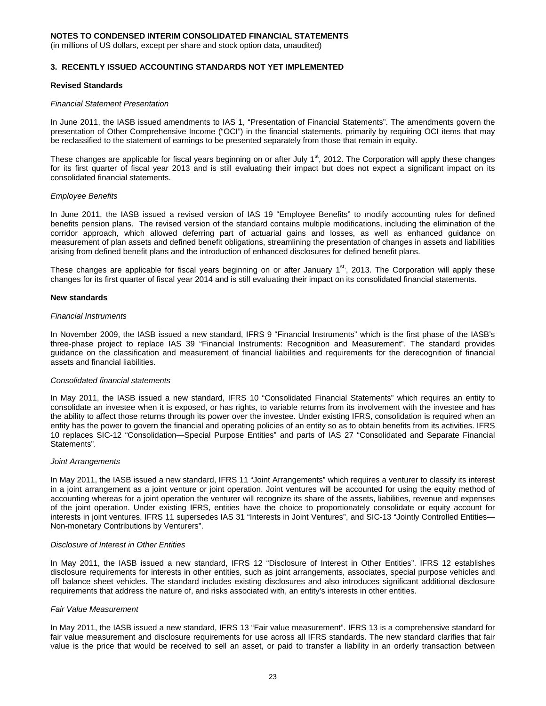(in millions of US dollars, except per share and stock option data, unaudited)

### **3. RECENTLY ISSUED ACCOUNTING STANDARDS NOT YET IMPLEMENTED**

#### **Revised Standards**

#### *Financial Statement Presentation*

In June 2011, the IASB issued amendments to IAS 1, "Presentation of Financial Statements". The amendments govern the presentation of Other Comprehensive Income ("OCI") in the financial statements, primarily by requiring OCI items that may be reclassified to the statement of earnings to be presented separately from those that remain in equity.

These changes are applicable for fiscal years beginning on or after July  $1<sup>st</sup>$ , 2012. The Corporation will apply these changes for its first quarter of fiscal year 2013 and is still evaluating their impact but does not expect a significant impact on its consolidated financial statements.

#### *Employee Benefits*

In June 2011, the IASB issued a revised version of IAS 19 "Employee Benefits" to modify accounting rules for defined benefits pension plans. The revised version of the standard contains multiple modifications, including the elimination of the corridor approach, which allowed deferring part of actuarial gains and losses, as well as enhanced guidance on measurement of plan assets and defined benefit obligations, streamlining the presentation of changes in assets and liabilities arising from defined benefit plans and the introduction of enhanced disclosures for defined benefit plans.

These changes are applicable for fiscal years beginning on or after January 1<sup>st</sup>, 2013. The Corporation will apply these changes for its first quarter of fiscal year 2014 and is still evaluating their impact on its consolidated financial statements.

#### **New standards**

#### *Financial Instruments*

In November 2009, the IASB issued a new standard, IFRS 9 "Financial Instruments" which is the first phase of the IASB's three-phase project to replace IAS 39 "Financial Instruments: Recognition and Measurement". The standard provides guidance on the classification and measurement of financial liabilities and requirements for the derecognition of financial assets and financial liabilities.

#### *Consolidated financial statements*

In May 2011, the IASB issued a new standard, IFRS 10 "Consolidated Financial Statements" which requires an entity to consolidate an investee when it is exposed, or has rights, to variable returns from its involvement with the investee and has the ability to affect those returns through its power over the investee. Under existing IFRS, consolidation is required when an entity has the power to govern the financial and operating policies of an entity so as to obtain benefits from its activities. IFRS 10 replaces SIC-12 "Consolidation—Special Purpose Entities" and parts of IAS 27 "Consolidated and Separate Financial Statements".

#### *Joint Arrangements*

In May 2011, the IASB issued a new standard, IFRS 11 "Joint Arrangements" which requires a venturer to classify its interest in a joint arrangement as a joint venture or joint operation. Joint ventures will be accounted for using the equity method of accounting whereas for a joint operation the venturer will recognize its share of the assets, liabilities, revenue and expenses of the joint operation. Under existing IFRS, entities have the choice to proportionately consolidate or equity account for interests in joint ventures. IFRS 11 supersedes IAS 31 "Interests in Joint Ventures", and SIC-13 "Jointly Controlled Entities— Non-monetary Contributions by Venturers".

#### *Disclosure of Interest in Other Entities*

In May 2011, the IASB issued a new standard, IFRS 12 "Disclosure of Interest in Other Entities". IFRS 12 establishes disclosure requirements for interests in other entities, such as joint arrangements, associates, special purpose vehicles and off balance sheet vehicles. The standard includes existing disclosures and also introduces significant additional disclosure requirements that address the nature of, and risks associated with, an entity's interests in other entities.

#### *Fair Value Measurement*

In May 2011, the IASB issued a new standard, IFRS 13 "Fair value measurement". IFRS 13 is a comprehensive standard for fair value measurement and disclosure requirements for use across all IFRS standards. The new standard clarifies that fair value is the price that would be received to sell an asset, or paid to transfer a liability in an orderly transaction between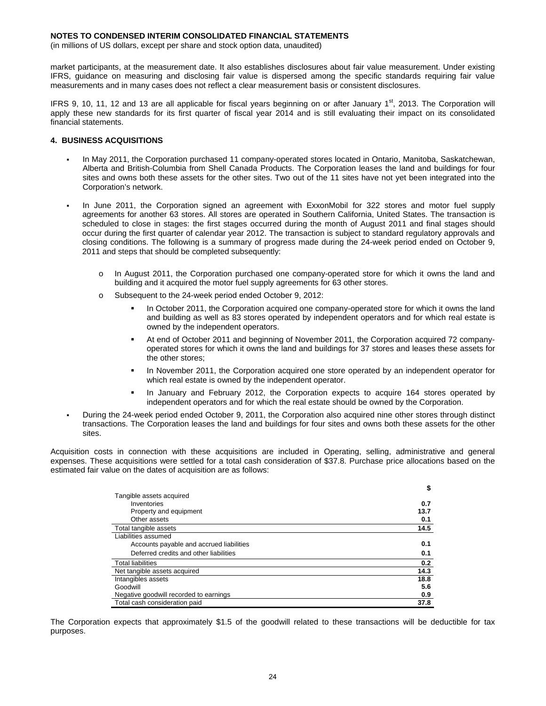(in millions of US dollars, except per share and stock option data, unaudited)

market participants, at the measurement date. It also establishes disclosures about fair value measurement. Under existing IFRS, guidance on measuring and disclosing fair value is dispersed among the specific standards requiring fair value measurements and in many cases does not reflect a clear measurement basis or consistent disclosures.

IFRS 9, 10, 11, 12 and 13 are all applicable for fiscal years beginning on or after January  $1<sup>st</sup>$ , 2013. The Corporation will apply these new standards for its first quarter of fiscal year 2014 and is still evaluating their impact on its consolidated financial statements.

#### **4. BUSINESS ACQUISITIONS**

- In May 2011, the Corporation purchased 11 company-operated stores located in Ontario, Manitoba, Saskatchewan, Alberta and British-Columbia from Shell Canada Products. The Corporation leases the land and buildings for four sites and owns both these assets for the other sites. Two out of the 11 sites have not yet been integrated into the Corporation's network.
- In June 2011, the Corporation signed an agreement with ExxonMobil for 322 stores and motor fuel supply agreements for another 63 stores. All stores are operated in Southern California, United States. The transaction is scheduled to close in stages: the first stages occurred during the month of August 2011 and final stages should occur during the first quarter of calendar year 2012. The transaction is subject to standard regulatory approvals and closing conditions. The following is a summary of progress made during the 24-week period ended on October 9, 2011 and steps that should be completed subsequently:
	- o In August 2011, the Corporation purchased one company-operated store for which it owns the land and building and it acquired the motor fuel supply agreements for 63 other stores.
	- o Subsequent to the 24-week period ended October 9, 2012:
		- In October 2011, the Corporation acquired one company-operated store for which it owns the land and building as well as 83 stores operated by independent operators and for which real estate is owned by the independent operators.
		- At end of October 2011 and beginning of November 2011, the Corporation acquired 72 companyoperated stores for which it owns the land and buildings for 37 stores and leases these assets for the other stores;
		- In November 2011, the Corporation acquired one store operated by an independent operator for which real estate is owned by the independent operator.
		- In January and February 2012, the Corporation expects to acquire 164 stores operated by independent operators and for which the real estate should be owned by the Corporation.
	- During the 24-week period ended October 9, 2011, the Corporation also acquired nine other stores through distinct transactions. The Corporation leases the land and buildings for four sites and owns both these assets for the other sites.

Acquisition costs in connection with these acquisitions are included in Operating, selling, administrative and general expenses. These acquisitions were settled for a total cash consideration of \$37.8. Purchase price allocations based on the estimated fair value on the dates of acquisition are as follows:

|                                          | \$   |
|------------------------------------------|------|
| Tangible assets acquired                 |      |
| Inventories                              | 0.7  |
| Property and equipment                   | 13.7 |
| Other assets                             | 0.1  |
| Total tangible assets                    | 14.5 |
| Liabilities assumed                      |      |
| Accounts payable and accrued liabilities | 0.1  |
| Deferred credits and other liabilities   | 0.1  |
| <b>Total liabilities</b>                 | 0.2  |
| Net tangible assets acquired             | 14.3 |
| Intangibles assets                       | 18.8 |
| Goodwill                                 | 5.6  |
| Negative goodwill recorded to earnings   | 0.9  |
| Total cash consideration paid            | 37.8 |

The Corporation expects that approximately \$1.5 of the goodwill related to these transactions will be deductible for tax purposes.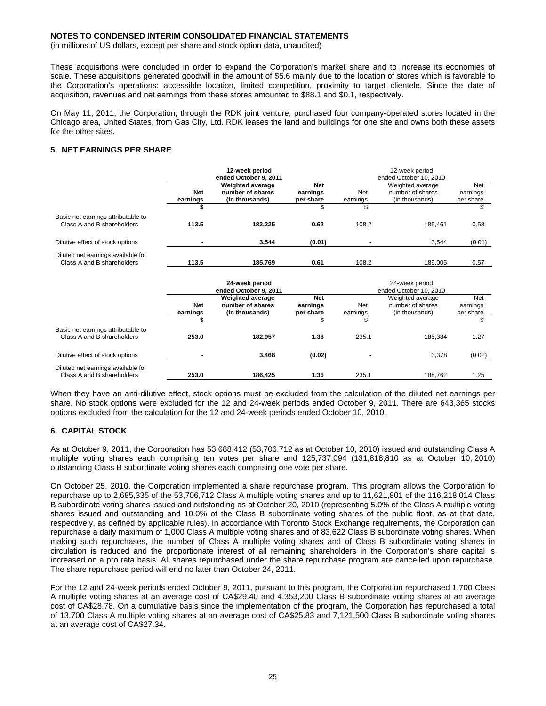(in millions of US dollars, except per share and stock option data, unaudited)

These acquisitions were concluded in order to expand the Corporation's market share and to increase its economies of scale. These acquisitions generated goodwill in the amount of \$5.6 mainly due to the location of stores which is favorable to the Corporation's operations: accessible location, limited competition, proximity to target clientele. Since the date of acquisition, revenues and net earnings from these stores amounted to \$88.1 and \$0.1, respectively.

On May 11, 2011, the Corporation, through the RDK joint venture, purchased four company-operated stores located in the Chicago area, United States, from Gas City, Ltd. RDK leases the land and buildings for one site and owns both these assets for the other sites.

### **5. NET EARNINGS PER SHARE**

|                                                                  |            | 12-week period          |            |                        | 12-week period         |            |  |  |
|------------------------------------------------------------------|------------|-------------------------|------------|------------------------|------------------------|------------|--|--|
|                                                                  |            | ended October 9, 2011   |            | ended October 10, 2010 |                        |            |  |  |
|                                                                  |            | Weighted average        | <b>Net</b> |                        | Weighted average       | <b>Net</b> |  |  |
|                                                                  | <b>Net</b> | number of shares        | earnings   | Net                    | number of shares       | earnings   |  |  |
|                                                                  | earnings   | (in thousands)          | per share  | earnings               | (in thousands)         | per share  |  |  |
|                                                                  |            |                         |            | \$                     |                        | \$         |  |  |
| Basic net earnings attributable to                               |            |                         |            |                        |                        |            |  |  |
| Class A and B shareholders                                       | 113.5      | 182,225                 | 0.62       | 108.2                  | 185,461                | 0.58       |  |  |
| Dilutive effect of stock options                                 |            | 3,544                   | (0.01)     |                        | 3,544                  | (0.01)     |  |  |
|                                                                  |            |                         |            |                        |                        |            |  |  |
| Diluted net earnings available for<br>Class A and B shareholders | 113.5      | 185,769                 | 0.61       | 108.2                  | 189,005                | 0.57       |  |  |
|                                                                  |            |                         |            |                        |                        |            |  |  |
|                                                                  |            | 24-week period          |            |                        | 24-week period         |            |  |  |
|                                                                  |            | ended October 9, 2011   |            |                        | ended October 10, 2010 |            |  |  |
|                                                                  |            | <b>Weighted average</b> | <b>Net</b> |                        | Weighted average       | Net        |  |  |
|                                                                  | <b>Net</b> | number of shares        | earnings   | <b>Net</b>             | number of shares       | earnings   |  |  |
|                                                                  | earnings   | (in thousands)          | per share  | earnings               | (in thousands)         | per share  |  |  |
|                                                                  |            |                         |            | \$                     |                        | \$         |  |  |
| Basic net earnings attributable to                               |            |                         |            |                        |                        |            |  |  |
| Class A and B shareholders                                       | 253.0      | 182,957                 | 1.38       | 235.1                  | 185,384                | 1.27       |  |  |
|                                                                  |            |                         |            |                        |                        |            |  |  |
| Dilutive effect of stock options                                 |            | 3,468                   | (0.02)     |                        | 3,378                  | (0.02)     |  |  |
| Diluted net earnings available for                               |            |                         |            |                        |                        |            |  |  |
| Class A and B shareholders                                       | 253.0      | 186.425                 | 1.36       | 235.1                  | 188,762                | 1.25       |  |  |

When they have an anti-dilutive effect, stock options must be excluded from the calculation of the diluted net earnings per share. No stock options were excluded for the 12 and 24-week periods ended October 9, 2011. There are 643,365 stocks options excluded from the calculation for the 12 and 24-week periods ended October 10, 2010.

### **6. CAPITAL STOCK**

As at October 9, 2011, the Corporation has 53,688,412 (53,706,712 as at October 10, 2010) issued and outstanding Class A multiple voting shares each comprising ten votes per share and 125,737,094 (131,818,810 as at October 10, 2010) outstanding Class B subordinate voting shares each comprising one vote per share.

On October 25, 2010, the Corporation implemented a share repurchase program. This program allows the Corporation to repurchase up to 2,685,335 of the 53,706,712 Class A multiple voting shares and up to 11,621,801 of the 116,218,014 Class B subordinate voting shares issued and outstanding as at October 20, 2010 (representing 5.0% of the Class A multiple voting shares issued and outstanding and 10.0% of the Class B subordinate voting shares of the public float, as at that date, respectively, as defined by applicable rules). In accordance with Toronto Stock Exchange requirements, the Corporation can repurchase a daily maximum of 1,000 Class A multiple voting shares and of 83,622 Class B subordinate voting shares. When making such repurchases, the number of Class A multiple voting shares and of Class B subordinate voting shares in circulation is reduced and the proportionate interest of all remaining shareholders in the Corporation's share capital is increased on a pro rata basis. All shares repurchased under the share repurchase program are cancelled upon repurchase. The share repurchase period will end no later than October 24, 2011.

For the 12 and 24-week periods ended October 9, 2011, pursuant to this program, the Corporation repurchased 1,700 Class A multiple voting shares at an average cost of CA\$29.40 and 4,353,200 Class B subordinate voting shares at an average cost of CA\$28.78. On a cumulative basis since the implementation of the program, the Corporation has repurchased a total of 13,700 Class A multiple voting shares at an average cost of CA\$25.83 and 7,121,500 Class B subordinate voting shares at an average cost of CA\$27.34.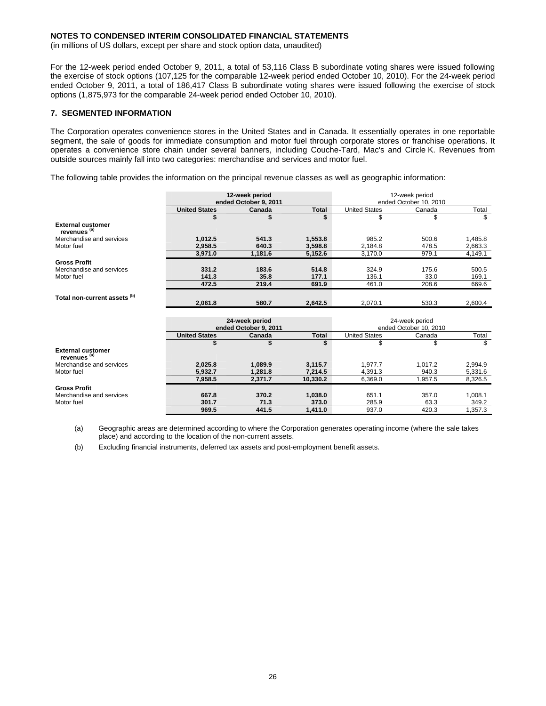(in millions of US dollars, except per share and stock option data, unaudited)

For the 12-week period ended October 9, 2011, a total of 53,116 Class B subordinate voting shares were issued following the exercise of stock options (107,125 for the comparable 12-week period ended October 10, 2010). For the 24-week period ended October 9, 2011, a total of 186,417 Class B subordinate voting shares were issued following the exercise of stock options (1,875,973 for the comparable 24-week period ended October 10, 2010).

### **7. SEGMENTED INFORMATION**

The Corporation operates convenience stores in the United States and in Canada. It essentially operates in one reportable segment, the sale of goods for immediate consumption and motor fuel through corporate stores or franchise operations. It operates a convenience store chain under several banners, including Couche-Tard, Mac's and Circle K. Revenues from outside sources mainly fall into two categories: merchandise and services and motor fuel.

The following table provides the information on the principal revenue classes as well as geographic information:

|                                                     |                                         | 12-week period<br>ended October 9, 2011 |                    | 12-week period<br>ended October 10, 2010 |                                          |                    |  |
|-----------------------------------------------------|-----------------------------------------|-----------------------------------------|--------------------|------------------------------------------|------------------------------------------|--------------------|--|
|                                                     | <b>United States</b>                    | Canada                                  | <b>Total</b>       | <b>United States</b>                     | Canada                                   | Total              |  |
|                                                     |                                         |                                         | \$                 | \$                                       | \$                                       | \$                 |  |
| <b>External customer</b><br>revenues <sup>(a)</sup> |                                         |                                         |                    |                                          |                                          |                    |  |
| Merchandise and services<br>Motor fuel              | 1,012.5<br>2.958.5                      | 541.3<br>640.3                          | 1,553.8<br>3.598.8 | 985.2<br>2,184.8                         | 500.6<br>478.5                           | 1,485.8<br>2,663.3 |  |
|                                                     | 3,971.0                                 | 1,181.6                                 | 5,152.6            | 3,170.0                                  | 979.1                                    | 4,149.1            |  |
| <b>Gross Profit</b>                                 |                                         |                                         |                    |                                          |                                          |                    |  |
| Merchandise and services<br>Motor fuel              | 331.2<br>141.3                          | 183.6<br>35.8                           | 514.8<br>177.1     | 324.9<br>136.1                           | 175.6<br>33.0                            | 500.5<br>169.1     |  |
|                                                     | 472.5                                   | 219.4                                   | 691.9              | 461.0                                    | 208.6                                    | 669.6              |  |
| Total non-current assets <sup>(b)</sup>             | 2,061.8                                 | 580.7                                   | 2,642.5            | 2,070.1                                  | 530.3                                    | 2,600.4            |  |
|                                                     | 24-week period<br>ended October 9, 2011 |                                         |                    |                                          | 24-week period<br>ended October 10, 2010 |                    |  |
|                                                     | <b>United States</b>                    | Canada                                  | <b>Total</b>       | <b>United States</b>                     | Canada                                   | Total              |  |
|                                                     | \$                                      | \$                                      | \$                 | \$                                       | \$                                       | \$                 |  |
| <b>External customer</b><br>revenues <sup>(a)</sup> |                                         |                                         |                    |                                          |                                          |                    |  |
| Merchandise and services                            | 2,025.8                                 | 1,089.9                                 | 3,115.7            | 1.977.7                                  | 1.017.2                                  | 2,994.9            |  |
| Motor fuel                                          | 5,932.7                                 | 1,281.8                                 | 7,214.5            | 4,391.3                                  | 940.3                                    | 5,331.6            |  |
|                                                     | 7,958.5                                 | 2,371.7                                 | 10,330.2           | 6,369.0                                  | 1,957.5                                  | 8,326.5            |  |
| <b>Gross Profit</b>                                 |                                         |                                         |                    |                                          |                                          |                    |  |
| Merchandise and services                            | 667.8                                   | 370.2                                   | 1,038.0            | 651.1                                    | 357.0                                    | 1,008.1            |  |
| Motor fuel                                          | 301.7                                   | 71.3                                    | 373.0              | 285.9                                    | 63.3                                     | 349.2              |  |
|                                                     | 969.5                                   | 441.5                                   | 1,411.0            | 937.0                                    | 420.3                                    | 1,357.3            |  |

(a) Geographic areas are determined according to where the Corporation generates operating income (where the sale takes place) and according to the location of the non-current assets.

(b) Excluding financial instruments, deferred tax assets and post-employment benefit assets.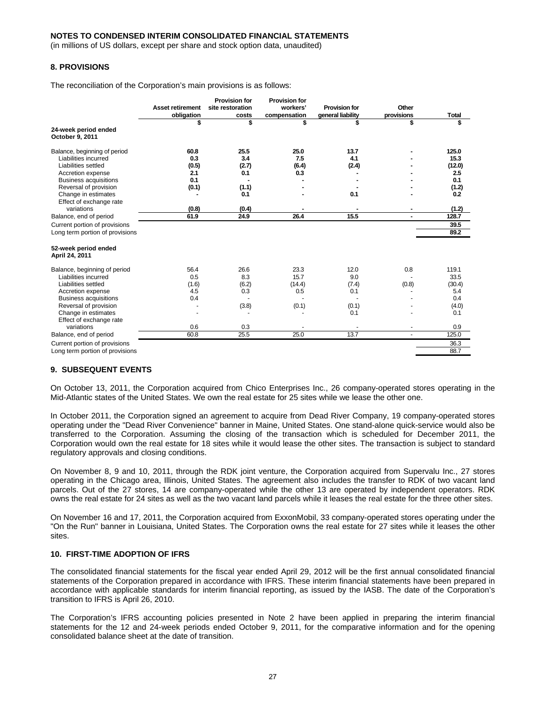(in millions of US dollars, except per share and stock option data, unaudited)

### **8. PROVISIONS**

The reconciliation of the Corporation's main provisions is as follows:

|                                         |                         | <b>Provision for</b> | <b>Provision for</b> |                      |                |              |
|-----------------------------------------|-------------------------|----------------------|----------------------|----------------------|----------------|--------------|
|                                         | <b>Asset retirement</b> | site restoration     | workers'             | <b>Provision for</b> | Other          |              |
|                                         | obligation              | costs                | compensation         | general liability    | provisions     | <b>Total</b> |
|                                         | \$                      | \$                   |                      | S                    | \$             | \$           |
| 24-week period ended<br>October 9, 2011 |                         |                      |                      |                      |                |              |
| Balance, beginning of period            | 60.8                    | 25.5                 | 25.0                 | 13.7                 |                | 125.0        |
| Liabilities incurred                    | 0.3                     | 3.4                  | 7.5                  | 4.1                  |                | 15.3         |
| Liabilities settled                     | (0.5)                   | (2.7)                | (6.4)                | (2.4)                |                | (12.0)       |
| Accretion expense                       | 2.1                     | 0.1                  | 0.3                  |                      |                | 2.5          |
| <b>Business acquisitions</b>            | 0.1                     |                      |                      |                      |                | 0.1          |
| Reversal of provision                   | (0.1)                   | (1.1)                |                      |                      |                | (1.2)        |
| Change in estimates                     |                         | 0.1                  |                      | 0.1                  |                | 0.2          |
| Effect of exchange rate                 |                         |                      |                      |                      |                |              |
| variations                              | (0.8)                   | (0.4)                |                      |                      | $\blacksquare$ | (1.2)        |
| Balance, end of period                  | 61.9                    | 24.9                 | 26.4                 | 15.5                 | $\blacksquare$ | 128.7        |
| Current portion of provisions           |                         |                      |                      |                      |                | 39.5         |
| Long term portion of provisions         |                         |                      |                      |                      |                | 89.2         |
| 52-week period ended<br>April 24, 2011  |                         |                      |                      |                      |                |              |
| Balance, beginning of period            | 56.4                    | 26.6                 | 23.3                 | 12.0                 | 0.8            | 119.1        |
| Liabilities incurred                    | 0.5                     | 8.3                  | 15.7                 | 9.0                  |                | 33.5         |
| Liabilities settled                     | (1.6)                   | (6.2)                | (14.4)               | (7.4)                | (0.8)          | (30.4)       |
| Accretion expense                       | 4.5                     | 0.3                  | 0.5                  | 0.1                  |                | 5.4          |
| <b>Business acquisitions</b>            | 0.4                     |                      |                      |                      |                | 0.4          |
| Reversal of provision                   |                         | (3.8)                | (0.1)                | (0.1)                |                | (4.0)        |
| Change in estimates                     |                         |                      |                      | 0.1                  |                | 0.1          |
| Effect of exchange rate                 |                         |                      |                      |                      |                |              |
| variations                              | 0.6                     | 0.3                  |                      |                      | ٠              | 0.9          |
| Balance, end of period                  | 60.8                    | 25.5                 | 25.0                 | 13.7                 |                | 125.0        |
| Current portion of provisions           |                         |                      |                      |                      |                | 36.3         |
| Long term portion of provisions         |                         |                      |                      |                      |                | 88.7         |

#### **9. SUBSEQUENT EVENTS**

On October 13, 2011, the Corporation acquired from Chico Enterprises Inc., 26 company-operated stores operating in the Mid-Atlantic states of the United States. We own the real estate for 25 sites while we lease the other one.

In October 2011, the Corporation signed an agreement to acquire from Dead River Company, 19 company-operated stores operating under the "Dead River Convenience" banner in Maine, United States. One stand-alone quick-service would also be transferred to the Corporation. Assuming the closing of the transaction which is scheduled for December 2011, the Corporation would own the real estate for 18 sites while it would lease the other sites. The transaction is subject to standard regulatory approvals and closing conditions.

On November 8, 9 and 10, 2011, through the RDK joint venture, the Corporation acquired from Supervalu Inc., 27 stores operating in the Chicago area, Illinois, United States. The agreement also includes the transfer to RDK of two vacant land parcels. Out of the 27 stores, 14 are company-operated while the other 13 are operated by independent operators. RDK owns the real estate for 24 sites as well as the two vacant land parcels while it leases the real estate for the three other sites.

On November 16 and 17, 2011, the Corporation acquired from ExxonMobil, 33 company-operated stores operating under the "On the Run" banner in Louisiana, United States. The Corporation owns the real estate for 27 sites while it leases the other sites.

### **10. FIRST-TIME ADOPTION OF IFRS**

The consolidated financial statements for the fiscal year ended April 29, 2012 will be the first annual consolidated financial statements of the Corporation prepared in accordance with IFRS. These interim financial statements have been prepared in accordance with applicable standards for interim financial reporting, as issued by the IASB. The date of the Corporation's transition to IFRS is April 26, 2010.

The Corporation's IFRS accounting policies presented in Note 2 have been applied in preparing the interim financial statements for the 12 and 24-week periods ended October 9, 2011, for the comparative information and for the opening consolidated balance sheet at the date of transition.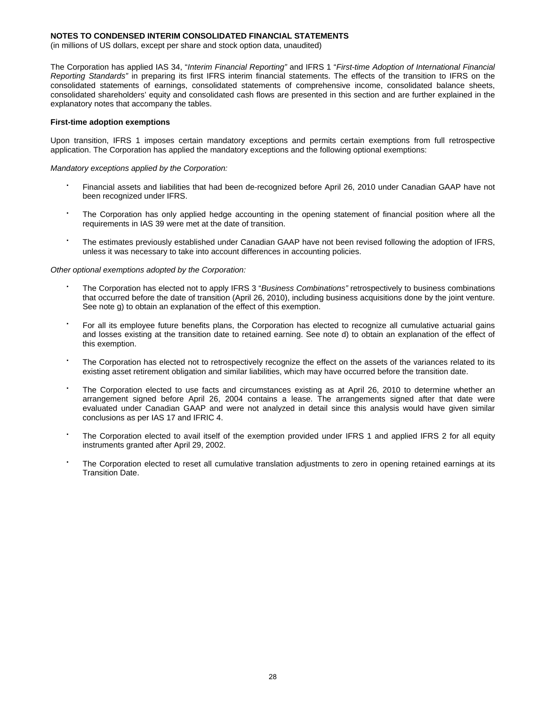(in millions of US dollars, except per share and stock option data, unaudited)

The Corporation has applied IAS 34, "*Interim Financial Reporting"* and IFRS 1 "*First-time Adoption of International Financial Reporting Standards"* in preparing its first IFRS interim financial statements. The effects of the transition to IFRS on the consolidated statements of earnings, consolidated statements of comprehensive income, consolidated balance sheets, consolidated shareholders' equity and consolidated cash flows are presented in this section and are further explained in the explanatory notes that accompany the tables.

#### **First-time adoption exemptions**

Upon transition, IFRS 1 imposes certain mandatory exceptions and permits certain exemptions from full retrospective application. The Corporation has applied the mandatory exceptions and the following optional exemptions:

*Mandatory exceptions applied by the Corporation:* 

- Financial assets and liabilities that had been de-recognized before April 26, 2010 under Canadian GAAP have not been recognized under IFRS.
- The Corporation has only applied hedge accounting in the opening statement of financial position where all the requirements in IAS 39 were met at the date of transition.
- The estimates previously established under Canadian GAAP have not been revised following the adoption of IFRS, unless it was necessary to take into account differences in accounting policies.

### *Other optional exemptions adopted by the Corporation:*

- The Corporation has elected not to apply IFRS 3 "*Business Combinations"* retrospectively to business combinations that occurred before the date of transition (April 26, 2010), including business acquisitions done by the joint venture. See note g) to obtain an explanation of the effect of this exemption.
- For all its employee future benefits plans, the Corporation has elected to recognize all cumulative actuarial gains and losses existing at the transition date to retained earning. See note d) to obtain an explanation of the effect of this exemption.
- The Corporation has elected not to retrospectively recognize the effect on the assets of the variances related to its existing asset retirement obligation and similar liabilities, which may have occurred before the transition date.
- The Corporation elected to use facts and circumstances existing as at April 26, 2010 to determine whether an arrangement signed before April 26, 2004 contains a lease. The arrangements signed after that date were evaluated under Canadian GAAP and were not analyzed in detail since this analysis would have given similar conclusions as per IAS 17 and IFRIC 4.
- The Corporation elected to avail itself of the exemption provided under IFRS 1 and applied IFRS 2 for all equity instruments granted after April 29, 2002.
- The Corporation elected to reset all cumulative translation adjustments to zero in opening retained earnings at its Transition Date.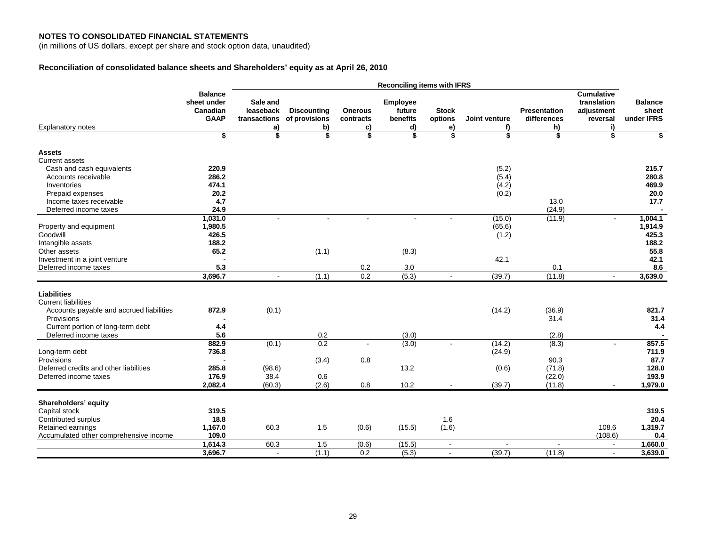#### **NOTES TO CONSOLIDATED FINANCIAL STATEMENTS**

(in millions of US dollars, except per share and stock option data, unaudited)

## **Reconciliation of consolidated balance sheets and Shareholders' equity as at April 26, 2010**

| <b>Cumulative</b><br><b>Balance</b><br>sheet under<br>translation<br>Sale and<br>Employee<br><b>Balance</b><br><b>Discounting</b><br><b>Stock</b><br><b>Presentation</b><br>sheet<br>Canadian<br>leaseback<br><b>Onerous</b><br>future<br>adjustment<br>under IFRS<br><b>GAAP</b><br>transactions<br>of provisions<br>benefits<br>options<br>Joint venture<br>differences<br>reversal<br>contracts<br><b>Explanatory notes</b><br>b)<br>c)<br>d)<br>e)<br>h)<br>i)<br>a)<br>f)<br>$\overline{\bullet}$<br>\$<br>\$<br>\$<br>\$<br>\$<br>\$<br>\$<br>\$<br>\$<br><b>Assets</b><br>Current assets<br>Cash and cash equivalents<br>220.9<br>215.7<br>(5.2)<br>286.2<br>(5.4)<br>Accounts receivable<br>280.8<br>474.1<br>469.9<br>Inventories<br>(4.2)<br>20.2<br>(0.2)<br>20.0<br>Prepaid expenses<br>4.7<br>13.0<br>17.7<br>Income taxes receivable<br>(24.9)<br>Deferred income taxes<br>24.9<br>1,031.0<br>(15.0)<br>(11.9)<br>1,004.1<br>÷<br>$\sim$<br>$\overline{a}$<br>$\sim$<br>$\sim$<br>$\sim$<br>1,980.5<br>(65.6)<br>1,914.9<br>Property and equipment<br>426.5<br>Goodwill<br>(1.2)<br>425.3<br>188.2<br>188.2<br>Intangible assets<br>65.2<br>(1.1)<br>Other assets<br>(8.3)<br>55.8<br>42.1<br>Investment in a joint venture<br>42.1<br>5.3<br>Deferred income taxes<br>0.2<br>3.0<br>0.1<br>8.6<br>3,696.7<br>0.2<br>(5.3)<br>(39.7)<br>(11.8)<br>3,639.0<br>(1.1)<br>$\blacksquare$<br>$\sim$<br>$\blacksquare$<br><b>Liabilities</b><br><b>Current liabilities</b><br>872.9<br>(0.1)<br>(36.9)<br>821.7<br>Accounts payable and accrued liabilities<br>(14.2)<br>31.4<br>31.4<br>Provisions<br>Current portion of long-term debt<br>4.4<br>4.4<br>5.6<br>Deferred income taxes<br>0.2<br>(3.0)<br>(2.8)<br>0.2<br>882.9<br>857.5<br>(0.1)<br>(3.0)<br>(14.2)<br>(8.3)<br>ä,<br>Long-term debt<br>736.8<br>(24.9)<br>711.9<br>0.8<br>90.3<br>87.7<br>Provisions<br>(3.4)<br>285.8<br>13.2<br>Deferred credits and other liabilities<br>(98.6)<br>(71.8)<br>128.0<br>(0.6)<br>38.4<br>(22.0)<br>176.9<br>0.6<br>193.9<br>Deferred income taxes<br>(2.6)<br>2,082.4<br>(60.3)<br>0.8<br>10.2<br>(39.7)<br>1,979.0<br>(11.8)<br>$\sim$<br>$\sim$<br>Shareholders' equity<br>319.5<br>319.5<br>Capital stock<br>Contributed surplus<br>18.8<br>1.6<br>20.4<br>1,167.0<br>60.3<br>1.5<br>(0.6)<br>(1.6)<br>Retained earnings<br>(15.5)<br>108.6<br>1,319.7<br>109.0<br>Accumulated other comprehensive income<br>(108.6)<br>0.4<br>1,614.3<br>60.3<br>1.5<br>(15.5)<br>(0.6)<br>1,660.0<br>$\blacksquare$<br>3,696.7<br>(1.1)<br>0.2<br>(5.3)<br>(39.7)<br>(11.8)<br>3,639.0<br>$\overline{\phantom{a}}$<br>$\sim$<br>$\sim$ |  | <b>Reconciling items with IFRS</b> |  |  |  |  |  |  |  |  |
|----------------------------------------------------------------------------------------------------------------------------------------------------------------------------------------------------------------------------------------------------------------------------------------------------------------------------------------------------------------------------------------------------------------------------------------------------------------------------------------------------------------------------------------------------------------------------------------------------------------------------------------------------------------------------------------------------------------------------------------------------------------------------------------------------------------------------------------------------------------------------------------------------------------------------------------------------------------------------------------------------------------------------------------------------------------------------------------------------------------------------------------------------------------------------------------------------------------------------------------------------------------------------------------------------------------------------------------------------------------------------------------------------------------------------------------------------------------------------------------------------------------------------------------------------------------------------------------------------------------------------------------------------------------------------------------------------------------------------------------------------------------------------------------------------------------------------------------------------------------------------------------------------------------------------------------------------------------------------------------------------------------------------------------------------------------------------------------------------------------------------------------------------------------------------------------------------------------------------------------------------------------------------------------------------------------------------------------------------------------------------------------------------------------------------------------------------------------------------------------------------------------------------------------------------------------------------------------------------------------------------------------|--|------------------------------------|--|--|--|--|--|--|--|--|
|                                                                                                                                                                                                                                                                                                                                                                                                                                                                                                                                                                                                                                                                                                                                                                                                                                                                                                                                                                                                                                                                                                                                                                                                                                                                                                                                                                                                                                                                                                                                                                                                                                                                                                                                                                                                                                                                                                                                                                                                                                                                                                                                                                                                                                                                                                                                                                                                                                                                                                                                                                                                                                        |  |                                    |  |  |  |  |  |  |  |  |
|                                                                                                                                                                                                                                                                                                                                                                                                                                                                                                                                                                                                                                                                                                                                                                                                                                                                                                                                                                                                                                                                                                                                                                                                                                                                                                                                                                                                                                                                                                                                                                                                                                                                                                                                                                                                                                                                                                                                                                                                                                                                                                                                                                                                                                                                                                                                                                                                                                                                                                                                                                                                                                        |  |                                    |  |  |  |  |  |  |  |  |
|                                                                                                                                                                                                                                                                                                                                                                                                                                                                                                                                                                                                                                                                                                                                                                                                                                                                                                                                                                                                                                                                                                                                                                                                                                                                                                                                                                                                                                                                                                                                                                                                                                                                                                                                                                                                                                                                                                                                                                                                                                                                                                                                                                                                                                                                                                                                                                                                                                                                                                                                                                                                                                        |  |                                    |  |  |  |  |  |  |  |  |
|                                                                                                                                                                                                                                                                                                                                                                                                                                                                                                                                                                                                                                                                                                                                                                                                                                                                                                                                                                                                                                                                                                                                                                                                                                                                                                                                                                                                                                                                                                                                                                                                                                                                                                                                                                                                                                                                                                                                                                                                                                                                                                                                                                                                                                                                                                                                                                                                                                                                                                                                                                                                                                        |  |                                    |  |  |  |  |  |  |  |  |
|                                                                                                                                                                                                                                                                                                                                                                                                                                                                                                                                                                                                                                                                                                                                                                                                                                                                                                                                                                                                                                                                                                                                                                                                                                                                                                                                                                                                                                                                                                                                                                                                                                                                                                                                                                                                                                                                                                                                                                                                                                                                                                                                                                                                                                                                                                                                                                                                                                                                                                                                                                                                                                        |  |                                    |  |  |  |  |  |  |  |  |
|                                                                                                                                                                                                                                                                                                                                                                                                                                                                                                                                                                                                                                                                                                                                                                                                                                                                                                                                                                                                                                                                                                                                                                                                                                                                                                                                                                                                                                                                                                                                                                                                                                                                                                                                                                                                                                                                                                                                                                                                                                                                                                                                                                                                                                                                                                                                                                                                                                                                                                                                                                                                                                        |  |                                    |  |  |  |  |  |  |  |  |
|                                                                                                                                                                                                                                                                                                                                                                                                                                                                                                                                                                                                                                                                                                                                                                                                                                                                                                                                                                                                                                                                                                                                                                                                                                                                                                                                                                                                                                                                                                                                                                                                                                                                                                                                                                                                                                                                                                                                                                                                                                                                                                                                                                                                                                                                                                                                                                                                                                                                                                                                                                                                                                        |  |                                    |  |  |  |  |  |  |  |  |
|                                                                                                                                                                                                                                                                                                                                                                                                                                                                                                                                                                                                                                                                                                                                                                                                                                                                                                                                                                                                                                                                                                                                                                                                                                                                                                                                                                                                                                                                                                                                                                                                                                                                                                                                                                                                                                                                                                                                                                                                                                                                                                                                                                                                                                                                                                                                                                                                                                                                                                                                                                                                                                        |  |                                    |  |  |  |  |  |  |  |  |
|                                                                                                                                                                                                                                                                                                                                                                                                                                                                                                                                                                                                                                                                                                                                                                                                                                                                                                                                                                                                                                                                                                                                                                                                                                                                                                                                                                                                                                                                                                                                                                                                                                                                                                                                                                                                                                                                                                                                                                                                                                                                                                                                                                                                                                                                                                                                                                                                                                                                                                                                                                                                                                        |  |                                    |  |  |  |  |  |  |  |  |
|                                                                                                                                                                                                                                                                                                                                                                                                                                                                                                                                                                                                                                                                                                                                                                                                                                                                                                                                                                                                                                                                                                                                                                                                                                                                                                                                                                                                                                                                                                                                                                                                                                                                                                                                                                                                                                                                                                                                                                                                                                                                                                                                                                                                                                                                                                                                                                                                                                                                                                                                                                                                                                        |  |                                    |  |  |  |  |  |  |  |  |
|                                                                                                                                                                                                                                                                                                                                                                                                                                                                                                                                                                                                                                                                                                                                                                                                                                                                                                                                                                                                                                                                                                                                                                                                                                                                                                                                                                                                                                                                                                                                                                                                                                                                                                                                                                                                                                                                                                                                                                                                                                                                                                                                                                                                                                                                                                                                                                                                                                                                                                                                                                                                                                        |  |                                    |  |  |  |  |  |  |  |  |
|                                                                                                                                                                                                                                                                                                                                                                                                                                                                                                                                                                                                                                                                                                                                                                                                                                                                                                                                                                                                                                                                                                                                                                                                                                                                                                                                                                                                                                                                                                                                                                                                                                                                                                                                                                                                                                                                                                                                                                                                                                                                                                                                                                                                                                                                                                                                                                                                                                                                                                                                                                                                                                        |  |                                    |  |  |  |  |  |  |  |  |
|                                                                                                                                                                                                                                                                                                                                                                                                                                                                                                                                                                                                                                                                                                                                                                                                                                                                                                                                                                                                                                                                                                                                                                                                                                                                                                                                                                                                                                                                                                                                                                                                                                                                                                                                                                                                                                                                                                                                                                                                                                                                                                                                                                                                                                                                                                                                                                                                                                                                                                                                                                                                                                        |  |                                    |  |  |  |  |  |  |  |  |
|                                                                                                                                                                                                                                                                                                                                                                                                                                                                                                                                                                                                                                                                                                                                                                                                                                                                                                                                                                                                                                                                                                                                                                                                                                                                                                                                                                                                                                                                                                                                                                                                                                                                                                                                                                                                                                                                                                                                                                                                                                                                                                                                                                                                                                                                                                                                                                                                                                                                                                                                                                                                                                        |  |                                    |  |  |  |  |  |  |  |  |
|                                                                                                                                                                                                                                                                                                                                                                                                                                                                                                                                                                                                                                                                                                                                                                                                                                                                                                                                                                                                                                                                                                                                                                                                                                                                                                                                                                                                                                                                                                                                                                                                                                                                                                                                                                                                                                                                                                                                                                                                                                                                                                                                                                                                                                                                                                                                                                                                                                                                                                                                                                                                                                        |  |                                    |  |  |  |  |  |  |  |  |
|                                                                                                                                                                                                                                                                                                                                                                                                                                                                                                                                                                                                                                                                                                                                                                                                                                                                                                                                                                                                                                                                                                                                                                                                                                                                                                                                                                                                                                                                                                                                                                                                                                                                                                                                                                                                                                                                                                                                                                                                                                                                                                                                                                                                                                                                                                                                                                                                                                                                                                                                                                                                                                        |  |                                    |  |  |  |  |  |  |  |  |
|                                                                                                                                                                                                                                                                                                                                                                                                                                                                                                                                                                                                                                                                                                                                                                                                                                                                                                                                                                                                                                                                                                                                                                                                                                                                                                                                                                                                                                                                                                                                                                                                                                                                                                                                                                                                                                                                                                                                                                                                                                                                                                                                                                                                                                                                                                                                                                                                                                                                                                                                                                                                                                        |  |                                    |  |  |  |  |  |  |  |  |
|                                                                                                                                                                                                                                                                                                                                                                                                                                                                                                                                                                                                                                                                                                                                                                                                                                                                                                                                                                                                                                                                                                                                                                                                                                                                                                                                                                                                                                                                                                                                                                                                                                                                                                                                                                                                                                                                                                                                                                                                                                                                                                                                                                                                                                                                                                                                                                                                                                                                                                                                                                                                                                        |  |                                    |  |  |  |  |  |  |  |  |
|                                                                                                                                                                                                                                                                                                                                                                                                                                                                                                                                                                                                                                                                                                                                                                                                                                                                                                                                                                                                                                                                                                                                                                                                                                                                                                                                                                                                                                                                                                                                                                                                                                                                                                                                                                                                                                                                                                                                                                                                                                                                                                                                                                                                                                                                                                                                                                                                                                                                                                                                                                                                                                        |  |                                    |  |  |  |  |  |  |  |  |
|                                                                                                                                                                                                                                                                                                                                                                                                                                                                                                                                                                                                                                                                                                                                                                                                                                                                                                                                                                                                                                                                                                                                                                                                                                                                                                                                                                                                                                                                                                                                                                                                                                                                                                                                                                                                                                                                                                                                                                                                                                                                                                                                                                                                                                                                                                                                                                                                                                                                                                                                                                                                                                        |  |                                    |  |  |  |  |  |  |  |  |
|                                                                                                                                                                                                                                                                                                                                                                                                                                                                                                                                                                                                                                                                                                                                                                                                                                                                                                                                                                                                                                                                                                                                                                                                                                                                                                                                                                                                                                                                                                                                                                                                                                                                                                                                                                                                                                                                                                                                                                                                                                                                                                                                                                                                                                                                                                                                                                                                                                                                                                                                                                                                                                        |  |                                    |  |  |  |  |  |  |  |  |
|                                                                                                                                                                                                                                                                                                                                                                                                                                                                                                                                                                                                                                                                                                                                                                                                                                                                                                                                                                                                                                                                                                                                                                                                                                                                                                                                                                                                                                                                                                                                                                                                                                                                                                                                                                                                                                                                                                                                                                                                                                                                                                                                                                                                                                                                                                                                                                                                                                                                                                                                                                                                                                        |  |                                    |  |  |  |  |  |  |  |  |
|                                                                                                                                                                                                                                                                                                                                                                                                                                                                                                                                                                                                                                                                                                                                                                                                                                                                                                                                                                                                                                                                                                                                                                                                                                                                                                                                                                                                                                                                                                                                                                                                                                                                                                                                                                                                                                                                                                                                                                                                                                                                                                                                                                                                                                                                                                                                                                                                                                                                                                                                                                                                                                        |  |                                    |  |  |  |  |  |  |  |  |
|                                                                                                                                                                                                                                                                                                                                                                                                                                                                                                                                                                                                                                                                                                                                                                                                                                                                                                                                                                                                                                                                                                                                                                                                                                                                                                                                                                                                                                                                                                                                                                                                                                                                                                                                                                                                                                                                                                                                                                                                                                                                                                                                                                                                                                                                                                                                                                                                                                                                                                                                                                                                                                        |  |                                    |  |  |  |  |  |  |  |  |
|                                                                                                                                                                                                                                                                                                                                                                                                                                                                                                                                                                                                                                                                                                                                                                                                                                                                                                                                                                                                                                                                                                                                                                                                                                                                                                                                                                                                                                                                                                                                                                                                                                                                                                                                                                                                                                                                                                                                                                                                                                                                                                                                                                                                                                                                                                                                                                                                                                                                                                                                                                                                                                        |  |                                    |  |  |  |  |  |  |  |  |
|                                                                                                                                                                                                                                                                                                                                                                                                                                                                                                                                                                                                                                                                                                                                                                                                                                                                                                                                                                                                                                                                                                                                                                                                                                                                                                                                                                                                                                                                                                                                                                                                                                                                                                                                                                                                                                                                                                                                                                                                                                                                                                                                                                                                                                                                                                                                                                                                                                                                                                                                                                                                                                        |  |                                    |  |  |  |  |  |  |  |  |
|                                                                                                                                                                                                                                                                                                                                                                                                                                                                                                                                                                                                                                                                                                                                                                                                                                                                                                                                                                                                                                                                                                                                                                                                                                                                                                                                                                                                                                                                                                                                                                                                                                                                                                                                                                                                                                                                                                                                                                                                                                                                                                                                                                                                                                                                                                                                                                                                                                                                                                                                                                                                                                        |  |                                    |  |  |  |  |  |  |  |  |
|                                                                                                                                                                                                                                                                                                                                                                                                                                                                                                                                                                                                                                                                                                                                                                                                                                                                                                                                                                                                                                                                                                                                                                                                                                                                                                                                                                                                                                                                                                                                                                                                                                                                                                                                                                                                                                                                                                                                                                                                                                                                                                                                                                                                                                                                                                                                                                                                                                                                                                                                                                                                                                        |  |                                    |  |  |  |  |  |  |  |  |
|                                                                                                                                                                                                                                                                                                                                                                                                                                                                                                                                                                                                                                                                                                                                                                                                                                                                                                                                                                                                                                                                                                                                                                                                                                                                                                                                                                                                                                                                                                                                                                                                                                                                                                                                                                                                                                                                                                                                                                                                                                                                                                                                                                                                                                                                                                                                                                                                                                                                                                                                                                                                                                        |  |                                    |  |  |  |  |  |  |  |  |
|                                                                                                                                                                                                                                                                                                                                                                                                                                                                                                                                                                                                                                                                                                                                                                                                                                                                                                                                                                                                                                                                                                                                                                                                                                                                                                                                                                                                                                                                                                                                                                                                                                                                                                                                                                                                                                                                                                                                                                                                                                                                                                                                                                                                                                                                                                                                                                                                                                                                                                                                                                                                                                        |  |                                    |  |  |  |  |  |  |  |  |
|                                                                                                                                                                                                                                                                                                                                                                                                                                                                                                                                                                                                                                                                                                                                                                                                                                                                                                                                                                                                                                                                                                                                                                                                                                                                                                                                                                                                                                                                                                                                                                                                                                                                                                                                                                                                                                                                                                                                                                                                                                                                                                                                                                                                                                                                                                                                                                                                                                                                                                                                                                                                                                        |  |                                    |  |  |  |  |  |  |  |  |
|                                                                                                                                                                                                                                                                                                                                                                                                                                                                                                                                                                                                                                                                                                                                                                                                                                                                                                                                                                                                                                                                                                                                                                                                                                                                                                                                                                                                                                                                                                                                                                                                                                                                                                                                                                                                                                                                                                                                                                                                                                                                                                                                                                                                                                                                                                                                                                                                                                                                                                                                                                                                                                        |  |                                    |  |  |  |  |  |  |  |  |
|                                                                                                                                                                                                                                                                                                                                                                                                                                                                                                                                                                                                                                                                                                                                                                                                                                                                                                                                                                                                                                                                                                                                                                                                                                                                                                                                                                                                                                                                                                                                                                                                                                                                                                                                                                                                                                                                                                                                                                                                                                                                                                                                                                                                                                                                                                                                                                                                                                                                                                                                                                                                                                        |  |                                    |  |  |  |  |  |  |  |  |
|                                                                                                                                                                                                                                                                                                                                                                                                                                                                                                                                                                                                                                                                                                                                                                                                                                                                                                                                                                                                                                                                                                                                                                                                                                                                                                                                                                                                                                                                                                                                                                                                                                                                                                                                                                                                                                                                                                                                                                                                                                                                                                                                                                                                                                                                                                                                                                                                                                                                                                                                                                                                                                        |  |                                    |  |  |  |  |  |  |  |  |
|                                                                                                                                                                                                                                                                                                                                                                                                                                                                                                                                                                                                                                                                                                                                                                                                                                                                                                                                                                                                                                                                                                                                                                                                                                                                                                                                                                                                                                                                                                                                                                                                                                                                                                                                                                                                                                                                                                                                                                                                                                                                                                                                                                                                                                                                                                                                                                                                                                                                                                                                                                                                                                        |  |                                    |  |  |  |  |  |  |  |  |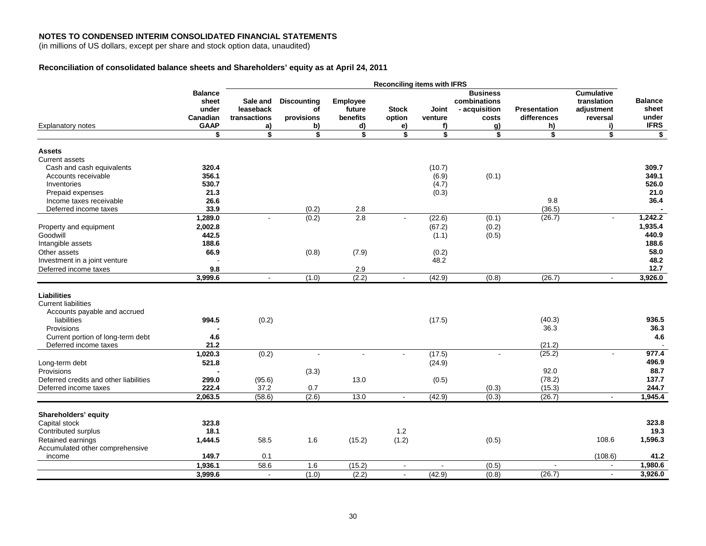(in millions of US dollars, except per share and stock option data, unaudited)

## **Reconciliation of consolidated balance sheets and Shareholders' equity as at April 24, 2011**

|                                        |                | <b>Reconciling items with IFRS</b> |                    |                 |                |               |                 |                     |                                  |                |
|----------------------------------------|----------------|------------------------------------|--------------------|-----------------|----------------|---------------|-----------------|---------------------|----------------------------------|----------------|
|                                        | <b>Balance</b> |                                    |                    |                 |                |               | <b>Business</b> |                     | <b>Cumulative</b><br>translation | <b>Balance</b> |
|                                        | sheet          | Sale and                           | <b>Discounting</b> | <b>Employee</b> |                |               | combinations    |                     |                                  |                |
|                                        | under          | leaseback                          | of                 | future          | <b>Stock</b>   | Joint         | - acquisition   | <b>Presentation</b> | adjustment                       | sheet          |
|                                        | Canadian       | transactions                       | provisions         | benefits        | option         | venture       | costs           | differences         | reversal                         | under          |
| <b>Explanatory notes</b>               | <b>GAAP</b>    | a)                                 | b)                 | d)              | e)             | f)            | <u>g)</u>       | h)                  | i)                               | <b>IFRS</b>    |
|                                        | \$             | \$                                 | \$                 | \$              | \$             | \$            | \$              | \$                  | \$                               | \$             |
| <b>Assets</b>                          |                |                                    |                    |                 |                |               |                 |                     |                                  |                |
| <b>Current assets</b>                  |                |                                    |                    |                 |                |               |                 |                     |                                  |                |
| Cash and cash equivalents              | 320.4          |                                    |                    |                 |                | (10.7)        |                 |                     |                                  | 309.7          |
| Accounts receivable                    | 356.1          |                                    |                    |                 |                | (6.9)         | (0.1)           |                     |                                  | 349.1          |
| Inventories                            | 530.7          |                                    |                    |                 |                | (4.7)         |                 |                     |                                  | 526.0          |
| Prepaid expenses                       | 21.3           |                                    |                    |                 |                | (0.3)         |                 |                     |                                  | 21.0           |
| Income taxes receivable                | 26.6           |                                    |                    |                 |                |               |                 | 9.8                 |                                  | 36.4           |
| Deferred income taxes                  | 33.9           |                                    | (0.2)              | 2.8             |                |               |                 | (36.5)              |                                  |                |
|                                        | 1,289.0        |                                    | (0.2)              | 2.8             |                | (22.6)        | (0.1)           | (26.7)              | $\sim$                           | 1,242.2        |
| Property and equipment                 | 2,002.8        |                                    |                    |                 |                | (67.2)        | (0.2)           |                     |                                  | 1,935.4        |
| Goodwill                               | 442.5          |                                    |                    |                 |                |               | (0.5)           |                     |                                  | 440.9          |
| Intangible assets                      | 188.6          |                                    |                    |                 |                | (1.1)         |                 |                     |                                  | 188.6          |
|                                        | 66.9           |                                    |                    |                 |                |               |                 |                     |                                  | 58.0           |
| Other assets                           |                |                                    | (0.8)              | (7.9)           |                | (0.2)<br>48.2 |                 |                     |                                  | 48.2           |
| Investment in a joint venture          |                |                                    |                    |                 |                |               |                 |                     |                                  | 12.7           |
| Deferred income taxes                  | 9.8            |                                    |                    | 2.9             |                |               |                 |                     |                                  |                |
|                                        | 3,999.6        | $\blacksquare$                     | (1.0)              | (2.2)           |                | (42.9)        | (0.8)           | (26.7)              | $\blacksquare$                   | 3,926.0        |
|                                        |                |                                    |                    |                 |                |               |                 |                     |                                  |                |
| <b>Liabilities</b>                     |                |                                    |                    |                 |                |               |                 |                     |                                  |                |
| <b>Current liabilities</b>             |                |                                    |                    |                 |                |               |                 |                     |                                  |                |
| Accounts payable and accrued           |                |                                    |                    |                 |                |               |                 |                     |                                  |                |
| liabilities                            | 994.5          | (0.2)                              |                    |                 |                | (17.5)        |                 | (40.3)              |                                  | 936.5          |
| Provisions                             |                |                                    |                    |                 |                |               |                 | 36.3                |                                  | 36.3           |
| Current portion of long-term debt      | 4.6            |                                    |                    |                 |                |               |                 |                     |                                  | 4.6            |
| Deferred income taxes                  | 21.2           |                                    |                    |                 |                |               |                 | (21.2)              |                                  |                |
|                                        | 1,020.3        | (0.2)                              | $\blacksquare$     | $\blacksquare$  | $\blacksquare$ | (17.5)        |                 | (25.2)              | $\sim$                           | 977.4          |
| Long-term debt                         | 521.8          |                                    |                    |                 |                | (24.9)        |                 |                     |                                  | 496.9          |
| Provisions                             |                |                                    | (3.3)              |                 |                |               |                 | 92.0                |                                  | 88.7           |
| Deferred credits and other liabilities | 299.0          | (95.6)                             |                    | 13.0            |                | (0.5)         |                 | (78.2)              |                                  | 137.7          |
| Deferred income taxes                  | 222.4          | 37.2                               | 0.7                |                 |                |               | (0.3)           | (15.3)              |                                  | 244.7          |
|                                        | 2,063.5        | (58.6)                             | (2.6)              | 13.0            | $\blacksquare$ | (42.9)        | (0.3)           | (26.7)              | $\blacksquare$                   | 1,945.4        |
|                                        |                |                                    |                    |                 |                |               |                 |                     |                                  |                |
| Shareholders' equity                   |                |                                    |                    |                 |                |               |                 |                     |                                  |                |
| Capital stock                          | 323.8          |                                    |                    |                 |                |               |                 |                     |                                  | 323.8          |
| Contributed surplus                    | 18.1           |                                    |                    |                 | 1.2            |               |                 |                     |                                  | 19.3           |
| Retained earnings                      | 1,444.5        | 58.5                               | 1.6                | (15.2)          | (1.2)          |               | (0.5)           |                     | 108.6                            | 1,596.3        |
| Accumulated other comprehensive        |                |                                    |                    |                 |                |               |                 |                     |                                  |                |
| income                                 | 149.7          | 0.1                                |                    |                 |                |               |                 |                     | (108.6)                          | 41.2           |
|                                        | 1,936.1        | 58.6                               | 1.6                | (15.2)          | $\blacksquare$ |               | (0.5)           | $\sim$              | $\sim$                           | 1,980.6        |
|                                        | 3,999.6        | $\sim$                             | (1.0)              | (2.2)           | $\blacksquare$ | (42.9)        | (0.8)           | (26.7)              | $\blacksquare$                   | 3,926.0        |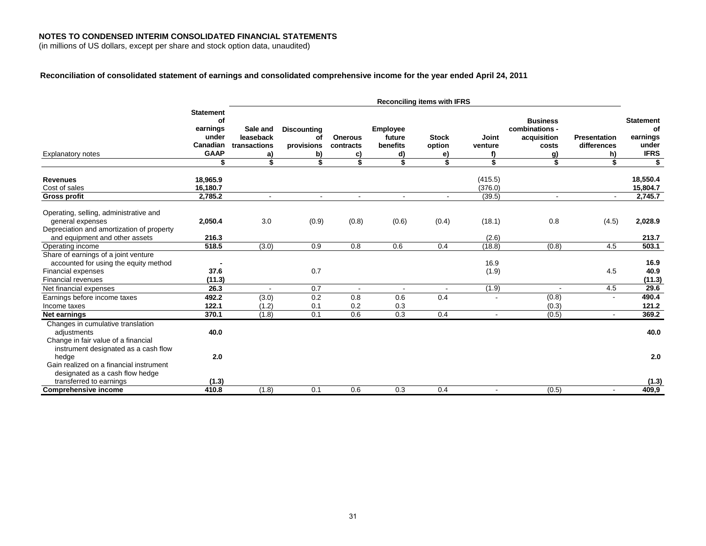(in millions of US dollars, except per share and stock option data, unaudited)

### **Reconciliation of consolidated statement of earnings and consolidated comprehensive income for the year ended April 24, 2011**

|                                                                                                                                  | <b>Reconciling items with IFRS</b>                                           |                                                   |                                                    |                                         |                                            |                                    |                              |                                                                       |                                                |                                                                  |
|----------------------------------------------------------------------------------------------------------------------------------|------------------------------------------------------------------------------|---------------------------------------------------|----------------------------------------------------|-----------------------------------------|--------------------------------------------|------------------------------------|------------------------------|-----------------------------------------------------------------------|------------------------------------------------|------------------------------------------------------------------|
| <b>Explanatory notes</b>                                                                                                         | <b>Statement</b><br>οf<br>earnings<br>under<br>Canadian<br><b>GAAP</b><br>\$ | Sale and<br>leaseback<br>transactions<br>a)<br>\$ | <b>Discounting</b><br>οf<br>provisions<br>b)<br>\$ | <b>Onerous</b><br>contracts<br>C)<br>\$ | Employee<br>future<br>benefits<br>d)<br>\$ | <b>Stock</b><br>option<br>e)<br>\$ | Joint<br>venture<br>f)<br>\$ | <b>Business</b><br>combinations -<br>acquisition<br>costs<br>g)<br>\$ | <b>Presentation</b><br>differences<br>h)<br>\$ | <b>Statement</b><br>of<br>earnings<br>under<br><b>IFRS</b><br>\$ |
|                                                                                                                                  |                                                                              |                                                   |                                                    |                                         |                                            |                                    |                              |                                                                       |                                                |                                                                  |
| <b>Revenues</b><br>Cost of sales<br><b>Gross profit</b>                                                                          | 18,965.9<br>16,180.7<br>2,785.2                                              |                                                   | $\blacksquare$                                     |                                         |                                            |                                    | (415.5)<br>(376.0)<br>(39.5) |                                                                       |                                                | 18,550.4<br>15,804.7<br>2,745.7                                  |
| Operating, selling, administrative and<br>general expenses<br>Depreciation and amortization of property                          | 2,050.4                                                                      | 3.0                                               | (0.9)                                              | (0.8)                                   | (0.6)                                      | (0.4)                              | (18.1)                       | 0.8                                                                   | (4.5)                                          | 2,028.9                                                          |
| and equipment and other assets                                                                                                   | 216.3                                                                        |                                                   |                                                    |                                         |                                            |                                    | (2.6)                        |                                                                       |                                                | 213.7                                                            |
| Operating income                                                                                                                 | 518.5                                                                        | (3.0)                                             | 0.9                                                | 0.8                                     | 0.6                                        | 0.4                                | (18.8)                       | (0.8)                                                                 | 4.5                                            | 503.1                                                            |
| Share of earnings of a joint venture<br>accounted for using the equity method<br><b>Financial expenses</b><br>Financial revenues | 37.6<br>(11.3)                                                               |                                                   | 0.7                                                |                                         |                                            |                                    | 16.9<br>(1.9)                |                                                                       | 4.5                                            | 16.9<br>40.9<br>(11.3)                                           |
| Net financial expenses                                                                                                           | 26.3                                                                         |                                                   | 0.7                                                |                                         | $\overline{\phantom{a}}$                   |                                    | (1.9)                        | $\sim$                                                                | 4.5                                            | 29.6                                                             |
| Earnings before income taxes<br>Income taxes                                                                                     | 492.2<br>122.1                                                               | (3.0)<br>(1.2)                                    | 0.2<br>0.1                                         | 0.8<br>0.2                              | 0.6<br>0.3                                 | 0.4                                | $\overline{\phantom{a}}$     | (0.8)<br>(0.3)                                                        |                                                | 490.4<br>121.2                                                   |
| Net earnings                                                                                                                     | 370.1                                                                        | (1.8)                                             | 0.1                                                | 0.6                                     | 0.3                                        | 0.4                                | $\blacksquare$               | (0.5)                                                                 | $\blacksquare$                                 | 369.2                                                            |
| Changes in cumulative translation<br>adjustments<br>Change in fair value of a financial<br>instrument designated as a cash flow  | 40.0                                                                         |                                                   |                                                    |                                         |                                            |                                    |                              |                                                                       |                                                | 40.0                                                             |
| hedge<br>Gain realized on a financial instrument<br>designated as a cash flow hedge                                              | 2.0                                                                          |                                                   |                                                    |                                         |                                            |                                    |                              |                                                                       |                                                | 2.0                                                              |
| transferred to earnings                                                                                                          | (1.3)                                                                        |                                                   |                                                    |                                         |                                            |                                    |                              |                                                                       |                                                | (1.3)                                                            |
| <b>Comprehensive income</b>                                                                                                      | 410.8                                                                        | (1.8)                                             | 0.1                                                | 0.6                                     | 0.3                                        | 0.4                                | $\overline{\phantom{a}}$     | (0.5)                                                                 |                                                | 409,9                                                            |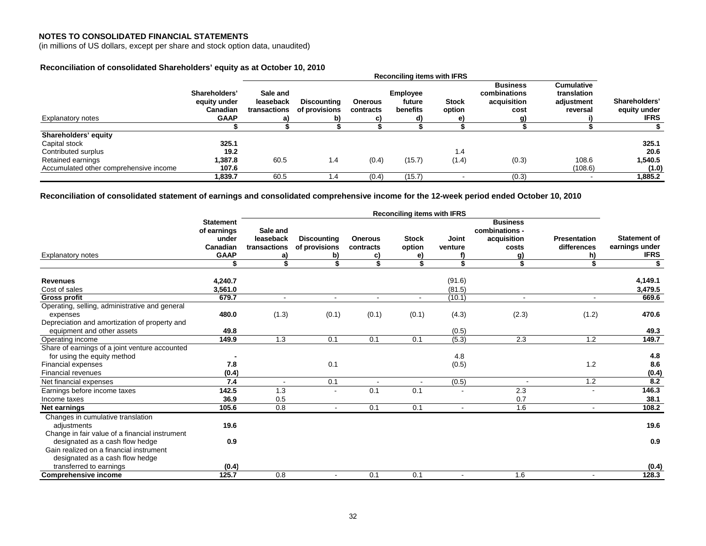#### **NOTES TO CONSOLIDATED FINANCIAL STATEMENTS**

(in millions of US dollars, except per share and stock option data, unaudited)

### **Reconciliation of consolidated Shareholders' equity as at October 10, 2010**

|                                        |                                                                 | <b>Reconciling items with IFRS</b>    |                                           |                             |                                       |                        |                                                        |                                                            |                                              |
|----------------------------------------|-----------------------------------------------------------------|---------------------------------------|-------------------------------------------|-----------------------------|---------------------------------------|------------------------|--------------------------------------------------------|------------------------------------------------------------|----------------------------------------------|
| <b>Explanatory notes</b>               | Shareholders'<br>equity under<br><b>Canadian</b><br><b>GAAP</b> | Sale and<br>leaseback<br>transactions | <b>Discounting</b><br>of provisions<br>b) | <b>Onerous</b><br>contracts | <b>Employee</b><br>future<br>benefits | <b>Stock</b><br>option | <b>Business</b><br>combinations<br>acquisition<br>cost | <b>Cumulative</b><br>translation<br>adjustment<br>reversal | Shareholders'<br>equity under<br><b>IFRS</b> |
|                                        |                                                                 |                                       |                                           |                             |                                       |                        | a)                                                     |                                                            |                                              |
|                                        |                                                                 |                                       |                                           |                             |                                       |                        |                                                        |                                                            |                                              |
| Shareholders' equity                   |                                                                 |                                       |                                           |                             |                                       |                        |                                                        |                                                            |                                              |
| Capital stock                          | 325.1                                                           |                                       |                                           |                             |                                       |                        |                                                        |                                                            | 325.1                                        |
| Contributed surplus                    | 19.2                                                            |                                       |                                           |                             |                                       | 1.4                    |                                                        |                                                            | 20.6                                         |
| Retained earnings                      | 1,387.8                                                         | 60.5                                  | 1.4                                       | (0.4)                       | (15.7)                                | (1.4)                  | (0.3)                                                  | 108.6                                                      | 1,540.5                                      |
| Accumulated other comprehensive income | 107.6                                                           |                                       |                                           |                             |                                       |                        |                                                        | (108.6)                                                    | (1.0)                                        |
|                                        | 1.839.7                                                         | 60.5                                  | 1.4                                       | (0.4)                       | (15.7)                                |                        | (0.3)                                                  | $\overline{\phantom{a}}$                                   | 1.885.2                                      |

**Reconciliation of consolidated statement of earnings and consolidated comprehensive income for the 12-week period ended October 10, 2010** 

|                                                                             | <b>Reconciling items with IFRS</b>                   |                                       |                                     |                             |                          |                          |                                                           |                                    |                                       |
|-----------------------------------------------------------------------------|------------------------------------------------------|---------------------------------------|-------------------------------------|-----------------------------|--------------------------|--------------------------|-----------------------------------------------------------|------------------------------------|---------------------------------------|
|                                                                             | <b>Statement</b><br>of earnings<br>under<br>Canadian | Sale and<br>leaseback<br>transactions | <b>Discounting</b><br>of provisions | <b>Onerous</b><br>contracts | <b>Stock</b><br>option   | <b>Joint</b><br>venture  | <b>Business</b><br>combinations -<br>acquisition<br>costs | <b>Presentation</b><br>differences | <b>Statement of</b><br>earnings under |
| <b>Explanatory notes</b>                                                    | <b>GAAP</b>                                          | a)                                    | b)                                  | C)                          | e)                       | f)                       | g)                                                        | h)                                 | <b>IFRS</b>                           |
|                                                                             |                                                      |                                       |                                     | \$                          | \$                       | \$                       |                                                           | \$                                 | \$                                    |
| <b>Revenues</b>                                                             | 4,240.7                                              |                                       |                                     |                             |                          | (91.6)                   |                                                           |                                    | 4,149.1                               |
| Cost of sales                                                               | 3,561.0                                              |                                       |                                     |                             |                          | (81.5)                   |                                                           |                                    | 3,479.5                               |
| Gross profit                                                                | 679.7                                                | $\blacksquare$                        | $\blacksquare$                      | $\overline{\phantom{a}}$    | $\overline{\phantom{a}}$ | (10.1)                   | $\blacksquare$                                            | $\overline{\phantom{a}}$           | 669.6                                 |
| Operating, selling, administrative and general                              |                                                      |                                       |                                     |                             |                          |                          |                                                           |                                    |                                       |
| expenses                                                                    | 480.0                                                | (1.3)                                 | (0.1)                               | (0.1)                       | (0.1)                    | (4.3)                    | (2.3)                                                     | (1.2)                              | 470.6                                 |
| Depreciation and amortization of property and<br>equipment and other assets | 49.8                                                 |                                       |                                     |                             |                          | (0.5)                    |                                                           |                                    | 49.3                                  |
| Operating income                                                            | 149.9                                                | 1.3                                   | 0.1                                 | 0.1                         | 0.1                      | (5.3)                    | 2.3                                                       | 1.2                                | 149.7                                 |
| Share of earnings of a joint venture accounted                              |                                                      |                                       |                                     |                             |                          |                          |                                                           |                                    |                                       |
| for using the equity method                                                 |                                                      |                                       |                                     |                             |                          | 4.8                      |                                                           |                                    | 4.8                                   |
| Financial expenses                                                          | 7.8                                                  |                                       | 0.1                                 |                             |                          | (0.5)                    |                                                           | 1.2                                | 8.6                                   |
| <b>Financial revenues</b>                                                   | (0.4)                                                |                                       |                                     |                             |                          |                          |                                                           |                                    | (0.4)                                 |
| Net financial expenses                                                      | 7.4                                                  |                                       | 0.1                                 | $\blacksquare$              |                          | (0.5)                    | $\overline{\phantom{a}}$                                  | 1.2                                | 8.2                                   |
| Earnings before income taxes                                                | 142.5                                                | 1.3                                   | $\blacksquare$                      | 0.1                         | 0.1                      | $\overline{\phantom{a}}$ | 2.3                                                       |                                    | 146.3                                 |
| Income taxes                                                                | 36.9                                                 | 0.5                                   |                                     |                             |                          |                          | 0.7                                                       |                                    | 38.1                                  |
| Net earnings                                                                | 105.6                                                | 0.8                                   |                                     | 0.1                         | 0.1                      | $\overline{\phantom{a}}$ | 1.6                                                       |                                    | 108.2                                 |
| Changes in cumulative translation<br>adjustments                            | 19.6                                                 |                                       |                                     |                             |                          |                          |                                                           |                                    | 19.6                                  |
| Change in fair value of a financial instrument                              |                                                      |                                       |                                     |                             |                          |                          |                                                           |                                    |                                       |
| designated as a cash flow hedge                                             | 0.9                                                  |                                       |                                     |                             |                          |                          |                                                           |                                    | 0.9                                   |
| Gain realized on a financial instrument                                     |                                                      |                                       |                                     |                             |                          |                          |                                                           |                                    |                                       |
| designated as a cash flow hedge                                             |                                                      |                                       |                                     |                             |                          |                          |                                                           |                                    |                                       |
| transferred to earnings                                                     | (0.4)                                                |                                       |                                     |                             |                          |                          |                                                           |                                    | (0.4)                                 |
| <b>Comprehensive income</b>                                                 | 125.7                                                | 0.8                                   | $\blacksquare$                      | 0.1                         | 0.1                      |                          | 1.6                                                       |                                    | 128.3                                 |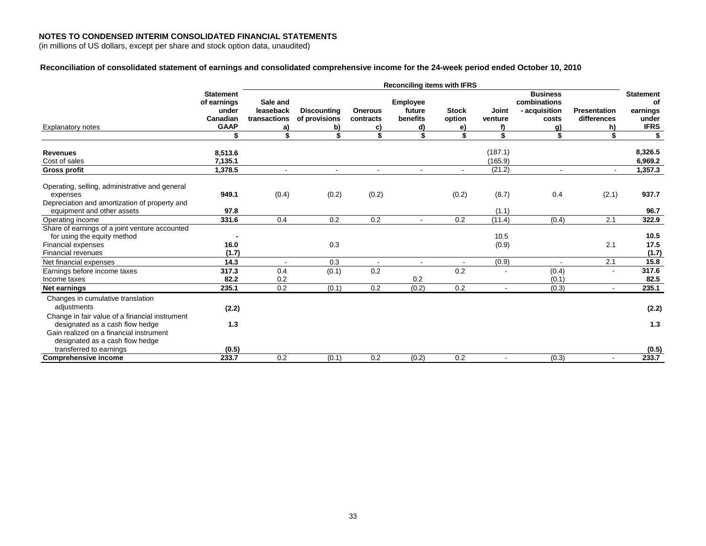(in millions of US dollars, except per share and stock option data, unaudited)

### **Reconciliation of consolidated statement of earnings and consolidated comprehensive income for the 24-week period ended October 10, 2010**

|                                                                                                                              | <b>Reconciling items with IFRS</b>                                  |                                             |                                           |                                   |                                             |                              |                    |                                                                 |                                          |                                                            |
|------------------------------------------------------------------------------------------------------------------------------|---------------------------------------------------------------------|---------------------------------------------|-------------------------------------------|-----------------------------------|---------------------------------------------|------------------------------|--------------------|-----------------------------------------------------------------|------------------------------------------|------------------------------------------------------------|
| <b>Explanatory notes</b>                                                                                                     | <b>Statement</b><br>of earnings<br>under<br>Canadian<br><b>GAAP</b> | Sale and<br>leaseback<br>transactions<br>a) | <b>Discounting</b><br>of provisions<br>b) | <b>Onerous</b><br>contracts<br>C) | <b>Employee</b><br>future<br>benefits<br>d) | <b>Stock</b><br>option<br>e) | Joint<br>venture   | <b>Business</b><br>combinations<br>- acquisition<br>costs<br>g) | <b>Presentation</b><br>differences<br>h) | <b>Statement</b><br>οf<br>earnings<br>under<br><b>IFRS</b> |
|                                                                                                                              | \$                                                                  | ፍ                                           | \$                                        | \$                                |                                             | \$                           | \$                 | \$                                                              | \$                                       | \$                                                         |
| <b>Revenues</b><br>Cost of sales                                                                                             | 8,513.6<br>7,135.1                                                  |                                             |                                           |                                   |                                             |                              | (187.1)<br>(165.9) |                                                                 |                                          | 8,326.5<br>6,969.2                                         |
| <b>Gross profit</b>                                                                                                          | 1.378.5                                                             | $\sim$                                      | $\sim$                                    | $\blacksquare$                    |                                             |                              | (21.2)             | $\sim$                                                          |                                          | 1,357.3                                                    |
| Operating, selling, administrative and general<br>expenses                                                                   | 949.1                                                               | (0.4)                                       | (0.2)                                     | (0.2)                             |                                             | (0.2)                        | (8.7)              | 0.4                                                             | (2.1)                                    | 937.7                                                      |
| Depreciation and amortization of property and<br>equipment and other assets                                                  | 97.8                                                                |                                             |                                           |                                   |                                             |                              | (1.1)              |                                                                 |                                          | 96.7                                                       |
| Operating income                                                                                                             | 331.6                                                               | 0.4                                         | 0.2                                       | 0.2                               |                                             | 0.2                          | (11.4)             | (0.4)                                                           | 2.1                                      | 322.9                                                      |
| Share of earnings of a joint venture accounted<br>for using the equity method                                                |                                                                     |                                             |                                           |                                   |                                             |                              | 10.5               |                                                                 |                                          | 10.5                                                       |
| <b>Financial expenses</b><br><b>Financial revenues</b>                                                                       | 16.0<br>(1.7)                                                       |                                             | 0.3                                       |                                   |                                             |                              | (0.9)              |                                                                 | 2.1                                      | 17.5<br>(1.7)                                              |
| Net financial expenses                                                                                                       | 14.3                                                                |                                             | 0.3                                       | $\blacksquare$                    |                                             | $\blacksquare$               | (0.9)              |                                                                 | 2.1                                      | 15.8                                                       |
| Earnings before income taxes<br>Income taxes                                                                                 | 317.3<br>82.2                                                       | 0.4<br>0.2                                  | (0.1)                                     | 0.2                               | 0.2                                         | 0.2                          |                    | (0.4)<br>(0.1)                                                  |                                          | 317.6<br>82.5                                              |
| Net earnings                                                                                                                 | 235.1                                                               | 0.2                                         | (0.1)                                     | 0.2                               | (0.2)                                       | 0.2                          |                    | (0.3)                                                           |                                          | 235.1                                                      |
| Changes in cumulative translation<br>adiustments                                                                             | (2.2)                                                               |                                             |                                           |                                   |                                             |                              |                    |                                                                 |                                          | (2.2)                                                      |
| Change in fair value of a financial instrument<br>designated as a cash flow hedge<br>Gain realized on a financial instrument | 1.3                                                                 |                                             |                                           |                                   |                                             |                              |                    |                                                                 |                                          | 1.3                                                        |
| designated as a cash flow hedge<br>transferred to earnings<br><b>Comprehensive income</b>                                    | (0.5)<br>233.7                                                      | 0.2                                         | (0.1)                                     | 0.2                               | (0.2)                                       | 0.2                          |                    | (0.3)                                                           | $\overline{\phantom{a}}$                 | (0.5)<br>233.7                                             |
|                                                                                                                              |                                                                     |                                             |                                           |                                   |                                             |                              |                    |                                                                 |                                          |                                                            |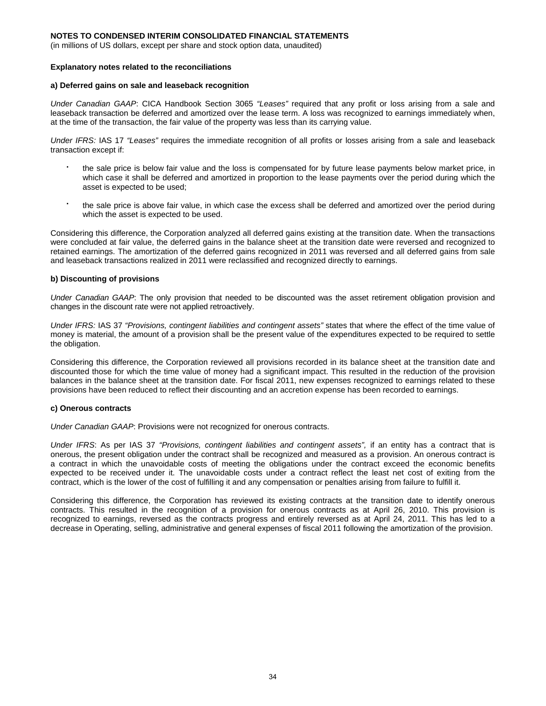(in millions of US dollars, except per share and stock option data, unaudited)

#### **Explanatory notes related to the reconciliations**

#### **a) Deferred gains on sale and leaseback recognition**

*Under Canadian GAAP*: CICA Handbook Section 3065 *"Leases"* required that any profit or loss arising from a sale and leaseback transaction be deferred and amortized over the lease term. A loss was recognized to earnings immediately when, at the time of the transaction, the fair value of the property was less than its carrying value.

*Under IFRS:* IAS 17 *"Leases"* requires the immediate recognition of all profits or losses arising from a sale and leaseback transaction except if:

- the sale price is below fair value and the loss is compensated for by future lease payments below market price, in which case it shall be deferred and amortized in proportion to the lease payments over the period during which the asset is expected to be used;
- the sale price is above fair value, in which case the excess shall be deferred and amortized over the period during which the asset is expected to be used.

Considering this difference, the Corporation analyzed all deferred gains existing at the transition date. When the transactions were concluded at fair value, the deferred gains in the balance sheet at the transition date were reversed and recognized to retained earnings. The amortization of the deferred gains recognized in 2011 was reversed and all deferred gains from sale and leaseback transactions realized in 2011 were reclassified and recognized directly to earnings.

#### **b) Discounting of provisions**

*Under Canadian GAAP*: The only provision that needed to be discounted was the asset retirement obligation provision and changes in the discount rate were not applied retroactively.

*Under IFRS:* IAS 37 *"Provisions, contingent liabilities and contingent assets"* states that where the effect of the time value of money is material, the amount of a provision shall be the present value of the expenditures expected to be required to settle the obligation.

Considering this difference, the Corporation reviewed all provisions recorded in its balance sheet at the transition date and discounted those for which the time value of money had a significant impact. This resulted in the reduction of the provision balances in the balance sheet at the transition date. For fiscal 2011, new expenses recognized to earnings related to these provisions have been reduced to reflect their discounting and an accretion expense has been recorded to earnings.

#### **c) Onerous contracts**

*Under Canadian GAAP*: Provisions were not recognized for onerous contracts.

*Under IFRS*: As per IAS 37 *"Provisions, contingent liabilities and contingent assets",* if an entity has a contract that is onerous, the present obligation under the contract shall be recognized and measured as a provision. An onerous contract is a contract in which the unavoidable costs of meeting the obligations under the contract exceed the economic benefits expected to be received under it. The unavoidable costs under a contract reflect the least net cost of exiting from the contract, which is the lower of the cost of fulfilling it and any compensation or penalties arising from failure to fulfill it.

Considering this difference, the Corporation has reviewed its existing contracts at the transition date to identify onerous contracts. This resulted in the recognition of a provision for onerous contracts as at April 26, 2010. This provision is recognized to earnings, reversed as the contracts progress and entirely reversed as at April 24, 2011. This has led to a decrease in Operating, selling, administrative and general expenses of fiscal 2011 following the amortization of the provision.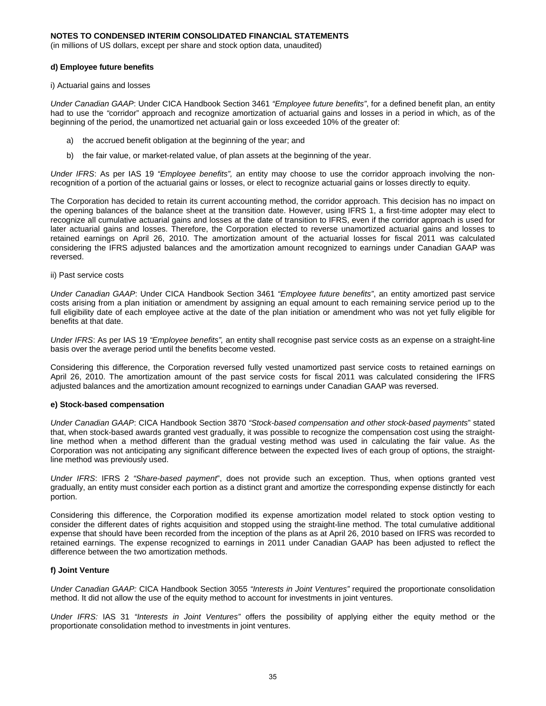(in millions of US dollars, except per share and stock option data, unaudited)

#### **d) Employee future benefits**

i) Actuarial gains and losses

*Under Canadian GAAP*: Under CICA Handbook Section 3461 *"Employee future benefits"*, for a defined benefit plan, an entity had to use the *"*corridor" approach and recognize amortization of actuarial gains and losses in a period in which, as of the beginning of the period, the unamortized net actuarial gain or loss exceeded 10% of the greater of:

- a) the accrued benefit obligation at the beginning of the year; and
- b) the fair value, or market-related value, of plan assets at the beginning of the year.

*Under IFRS*: As per IAS 19 *"Employee benefits",* an entity may choose to use the corridor approach involving the nonrecognition of a portion of the actuarial gains or losses, or elect to recognize actuarial gains or losses directly to equity.

The Corporation has decided to retain its current accounting method, the corridor approach. This decision has no impact on the opening balances of the balance sheet at the transition date. However, using IFRS 1, a first-time adopter may elect to recognize all cumulative actuarial gains and losses at the date of transition to IFRS, even if the corridor approach is used for later actuarial gains and losses. Therefore, the Corporation elected to reverse unamortized actuarial gains and losses to retained earnings on April 26, 2010. The amortization amount of the actuarial losses for fiscal 2011 was calculated considering the IFRS adjusted balances and the amortization amount recognized to earnings under Canadian GAAP was reversed.

ii) Past service costs

*Under Canadian GAAP*: Under CICA Handbook Section 3461 *"Employee future benefits"*, an entity amortized past service costs arising from a plan initiation or amendment by assigning an equal amount to each remaining service period up to the full eligibility date of each employee active at the date of the plan initiation or amendment who was not yet fully eligible for benefits at that date.

*Under IFRS*: As per IAS 19 *"Employee benefits",* an entity shall recognise past service costs as an expense on a straight-line basis over the average period until the benefits become vested.

Considering this difference, the Corporation reversed fully vested unamortized past service costs to retained earnings on April 26, 2010. The amortization amount of the past service costs for fiscal 2011 was calculated considering the IFRS adjusted balances and the amortization amount recognized to earnings under Canadian GAAP was reversed.

#### **e) Stock-based compensation**

*Under Canadian GAAP*: CICA Handbook Section 3870 *"Stock-based compensation and other stock-based payments*" stated that, when stock-based awards granted vest gradually, it was possible to recognize the compensation cost using the straightline method when a method different than the gradual vesting method was used in calculating the fair value. As the Corporation was not anticipating any significant difference between the expected lives of each group of options, the straightline method was previously used.

*Under IFRS*: IFRS 2 *"Share-based payment*", does not provide such an exception. Thus, when options granted vest gradually, an entity must consider each portion as a distinct grant and amortize the corresponding expense distinctly for each portion.

Considering this difference, the Corporation modified its expense amortization model related to stock option vesting to consider the different dates of rights acquisition and stopped using the straight-line method. The total cumulative additional expense that should have been recorded from the inception of the plans as at April 26, 2010 based on IFRS was recorded to retained earnings. The expense recognized to earnings in 2011 under Canadian GAAP has been adjusted to reflect the difference between the two amortization methods.

#### **f) Joint Venture**

*Under Canadian GAAP:* CICA Handbook Section 3055 *"Interests in Joint Ventures"* required the proportionate consolidation method. It did not allow the use of the equity method to account for investments in joint ventures.

*Under IFRS:* IAS 31 *"Interests in Joint Ventures"* offers the possibility of applying either the equity method or the proportionate consolidation method to investments in joint ventures.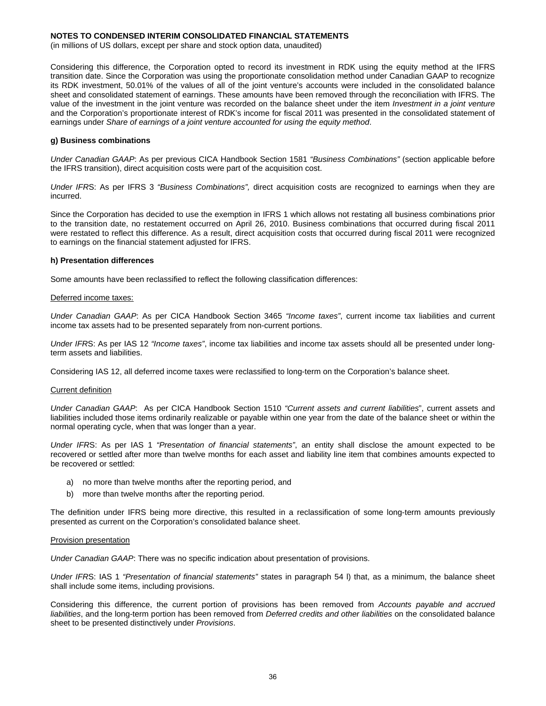(in millions of US dollars, except per share and stock option data, unaudited)

Considering this difference, the Corporation opted to record its investment in RDK using the equity method at the IFRS transition date. Since the Corporation was using the proportionate consolidation method under Canadian GAAP to recognize its RDK investment, 50.01% of the values of all of the joint venture's accounts were included in the consolidated balance sheet and consolidated statement of earnings. These amounts have been removed through the reconciliation with IFRS. The value of the investment in the joint venture was recorded on the balance sheet under the item *Investment in a joint venture*  and the Corporation's proportionate interest of RDK's income for fiscal 2011 was presented in the consolidated statement of earnings under *Share of earnings of a joint venture accounted for using the equity method*.

#### **g) Business combinations**

*Under Canadian GAAP*: As per previous CICA Handbook Section 1581 *"Business Combinations"* (section applicable before the IFRS transition), direct acquisition costs were part of the acquisition cost.

*Under IFR*S: As per IFRS 3 *"Business Combinations",* direct acquisition costs are recognized to earnings when they are incurred.

Since the Corporation has decided to use the exemption in IFRS 1 which allows not restating all business combinations prior to the transition date, no restatement occurred on April 26, 2010. Business combinations that occurred during fiscal 2011 were restated to reflect this difference. As a result, direct acquisition costs that occurred during fiscal 2011 were recognized to earnings on the financial statement adjusted for IFRS.

#### **h) Presentation differences**

Some amounts have been reclassified to reflect the following classification differences:

#### Deferred income taxes:

*Under Canadian GAAP*: As per CICA Handbook Section 3465 *"Income taxes"*, current income tax liabilities and current income tax assets had to be presented separately from non-current portions.

*Under IFR*S: As per IAS 12 *"Income taxes"*, income tax liabilities and income tax assets should all be presented under longterm assets and liabilities.

Considering IAS 12, all deferred income taxes were reclassified to long-term on the Corporation's balance sheet.

#### Current definition

*Under Canadian GAAP*: As per CICA Handbook Section 1510 *"Current assets and current liabilities*", current assets and liabilities included those items ordinarily realizable or payable within one year from the date of the balance sheet or within the normal operating cycle, when that was longer than a year.

*Under IFR*S: As per IAS 1 *"Presentation of financial statements"*, an entity shall disclose the amount expected to be recovered or settled after more than twelve months for each asset and liability line item that combines amounts expected to be recovered or settled:

- a) no more than twelve months after the reporting period, and
- b) more than twelve months after the reporting period.

The definition under IFRS being more directive, this resulted in a reclassification of some long-term amounts previously presented as current on the Corporation's consolidated balance sheet.

#### Provision presentation

*Under Canadian GAAP*: There was no specific indication about presentation of provisions.

*Under IFR*S: IAS 1 *"Presentation of financial statements"* states in paragraph 54 l) that, as a minimum, the balance sheet shall include some items, including provisions.

Considering this difference, the current portion of provisions has been removed from *Accounts payable and accrued liabilities*, and the long-term portion has been removed from *Deferred credits and other liabilities* on the consolidated balance sheet to be presented distinctively under *Provisions*.